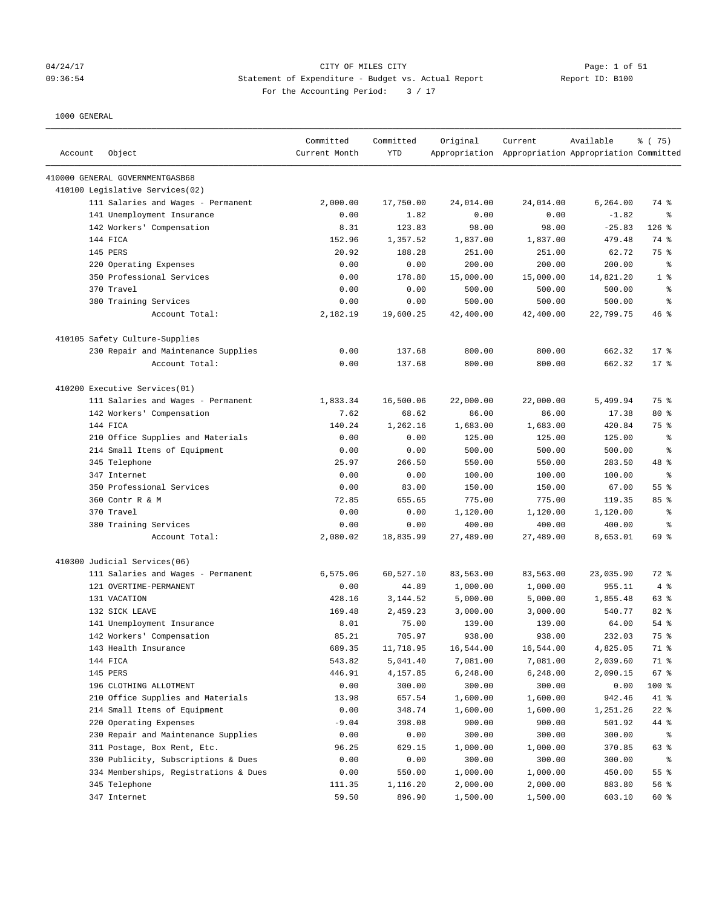### 04/24/17 CITY OF MILES CITY Page: 1 of 51 09:36:54 Statement of Expenditure - Budget vs. Actual Report Report ID: B100 For the Accounting Period:  $3 / 17$

| Account | Object                                | Committed<br>Current Month | Committed<br><b>YTD</b> | Original  | Current<br>Appropriation Appropriation Appropriation Committed | Available | % (75)         |
|---------|---------------------------------------|----------------------------|-------------------------|-----------|----------------------------------------------------------------|-----------|----------------|
|         | 410000 GENERAL GOVERNMENTGASB68       |                            |                         |           |                                                                |           |                |
|         | 410100 Legislative Services(02)       |                            |                         |           |                                                                |           |                |
|         | 111 Salaries and Wages - Permanent    | 2,000.00                   | 17,750.00               | 24,014.00 | 24,014.00                                                      | 6,264.00  | 74 %           |
|         | 141 Unemployment Insurance            | 0.00                       | 1.82                    | 0.00      | 0.00                                                           | $-1.82$   | နွ             |
|         | 142 Workers' Compensation             | 8.31                       | 123.83                  | 98.00     | 98.00                                                          | $-25.83$  | $126$ %        |
|         | 144 FICA                              | 152.96                     | 1,357.52                | 1,837.00  | 1,837.00                                                       | 479.48    | 74 %           |
|         | <b>145 PERS</b>                       | 20.92                      | 188.28                  | 251.00    | 251.00                                                         | 62.72     | 75 %           |
|         | 220 Operating Expenses                | 0.00                       | 0.00                    | 200.00    | 200.00                                                         | 200.00    | နွ             |
|         | 350 Professional Services             | 0.00                       | 178.80                  | 15,000.00 | 15,000.00                                                      | 14,821.20 | 1 <sup>8</sup> |
|         | 370 Travel                            | 0.00                       | 0.00                    | 500.00    | 500.00                                                         | 500.00    | $\epsilon$     |
|         | 380 Training Services                 | 0.00                       | 0.00                    | 500.00    | 500.00                                                         | 500.00    | နွ             |
|         | Account Total:                        | 2,182.19                   | 19,600.25               | 42,400.00 | 42,400.00                                                      | 22,799.75 | $46$ %         |
|         | 410105 Safety Culture-Supplies        |                            |                         |           |                                                                |           |                |
|         | 230 Repair and Maintenance Supplies   | 0.00                       | 137.68                  | 800.00    | 800.00                                                         | 662.32    | $17$ %         |
|         | Account Total:                        | 0.00                       | 137.68                  | 800.00    | 800.00                                                         | 662.32    | $17*$          |
|         | 410200 Executive Services(01)         |                            |                         |           |                                                                |           |                |
|         | 111 Salaries and Wages - Permanent    | 1,833.34                   | 16,500.06               | 22,000.00 | 22,000.00                                                      | 5,499.94  | 75 %           |
|         | 142 Workers' Compensation             | 7.62                       | 68.62                   | 86.00     | 86.00                                                          | 17.38     | $80*$          |
|         | 144 FICA                              | 140.24                     | 1,262.16                | 1,683.00  | 1,683.00                                                       | 420.84    | 75 %           |
|         | 210 Office Supplies and Materials     | 0.00                       | 0.00                    | 125.00    | 125.00                                                         | 125.00    | နွ             |
|         | 214 Small Items of Equipment          | 0.00                       | 0.00                    | 500.00    | 500.00                                                         | 500.00    | နွ             |
|         | 345 Telephone                         | 25.97                      | 266.50                  | 550.00    | 550.00                                                         | 283.50    | 48 %           |
|         | 347 Internet                          | 0.00                       | 0.00                    | 100.00    | 100.00                                                         | 100.00    | နွ             |
|         | 350 Professional Services             | 0.00                       | 83.00                   | 150.00    | 150.00                                                         | 67.00     | 55%            |
|         | 360 Contr R & M                       | 72.85                      | 655.65                  | 775.00    | 775.00                                                         | 119.35    | 85%            |
|         | 370 Travel                            | 0.00                       | 0.00                    | 1,120.00  | 1,120.00                                                       | 1,120.00  | နွ             |
|         | 380 Training Services                 | 0.00                       | 0.00                    | 400.00    | 400.00                                                         | 400.00    | နွ             |
|         | Account Total:                        | 2,080.02                   | 18,835.99               | 27,489.00 | 27,489.00                                                      | 8,653.01  | 69 %           |
|         | 410300 Judicial Services(06)          |                            |                         |           |                                                                |           |                |
|         | 111 Salaries and Wages - Permanent    | 6,575.06                   | 60,527.10               | 83,563.00 | 83,563.00                                                      | 23,035.90 | 72 %           |
|         | 121 OVERTIME-PERMANENT                | 0.00                       | 44.89                   | 1,000.00  | 1,000.00                                                       | 955.11    | 4%             |
|         | 131 VACATION                          | 428.16                     | 3,144.52                | 5,000.00  | 5,000.00                                                       | 1,855.48  | 63 %           |
|         | 132 SICK LEAVE                        | 169.48                     | 2,459.23                | 3,000.00  | 3,000.00                                                       | 540.77    | 82 %           |
|         | 141 Unemployment Insurance            | 8.01                       | 75.00                   | 139.00    | 139.00                                                         | 64.00     | 54 %           |
|         | 142 Workers' Compensation             | 85.21                      | 705.97                  | 938.00    | 938.00                                                         | 232.03    | 75 %           |
|         | 143 Health Insurance                  | 689.35                     | 11,718.95               | 16,544.00 | 16,544.00                                                      | 4,825.05  | 71 %           |
|         | 144 FICA                              | 543.82                     | 5,041.40                | 7,081.00  | 7,081.00                                                       | 2,039.60  | 71 %           |
|         | 145 PERS                              | 446.91                     | 4,157.85                | 6,248.00  | 6,248.00                                                       | 2,090.15  | 67 %           |
|         | 196 CLOTHING ALLOTMENT                | 0.00                       | 300.00                  | 300.00    | 300.00                                                         | 0.00      | 100 %          |
|         | 210 Office Supplies and Materials     | 13.98                      | 657.54                  | 1,600.00  | 1,600.00                                                       | 942.46    | 41 %           |
|         | 214 Small Items of Equipment          | 0.00                       | 348.74                  | 1,600.00  | 1,600.00                                                       | 1,251.26  | $22$ %         |
|         | 220 Operating Expenses                | $-9.04$                    | 398.08                  | 900.00    | 900.00                                                         | 501.92    | 44 %           |
|         | 230 Repair and Maintenance Supplies   | 0.00                       | 0.00                    | 300.00    | 300.00                                                         | 300.00    | ႜ              |
|         | 311 Postage, Box Rent, Etc.           | 96.25                      | 629.15                  | 1,000.00  | 1,000.00                                                       | 370.85    | 63 %           |
|         | 330 Publicity, Subscriptions & Dues   | 0.00                       | 0.00                    | 300.00    | 300.00                                                         | 300.00    | ್ಠಿ            |
|         | 334 Memberships, Registrations & Dues | 0.00                       | 550.00                  | 1,000.00  | 1,000.00                                                       | 450.00    | 55%            |
|         | 345 Telephone                         | 111.35                     | 1,116.20                | 2,000.00  | 2,000.00                                                       | 883.80    | 56 %           |
|         | 347 Internet                          | 59.50                      | 896.90                  | 1,500.00  | 1,500.00                                                       | 603.10    | 60 %           |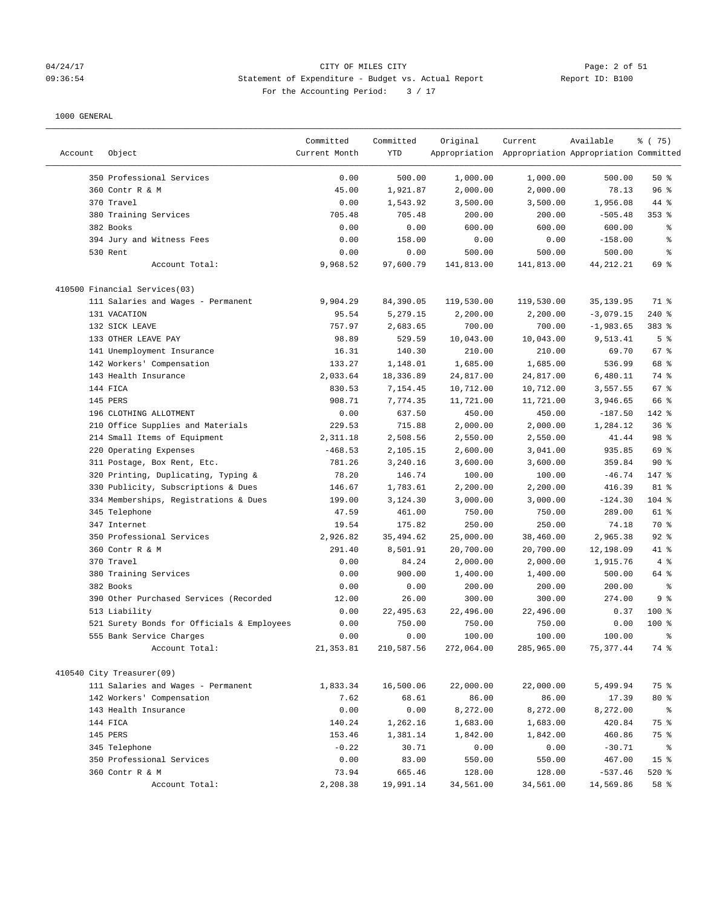#### 04/24/17 CITY OF MILES CITY Page: 2 of 51 09:36:54 Statement of Expenditure - Budget vs. Actual Report Report ID: B100 For the Accounting Period:  $3 / 17$

|         |                                                                 | Committed     | Committed  | Original   | Current                                             | Available   | % (75)          |
|---------|-----------------------------------------------------------------|---------------|------------|------------|-----------------------------------------------------|-------------|-----------------|
| Account | Object                                                          | Current Month | YTD        |            | Appropriation Appropriation Appropriation Committed |             |                 |
|         |                                                                 |               |            |            |                                                     |             |                 |
|         | 350 Professional Services                                       | 0.00          | 500.00     | 1,000.00   | 1,000.00                                            | 500.00      | 50%             |
|         | 360 Contr R & M                                                 | 45.00         | 1,921.87   | 2,000.00   | 2,000.00                                            | 78.13       | 96%             |
|         | 370 Travel                                                      | 0.00          | 1,543.92   | 3,500.00   | 3,500.00                                            | 1,956.08    | 44 %            |
|         | 380 Training Services                                           | 705.48        | 705.48     | 200.00     | 200.00                                              | $-505.48$   | $353$ $%$       |
|         | 382 Books                                                       | 0.00          | 0.00       | 600.00     | 600.00                                              | 600.00      | ್ಠಿ             |
|         | 394 Jury and Witness Fees                                       | 0.00          | 158.00     | 0.00       | 0.00                                                | $-158.00$   | る               |
|         | 530 Rent                                                        | 0.00          | 0.00       | 500.00     | 500.00                                              | 500.00      | နွ              |
|         | Account Total:                                                  | 9,968.52      | 97,600.79  | 141,813.00 | 141,813.00                                          | 44, 212. 21 | 69 %            |
|         | 410500 Financial Services(03)                                   |               |            |            |                                                     |             |                 |
|         | 111 Salaries and Wages - Permanent                              | 9,904.29      | 84,390.05  | 119,530.00 | 119,530.00                                          | 35,139.95   | 71 %            |
|         | 131 VACATION                                                    | 95.54         | 5,279.15   | 2,200.00   | 2,200.00                                            | $-3,079.15$ | $240$ %         |
|         | 132 SICK LEAVE                                                  | 757.97        | 2,683.65   | 700.00     | 700.00                                              | $-1,983.65$ | 383 %           |
|         | 133 OTHER LEAVE PAY                                             | 98.89         | 529.59     | 10,043.00  | 10,043.00                                           | 9,513.41    | 5 <sup>8</sup>  |
|         | 141 Unemployment Insurance                                      | 16.31         | 140.30     | 210.00     | 210.00                                              | 69.70       | 67 %            |
|         | 142 Workers' Compensation                                       | 133.27        | 1,148.01   | 1,685.00   | 1,685.00                                            | 536.99      | 68 %            |
|         | 143 Health Insurance                                            | 2,033.64      | 18,336.89  | 24,817.00  | 24,817.00                                           | 6,480.11    | 74 %            |
|         | 144 FICA                                                        | 830.53        | 7,154.45   | 10,712.00  | 10,712.00                                           | 3,557.55    | 67%             |
|         | 145 PERS                                                        | 908.71        | 7,774.35   | 11,721.00  | 11,721.00                                           | 3,946.65    | 66 %            |
|         | 196 CLOTHING ALLOTMENT                                          | 0.00          | 637.50     | 450.00     | 450.00                                              | $-187.50$   | 142 %           |
|         | 210 Office Supplies and Materials                               | 229.53        | 715.88     | 2,000.00   | 2,000.00                                            | 1,284.12    | 36%             |
|         | 214 Small Items of Equipment                                    | 2,311.18      | 2,508.56   | 2,550.00   | 2,550.00                                            | 41.44       | 98 %            |
|         | 220 Operating Expenses                                          | $-468.53$     | 2,105.15   | 2,600.00   | 3,041.00                                            | 935.85      | 69 %            |
|         | 311 Postage, Box Rent, Etc.                                     | 781.26        | 3,240.16   | 3,600.00   | 3,600.00                                            | 359.84      | 90%             |
|         | 320 Printing, Duplicating, Typing &                             | 78.20         | 146.74     | 100.00     | 100.00                                              | $-46.74$    | 147 %           |
|         | 330 Publicity, Subscriptions & Dues                             | 146.67        | 1,783.61   | 2,200.00   | 2,200.00                                            | 416.39      | 81 %            |
|         | 334 Memberships, Registrations & Dues                           | 199.00        | 3,124.30   | 3,000.00   | 3,000.00                                            | $-124.30$   | 104 %           |
|         | 345 Telephone                                                   | 47.59         | 461.00     | 750.00     | 750.00                                              | 289.00      | 61 %            |
|         | 347 Internet                                                    | 19.54         | 175.82     | 250.00     | 250.00                                              | 74.18       | 70 %            |
|         | 350 Professional Services                                       | 2,926.82      | 35,494.62  | 25,000.00  | 38,460.00                                           | 2,965.38    | $92$ $%$        |
|         | 360 Contr R & M                                                 | 291.40        | 8,501.91   | 20,700.00  | 20,700.00                                           | 12,198.09   | 41 %            |
|         | 370 Travel                                                      | 0.00          | 84.24      | 2,000.00   | 2,000.00                                            | 1,915.76    | 4%              |
|         | 380 Training Services                                           | 0.00          | 900.00     | 1,400.00   | 1,400.00                                            | 500.00      | 64 %            |
|         | 382 Books                                                       | 0.00          | 0.00       | 200.00     | 200.00                                              | 200.00      | ి               |
|         | 390 Other Purchased Services (Recorded                          | 12.00         | 26.00      | 300.00     | 300.00                                              | 274.00      | 9%              |
|         | 513 Liability                                                   | 0.00          | 22,495.63  | 22,496.00  | 22,496.00                                           | 0.37        | $100$ %         |
|         | 521 Surety Bonds for Officials & Employees                      | 0.00          | 750.00     | 750.00     | 750.00                                              | 0.00        | $100$ %         |
|         | 555 Bank Service Charges                                        | 0.00          | 0.00       | 100.00     | 100.00                                              | 100.00      | ま               |
|         | Account Total:                                                  | 21, 353.81    | 210,587.56 | 272,064.00 | 285,965.00                                          | 75, 377.44  | 74 %            |
|         |                                                                 |               |            |            |                                                     |             |                 |
|         | 410540 City Treasurer(09)<br>111 Salaries and Wages - Permanent |               |            |            | 22,000.00                                           |             | 75 %            |
|         |                                                                 | 1,833.34      | 16,500.06  | 22,000.00  |                                                     | 5,499.94    |                 |
|         | 142 Workers' Compensation                                       | 7.62          | 68.61      | 86.00      | 86.00                                               | 17.39       | $80*$           |
|         | 143 Health Insurance                                            | 0.00          | 0.00       | 8,272.00   | 8,272.00                                            | 8,272.00    | ိ               |
|         | 144 FICA                                                        | 140.24        | 1,262.16   | 1,683.00   | 1,683.00                                            | 420.84      | 75 %            |
|         | 145 PERS                                                        | 153.46        | 1,381.14   | 1,842.00   | 1,842.00                                            | 460.86      | 75 %            |
|         | 345 Telephone                                                   | $-0.22$       | 30.71      | 0.00       | 0.00                                                | $-30.71$    | ိ               |
|         | 350 Professional Services                                       | 0.00          | 83.00      | 550.00     | 550.00                                              | 467.00      | 15 <sup>°</sup> |
|         | 360 Contr R & M                                                 | 73.94         | 665.46     | 128.00     | 128.00                                              | $-537.46$   | 520%            |
|         | Account Total:                                                  | 2,208.38      | 19,991.14  | 34,561.00  | 34,561.00                                           | 14,569.86   | 58 %            |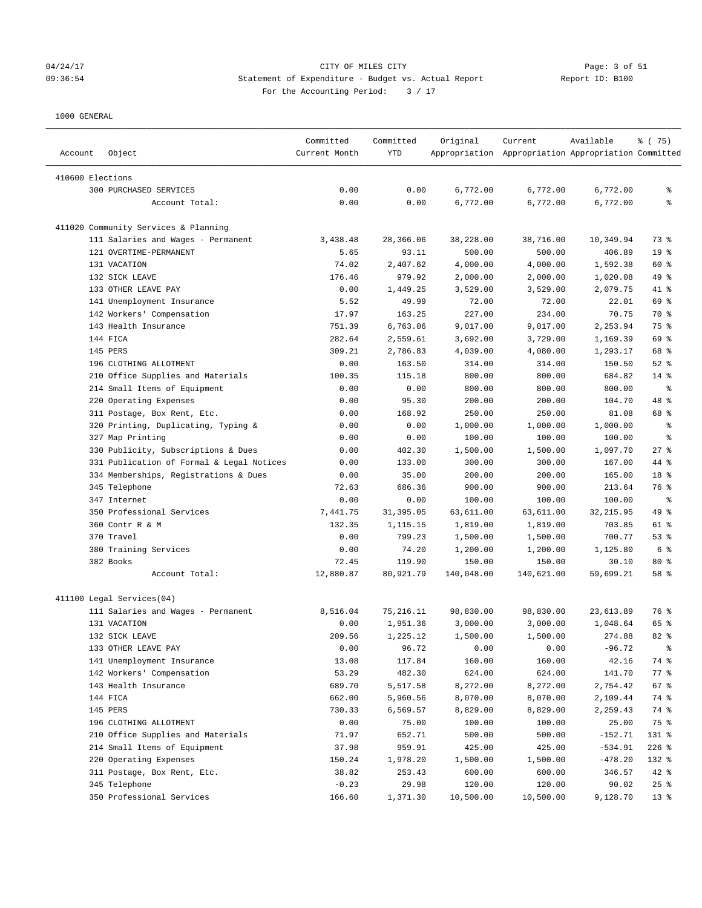### 04/24/17 CITY OF MILES CITY Page: 3 of 51 09:36:54 Statement of Expenditure - Budget vs. Actual Report Report ID: B100 For the Accounting Period:  $3 / 17$

| Account          | Object                                    | Committed<br>Current Month | Committed<br>YTD | Original   | Current<br>Appropriation Appropriation Appropriation Committed | Available  | 8 (75)          |
|------------------|-------------------------------------------|----------------------------|------------------|------------|----------------------------------------------------------------|------------|-----------------|
| 410600 Elections |                                           |                            |                  |            |                                                                |            |                 |
|                  | 300 PURCHASED SERVICES                    | 0.00                       | 0.00             | 6,772.00   | 6,772.00                                                       | 6,772.00   | ႜ               |
|                  | Account Total:                            | 0.00                       | 0.00             | 6,772.00   | 6,772.00                                                       | 6,772.00   | ి               |
|                  |                                           |                            |                  |            |                                                                |            |                 |
|                  | 411020 Community Services & Planning      |                            |                  |            |                                                                |            |                 |
|                  | 111 Salaries and Wages - Permanent        | 3,438.48                   | 28,366.06        | 38,228.00  | 38,716.00                                                      | 10,349.94  | 73 %            |
|                  | 121 OVERTIME-PERMANENT                    | 5.65                       | 93.11            | 500.00     | 500.00                                                         | 406.89     | 19 <sup>°</sup> |
|                  | 131 VACATION                              | 74.02                      | 2,407.62         | 4,000.00   | 4,000.00                                                       | 1,592.38   | 60 %            |
|                  | 132 SICK LEAVE                            | 176.46                     | 979.92           | 2,000.00   | 2,000.00                                                       | 1,020.08   | 49 %            |
|                  | 133 OTHER LEAVE PAY                       | 0.00                       | 1,449.25         | 3,529.00   | 3,529.00                                                       | 2,079.75   | 41 %            |
|                  | 141 Unemployment Insurance                | 5.52                       | 49.99            | 72.00      | 72.00                                                          | 22.01      | 69 %            |
|                  | 142 Workers' Compensation                 | 17.97                      | 163.25           | 227.00     | 234.00                                                         | 70.75      | 70 %            |
|                  | 143 Health Insurance                      | 751.39                     | 6,763.06         | 9,017.00   | 9,017.00                                                       | 2,253.94   | 75 %            |
|                  | 144 FICA                                  | 282.64                     | 2,559.61         | 3,692.00   | 3,729.00                                                       | 1,169.39   | 69 %            |
|                  | 145 PERS                                  | 309.21                     | 2,786.83         | 4,039.00   | 4,080.00                                                       | 1,293.17   | 68 %            |
|                  | 196 CLOTHING ALLOTMENT                    | 0.00                       | 163.50           | 314.00     | 314.00                                                         | 150.50     | $52$ $%$        |
|                  | 210 Office Supplies and Materials         | 100.35                     | 115.18           | 800.00     | 800.00                                                         | 684.82     | $14$ %          |
|                  | 214 Small Items of Equipment              | 0.00                       | 0.00             | 800.00     | 800.00                                                         | 800.00     | နွ              |
|                  | 220 Operating Expenses                    | 0.00                       | 95.30            | 200.00     | 200.00                                                         | 104.70     | 48 %            |
|                  | 311 Postage, Box Rent, Etc.               | 0.00                       | 168.92           | 250.00     | 250.00                                                         | 81.08      | 68 %            |
|                  | 320 Printing, Duplicating, Typing &       | 0.00                       | 0.00             | 1,000.00   | 1,000.00                                                       | 1,000.00   | နွ              |
|                  | 327 Map Printing                          | 0.00                       | 0.00             | 100.00     | 100.00                                                         | 100.00     | နွ              |
|                  | 330 Publicity, Subscriptions & Dues       | 0.00                       | 402.30           | 1,500.00   | 1,500.00                                                       | 1,097.70   | $27$ %          |
|                  | 331 Publication of Formal & Legal Notices | 0.00                       | 133.00           | 300.00     | 300.00                                                         | 167.00     | 44 %            |
|                  | 334 Memberships, Registrations & Dues     | 0.00                       | 35.00            | 200.00     | 200.00                                                         | 165.00     | 18 %            |
|                  | 345 Telephone                             | 72.63                      | 686.36           | 900.00     | 900.00                                                         | 213.64     | 76 %            |
|                  | 347 Internet                              | 0.00                       | 0.00             | 100.00     | 100.00                                                         | 100.00     | နွ              |
|                  | 350 Professional Services                 | 7,441.75                   | 31,395.05        | 63,611.00  | 63,611.00                                                      | 32, 215.95 | 49 %            |
|                  | 360 Contr R & M                           | 132.35                     | 1,115.15         | 1,819.00   | 1,819.00                                                       | 703.85     | 61 %            |
|                  | 370 Travel                                | 0.00                       | 799.23           | 1,500.00   | 1,500.00                                                       | 700.77     | 53%             |
|                  | 380 Training Services                     | 0.00                       | 74.20            | 1,200.00   | 1,200.00                                                       | 1,125.80   | 6 <sup>8</sup>  |
|                  | 382 Books                                 | 72.45                      | 119.90           | 150.00     | 150.00                                                         | 30.10      | $80*$           |
|                  | Account Total:                            | 12,880.87                  | 80,921.79        | 140,048.00 | 140,621.00                                                     | 59,699.21  | 58 %            |
|                  | 411100 Legal Services(04)                 |                            |                  |            |                                                                |            |                 |
|                  | 111 Salaries and Wages - Permanent        | 8,516.04                   | 75, 216.11       | 98,830.00  | 98,830.00                                                      | 23,613.89  | 76 %            |
|                  | 131 VACATION                              | 0.00                       | 1,951.36         | 3,000.00   | 3,000.00                                                       | 1,048.64   | 65 %            |
|                  | 132 SICK LEAVE                            | 209.56                     | 1,225.12         | 1,500.00   | 1,500.00                                                       | 274.88     | $82*$           |
|                  | 133 OTHER LEAVE PAY                       | 0.00                       | 96.72            | 0.00       | 0.00                                                           | $-96.72$   |                 |
|                  | 141 Unemployment Insurance                | 13.08                      | 117.84           | 160.00     | 160.00                                                         | 42.16      | 74 %            |
|                  | 142 Workers' Compensation                 | 53.29                      | 482.30           | 624.00     | 624.00                                                         | 141.70     | 77 %            |
|                  | 143 Health Insurance                      | 689.70                     | 5,517.58         | 8,272.00   | 8,272.00                                                       | 2,754.42   | 67 %            |
|                  | 144 FICA                                  | 662.00                     | 5,960.56         | 8,070.00   | 8,070.00                                                       | 2,109.44   | 74 %            |
|                  | 145 PERS                                  | 730.33                     | 6,569.57         | 8,829.00   | 8,829.00                                                       | 2,259.43   | 74 %            |
|                  | 196 CLOTHING ALLOTMENT                    | 0.00                       | 75.00            | 100.00     | 100.00                                                         | 25.00      | 75 %            |
|                  | 210 Office Supplies and Materials         | 71.97                      | 652.71           | 500.00     | 500.00                                                         | $-152.71$  | 131 %           |
|                  | 214 Small Items of Equipment              | 37.98                      | 959.91           | 425.00     | 425.00                                                         | $-534.91$  | $226$ %         |
|                  | 220 Operating Expenses                    | 150.24                     | 1,978.20         | 1,500.00   | 1,500.00                                                       | $-478.20$  | 132 %           |
|                  | 311 Postage, Box Rent, Etc.               | 38.82                      | 253.43           | 600.00     | 600.00                                                         | 346.57     | 42 %            |
|                  | 345 Telephone                             | $-0.23$                    | 29.98            | 120.00     | 120.00                                                         | 90.02      | 25%             |
|                  | 350 Professional Services                 | 166.60                     | 1,371.30         | 10,500.00  | 10,500.00                                                      | 9,128.70   | 13 <sub>8</sub> |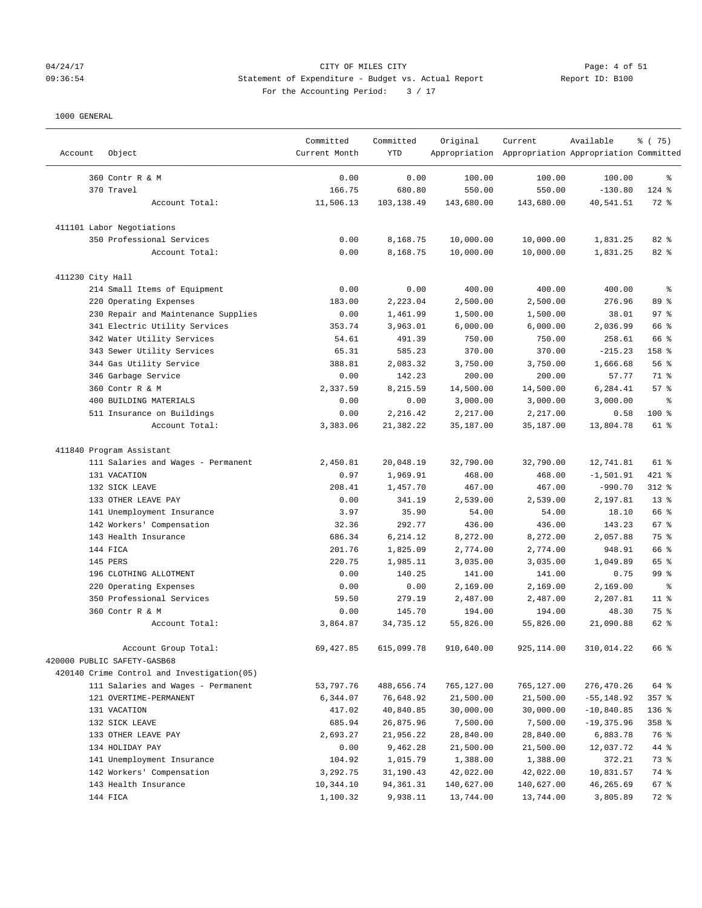## 04/24/17 CITY OF MILES CITY Page: 4 of 51 09:36:54 Statement of Expenditure - Budget vs. Actual Report Changer Report ID: B100 For the Accounting Period: 3 / 17

| Object<br>Account           |                                            | Committed<br>Current Month | Committed<br><b>YTD</b> | Original   | Current<br>Appropriation Appropriation Appropriation Committed | Available     | % (75)          |
|-----------------------------|--------------------------------------------|----------------------------|-------------------------|------------|----------------------------------------------------------------|---------------|-----------------|
| 360 Contr R & M             |                                            | 0.00                       | 0.00                    | 100.00     | 100.00                                                         | 100.00        | ి               |
| 370 Travel                  |                                            | 166.75                     | 680.80                  | 550.00     | 550.00                                                         | $-130.80$     | $124$ %         |
|                             | Account Total:                             | 11,506.13                  | 103,138.49              | 143,680.00 | 143,680.00                                                     | 40,541.51     | 72 %            |
| 411101 Labor Negotiations   |                                            |                            |                         |            |                                                                |               |                 |
|                             | 350 Professional Services                  | 0.00                       | 8,168.75                | 10,000.00  | 10,000.00                                                      | 1,831.25      | 82 %            |
|                             | Account Total:                             | 0.00                       | 8,168.75                | 10,000.00  | 10,000.00                                                      | 1,831.25      | 82 %            |
| 411230 City Hall            |                                            |                            |                         |            |                                                                |               |                 |
|                             | 214 Small Items of Equipment               | 0.00                       | 0.00                    | 400.00     | 400.00                                                         | 400.00        | ి               |
| 220 Operating Expenses      |                                            | 183.00                     | 2,223.04                | 2,500.00   | 2,500.00                                                       | 276.96        | 89 %            |
|                             | 230 Repair and Maintenance Supplies        | 0.00                       | 1,461.99                | 1,500.00   | 1,500.00                                                       | 38.01         | 97 <sub>8</sub> |
|                             | 341 Electric Utility Services              | 353.74                     | 3,963.01                | 6,000.00   | 6,000.00                                                       | 2,036.99      | 66 %            |
|                             | 342 Water Utility Services                 | 54.61                      | 491.39                  | 750.00     | 750.00                                                         | 258.61        | 66 %            |
|                             | 343 Sewer Utility Services                 | 65.31                      | 585.23                  | 370.00     | 370.00                                                         | $-215.23$     | 158 %           |
| 344 Gas Utility Service     |                                            | 388.81                     | 2,083.32                | 3,750.00   | 3,750.00                                                       | 1,666.68      | 56%             |
| 346 Garbage Service         |                                            | 0.00                       | 142.23                  | 200.00     | 200.00                                                         | 57.77         | 71 %            |
| 360 Contr R & M             |                                            | 2,337.59                   | 8,215.59                | 14,500.00  | 14,500.00                                                      | 6,284.41      | 57%             |
| 400 BUILDING MATERIALS      |                                            | 0.00                       | 0.00                    | 3,000.00   | 3,000.00                                                       | 3,000.00      | ి               |
|                             | 511 Insurance on Buildings                 | 0.00                       | 2,216.42                | 2,217.00   | 2,217.00                                                       | 0.58          | 100 %           |
|                             | Account Total:                             | 3,383.06                   | 21,382.22               | 35,187.00  | 35,187.00                                                      | 13,804.78     | 61 %            |
| 411840 Program Assistant    |                                            |                            |                         |            |                                                                |               |                 |
|                             | 111 Salaries and Wages - Permanent         | 2,450.81                   | 20,048.19               | 32,790.00  | 32,790.00                                                      | 12,741.81     | 61 %            |
| 131 VACATION                |                                            | 0.97                       | 1,969.91                | 468.00     | 468.00                                                         | $-1,501.91$   | 421 %           |
| 132 SICK LEAVE              |                                            | 208.41                     | 1,457.70                | 467.00     | 467.00                                                         | $-990.70$     | 312 %           |
| 133 OTHER LEAVE PAY         |                                            | 0.00                       | 341.19                  | 2,539.00   | 2,539.00                                                       | 2,197.81      | 13 <sup>8</sup> |
|                             | 141 Unemployment Insurance                 | 3.97                       | 35.90                   | 54.00      | 54.00                                                          | 18.10         | 66 %            |
|                             | 142 Workers' Compensation                  | 32.36                      | 292.77                  | 436.00     | 436.00                                                         | 143.23        | 67 %            |
| 143 Health Insurance        |                                            | 686.34                     | 6,214.12                | 8,272.00   | 8,272.00                                                       | 2,057.88      | 75 %            |
| 144 FICA                    |                                            | 201.76                     | 1,825.09                | 2,774.00   | 2,774.00                                                       | 948.91        | 66 %            |
| 145 PERS                    |                                            | 220.75                     | 1,985.11                | 3,035.00   | 3,035.00                                                       | 1,049.89      | 65 %            |
| 196 CLOTHING ALLOTMENT      |                                            | 0.00                       | 140.25                  | 141.00     | 141.00                                                         | 0.75          | 99 <sub>8</sub> |
| 220 Operating Expenses      |                                            | 0.00                       | 0.00                    | 2,169.00   | 2,169.00                                                       | 2,169.00      | g.              |
|                             | 350 Professional Services                  | 59.50                      | 279.19                  | 2,487.00   | 2,487.00                                                       | 2,207.81      | $11$ %          |
| 360 Contr R & M             |                                            | 0.00                       | 145.70                  | 194.00     | 194.00                                                         | 48.30         | 75 %            |
|                             | Account Total:                             | 3,864.87                   | 34,735.12               | 55,826.00  | 55,826.00                                                      | 21,090.88     | 62 %            |
| 420000 PUBLIC SAFETY-GASB68 | Account Group Total:                       | 69,427.85                  | 615,099.78              | 910,640.00 | 925, 114.00                                                    | 310,014.22    | 66 %            |
|                             | 420140 Crime Control and Investigation(05) |                            |                         |            |                                                                |               |                 |
|                             | 111 Salaries and Wages - Permanent         | 53,797.76                  | 488,656.74              | 765,127.00 | 765,127.00                                                     | 276,470.26    | 64 %            |
| 121 OVERTIME-PERMANENT      |                                            | 6,344.07                   | 76,648.92               | 21,500.00  | 21,500.00                                                      | $-55, 148.92$ | $357$ $%$       |
| 131 VACATION                |                                            | 417.02                     | 40,840.85               | 30,000.00  | 30,000.00                                                      | $-10,840.85$  | 136 %           |
| 132 SICK LEAVE              |                                            | 685.94                     | 26,875.96               | 7,500.00   | 7,500.00                                                       | $-19,375.96$  | 358 %           |
| 133 OTHER LEAVE PAY         |                                            | 2,693.27                   | 21,956.22               | 28,840.00  | 28,840.00                                                      | 6,883.78      | 76 %            |
| 134 HOLIDAY PAY             |                                            | 0.00                       | 9,462.28                | 21,500.00  | 21,500.00                                                      | 12,037.72     | 44 %            |
|                             | 141 Unemployment Insurance                 | 104.92                     | 1,015.79                | 1,388.00   | 1,388.00                                                       | 372.21        | 73 %            |
|                             | 142 Workers' Compensation                  | 3,292.75                   | 31,190.43               | 42,022.00  | 42,022.00                                                      | 10,831.57     | 74 %            |
| 143 Health Insurance        |                                            | 10,344.10                  | 94,361.31               | 140,627.00 | 140,627.00                                                     | 46,265.69     | 67 %            |
| 144 FICA                    |                                            | 1,100.32                   | 9,938.11                | 13,744.00  | 13,744.00                                                      | 3,805.89      | 72 %            |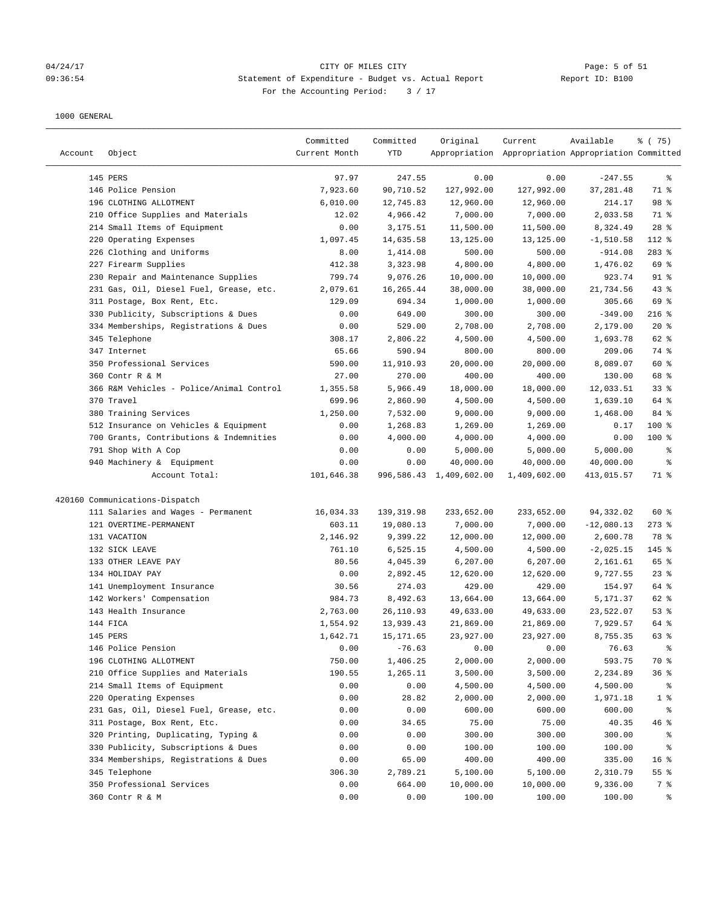#### 04/24/17 Page: 5 of 51 09:36:54 Statement of Expenditure - Budget vs. Actual Report Report ID: B100 For the Accounting Period:  $3 / 17$

| Account | Object                                   | Committed<br>Current Month | Committed<br>YTD | Original                | Current<br>Appropriation Appropriation Appropriation Committed | Available    | % (75)          |
|---------|------------------------------------------|----------------------------|------------------|-------------------------|----------------------------------------------------------------|--------------|-----------------|
|         | 145 PERS                                 | 97.97                      | 247.55           | 0.00                    | 0.00                                                           | $-247.55$    | ႜ               |
|         | 146 Police Pension                       | 7,923.60                   | 90,710.52        | 127,992.00              | 127,992.00                                                     | 37,281.48    | 71 %            |
|         | 196 CLOTHING ALLOTMENT                   | 6,010.00                   | 12,745.83        | 12,960.00               | 12,960.00                                                      | 214.17       | 98 %            |
|         | 210 Office Supplies and Materials        | 12.02                      | 4,966.42         | 7,000.00                | 7,000.00                                                       | 2,033.58     | 71 %            |
|         | 214 Small Items of Equipment             | 0.00                       | 3,175.51         | 11,500.00               | 11,500.00                                                      | 8,324.49     | $28$ %          |
|         | 220 Operating Expenses                   | 1,097.45                   | 14,635.58        | 13,125.00               | 13,125.00                                                      | $-1,510.58$  | 112 %           |
|         | 226 Clothing and Uniforms                | 8.00                       | 1,414.08         | 500.00                  | 500.00                                                         | $-914.08$    | 283 %           |
|         | 227 Firearm Supplies                     | 412.38                     | 3,323.98         | 4,800.00                | 4,800.00                                                       | 1,476.02     | 69 %            |
|         | 230 Repair and Maintenance Supplies      | 799.74                     | 9,076.26         | 10,000.00               | 10,000.00                                                      | 923.74       | $91$ %          |
|         | 231 Gas, Oil, Diesel Fuel, Grease, etc.  | 2,079.61                   | 16,265.44        | 38,000.00               | 38,000.00                                                      | 21,734.56    | $43$ %          |
|         | 311 Postage, Box Rent, Etc.              | 129.09                     | 694.34           | 1,000.00                | 1,000.00                                                       | 305.66       | 69 %            |
|         | 330 Publicity, Subscriptions & Dues      | 0.00                       | 649.00           | 300.00                  | 300.00                                                         | $-349.00$    | $216$ %         |
|         | 334 Memberships, Registrations & Dues    | 0.00                       | 529.00           | 2,708.00                | 2,708.00                                                       | 2,179.00     | $20*$           |
|         | 345 Telephone                            | 308.17                     | 2,806.22         | 4,500.00                | 4,500.00                                                       | 1,693.78     | 62 %            |
|         | 347 Internet                             | 65.66                      | 590.94           | 800.00                  | 800.00                                                         | 209.06       | 74 %            |
|         | 350 Professional Services                | 590.00                     | 11,910.93        | 20,000.00               | 20,000.00                                                      | 8,089.07     | 60 %            |
|         | 360 Contr R & M                          | 27.00                      | 270.00           | 400.00                  | 400.00                                                         | 130.00       | 68 %            |
|         | 366 R&M Vehicles - Police/Animal Control | 1,355.58                   | 5,966.49         | 18,000.00               | 18,000.00                                                      | 12,033.51    | 33%             |
|         | 370 Travel                               | 699.96                     | 2,860.90         | 4,500.00                | 4,500.00                                                       | 1,639.10     | 64 %            |
|         | 380 Training Services                    | 1,250.00                   | 7,532.00         | 9,000.00                | 9,000.00                                                       | 1,468.00     | 84 %            |
|         | 512 Insurance on Vehicles & Equipment    | 0.00                       | 1,268.83         | 1,269.00                | 1,269.00                                                       | 0.17         | 100 %           |
|         | 700 Grants, Contributions & Indemnities  | 0.00                       | 4,000.00         | 4,000.00                | 4,000.00                                                       | 0.00         | $100$ %         |
|         | 791 Shop With A Cop                      | 0.00                       | 0.00             | 5,000.00                | 5,000.00                                                       | 5,000.00     | နွ              |
|         | 940 Machinery & Equipment                | 0.00                       | 0.00             | 40,000.00               | 40,000.00                                                      | 40,000.00    | ್ಠಿ             |
|         | Account Total:                           | 101,646.38                 |                  | 996,586.43 1,409,602.00 | 1,409,602.00                                                   | 413,015.57   | 71 %            |
|         | 420160 Communications-Dispatch           |                            |                  |                         |                                                                |              |                 |
|         | 111 Salaries and Wages - Permanent       | 16,034.33                  | 139, 319.98      | 233,652.00              | 233,652.00                                                     | 94,332.02    | 60%             |
|         | 121 OVERTIME-PERMANENT                   | 603.11                     | 19,080.13        | 7,000.00                | 7,000.00                                                       | $-12,080.13$ | $273$ %         |
|         | 131 VACATION                             | 2,146.92                   | 9,399.22         | 12,000.00               | 12,000.00                                                      | 2,600.78     | 78 %            |
|         | 132 SICK LEAVE                           | 761.10                     | 6,525.15         | 4,500.00                | 4,500.00                                                       | $-2,025.15$  | 145 %           |
|         | 133 OTHER LEAVE PAY                      | 80.56                      | 4,045.39         | 6, 207.00               | 6,207.00                                                       | 2,161.61     | 65 %            |
|         | 134 HOLIDAY PAY                          | 0.00                       | 2,892.45         | 12,620.00               | 12,620.00                                                      | 9,727.55     | $23$ $%$        |
|         | 141 Unemployment Insurance               | 30.56                      | 274.03           | 429.00                  | 429.00                                                         | 154.97       | 64 %            |
|         | 142 Workers' Compensation                | 984.73                     | 8,492.63         | 13,664.00               | 13,664.00                                                      | 5,171.37     | 62 %            |
|         | 143 Health Insurance                     | 2,763.00                   | 26,110.93        | 49,633.00               | 49,633.00                                                      | 23,522.07    | 53%             |
|         | 144 FICA                                 | 1,554.92                   | 13,939.43        | 21,869.00               | 21,869.00                                                      | 7,929.57     | 64 %            |
|         | 145 PERS                                 | 1,642.71                   | 15, 171.65       | 23,927.00               | 23,927.00                                                      | 8,755.35     | 63 %            |
|         | 146 Police Pension                       | 0.00                       | $-76.63$         | 0.00                    | 0.00                                                           | 76.63        | ್ಠಿ             |
|         | 196 CLOTHING ALLOTMENT                   | 750.00                     | 1,406.25         | 2,000.00                | 2,000.00                                                       | 593.75       | 70 %            |
|         | 210 Office Supplies and Materials        | 190.55                     | 1,265.11         | 3,500.00                | 3,500.00                                                       | 2,234.89     | 36%             |
|         | 214 Small Items of Equipment             | 0.00                       | 0.00             | 4,500.00                | 4,500.00                                                       | 4,500.00     | ႜ               |
|         | 220 Operating Expenses                   | 0.00                       | 28.82            | 2,000.00                | 2,000.00                                                       | 1,971.18     | 1 <sup>8</sup>  |
|         | 231 Gas, Oil, Diesel Fuel, Grease, etc.  | 0.00                       | 0.00             | 600.00                  | 600.00                                                         | 600.00       | ್ಠಿ             |
|         | 311 Postage, Box Rent, Etc.              | 0.00                       | 34.65            | 75.00                   | 75.00                                                          | 40.35        | 46%             |
|         | 320 Printing, Duplicating, Typing &      | 0.00                       | 0.00             | 300.00                  | 300.00                                                         | 300.00       | ႜ               |
|         | 330 Publicity, Subscriptions & Dues      | 0.00                       | 0.00             | 100.00                  | 100.00                                                         | 100.00       | ိစ              |
|         | 334 Memberships, Registrations & Dues    | 0.00                       | 65.00            | 400.00                  | 400.00                                                         | 335.00       | 16 <sup>°</sup> |
|         | 345 Telephone                            | 306.30                     | 2,789.21         | 5,100.00                | 5,100.00                                                       | 2,310.79     | 55%             |
|         | 350 Professional Services                | 0.00                       | 664.00           | 10,000.00               | 10,000.00                                                      | 9,336.00     | 7 %             |
|         | 360 Contr R & M                          | 0.00                       | 0.00             | 100.00                  | 100.00                                                         | 100.00       | ႜ               |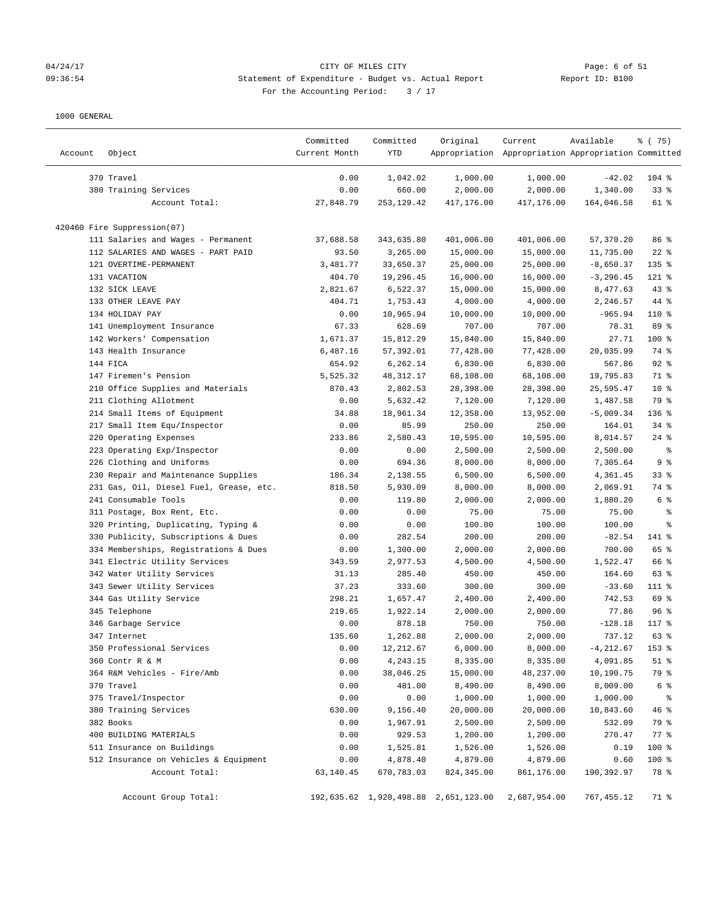#### 04/24/17 CITY OF MILES CITY Page: 6 of 51 09:36:54 Statement of Expenditure - Budget vs. Actual Report Report ID: B100 For the Accounting Period: 3 / 17

| Account | Object                                  | Committed<br>Current Month | Committed<br>YTD | Original                             | Current<br>Appropriation Appropriation Appropriation Committed | Available    | 8 (75)          |
|---------|-----------------------------------------|----------------------------|------------------|--------------------------------------|----------------------------------------------------------------|--------------|-----------------|
|         | 370 Travel                              | 0.00                       | 1,042.02         | 1,000.00                             | 1,000.00                                                       | $-42.02$     | $104$ %         |
|         | 380 Training Services                   | 0.00                       | 660.00           | 2,000.00                             | 2,000.00                                                       | 1,340.00     | $33$ $%$        |
|         | Account Total:                          | 27,848.79                  | 253, 129.42      | 417,176.00                           | 417,176.00                                                     | 164,046.58   | 61 %            |
|         | 420460 Fire Suppression(07)             |                            |                  |                                      |                                                                |              |                 |
|         | 111 Salaries and Wages - Permanent      | 37,688.58                  | 343,635.80       | 401,006.00                           | 401,006.00                                                     | 57,370.20    | 86 %            |
|         | 112 SALARIES AND WAGES - PART PAID      | 93.50                      | 3,265.00         | 15,000.00                            | 15,000.00                                                      | 11,735.00    | $22$ %          |
|         | 121 OVERTIME-PERMANENT                  | 3,481.77                   | 33,650.37        | 25,000.00                            | 25,000.00                                                      | $-8,650.37$  | $135$ %         |
|         | 131 VACATION                            | 404.70                     | 19,296.45        | 16,000.00                            | 16,000.00                                                      | $-3, 296.45$ | 121 %           |
|         | 132 SICK LEAVE                          | 2,821.67                   | 6,522.37         | 15,000.00                            | 15,000.00                                                      | 8,477.63     | $43$ %          |
|         | 133 OTHER LEAVE PAY                     | 404.71                     | 1,753.43         | 4,000.00                             | 4,000.00                                                       | 2,246.57     | 44 %            |
|         | 134 HOLIDAY PAY                         | 0.00                       | 10,965.94        | 10,000.00                            | 10,000.00                                                      | $-965.94$    | 110 %           |
|         | 141 Unemployment Insurance              | 67.33                      | 628.69           | 707.00                               | 707.00                                                         | 78.31        | 89 %            |
|         | 142 Workers' Compensation               | 1,671.37                   | 15,812.29        | 15,840.00                            | 15,840.00                                                      | 27.71        | 100 %           |
|         | 143 Health Insurance                    | 6,487.16                   | 57,392.01        | 77,428.00                            | 77,428.00                                                      | 20,035.99    | 74 %            |
|         | 144 FICA                                | 654.92                     | 6,262.14         | 6,830.00                             | 6,830.00                                                       | 567.86       | $92$ %          |
|         | 147 Firemen's Pension                   | 5,525.32                   | 48, 312.17       | 68,108.00                            | 68,108.00                                                      | 19,795.83    | 71 %            |
|         | 210 Office Supplies and Materials       | 870.43                     | 2,802.53         | 28,398.00                            | 28,398.00                                                      | 25,595.47    | 10 <sup>°</sup> |
|         | 211 Clothing Allotment                  | 0.00                       | 5,632.42         | 7,120.00                             | 7,120.00                                                       | 1,487.58     | 79 %            |
|         | 214 Small Items of Equipment            | 34.88                      | 18,961.34        | 12,358.00                            | 13,952.00                                                      | $-5,009.34$  | 136 %           |
|         | 217 Small Item Equ/Inspector            | 0.00                       | 85.99            | 250.00                               | 250.00                                                         | 164.01       | $34$ $%$        |
|         | 220 Operating Expenses                  | 233.86                     | 2,580.43         | 10,595.00                            | 10,595.00                                                      | 8,014.57     | $24$ %          |
|         | 223 Operating Exp/Inspector             | 0.00                       | 0.00             | 2,500.00                             | 2,500.00                                                       | 2,500.00     | နွ              |
|         | 226 Clothing and Uniforms               | 0.00                       | 694.36           | 8,000.00                             | 8,000.00                                                       | 7,305.64     | 9%              |
|         | 230 Repair and Maintenance Supplies     | 186.34                     | 2,138.55         | 6,500.00                             | 6,500.00                                                       | 4,361.45     | 33%             |
|         | 231 Gas, Oil, Diesel Fuel, Grease, etc. | 818.50                     | 5,930.09         | 8,000.00                             | 8,000.00                                                       | 2,069.91     | 74 %            |
|         | 241 Consumable Tools                    | 0.00                       | 119.80           | 2,000.00                             | 2,000.00                                                       | 1,880.20     | 6 %             |
|         | 311 Postage, Box Rent, Etc.             | 0.00                       | 0.00             | 75.00                                | 75.00                                                          | 75.00        | နွ              |
|         | 320 Printing, Duplicating, Typing &     | 0.00                       | 0.00             | 100.00                               | 100.00                                                         | 100.00       | ್ಠಿ             |
|         | 330 Publicity, Subscriptions & Dues     | 0.00                       | 282.54           | 200.00                               | 200.00                                                         | $-82.54$     | 141 %           |
|         | 334 Memberships, Registrations & Dues   | 0.00                       | 1,300.00         | 2,000.00                             | 2,000.00                                                       | 700.00       | 65 %            |
|         | 341 Electric Utility Services           | 343.59                     | 2,977.53         | 4,500.00                             | 4,500.00                                                       | 1,522.47     | 66 %            |
|         | 342 Water Utility Services              | 31.13                      | 285.40           | 450.00                               | 450.00                                                         | 164.60       | 63 %            |
|         | 343 Sewer Utility Services              | 37.23                      | 333.60           | 300.00                               | 300.00                                                         | $-33.60$     | 111 %           |
|         | 344 Gas Utility Service                 | 298.21                     | 1,657.47         | 2,400.00                             | 2,400.00                                                       | 742.53       | 69 %            |
|         | 345 Telephone                           | 219.65                     | 1,922.14         | 2,000.00                             | 2,000.00                                                       | 77.86        | 96%             |
|         | 346 Garbage Service                     | 0.00                       | 878.18           | 750.00                               | 750.00                                                         | $-128.18$    | 117 %           |
|         | 347 Internet                            | 135.60                     | 1,262.88         | 2,000.00                             | 2,000.00                                                       | 737.12       | 63 %            |
|         | 350 Professional Services               | 0.00                       | 12,212.67        | 6,000.00                             | 8,000.00                                                       | $-4, 212.67$ | 153 %           |
|         | 360 Contr R & M                         | 0.00                       | 4,243.15         | 8,335.00                             | 8,335.00                                                       | 4,091.85     | $51$ %          |
|         | 364 R&M Vehicles - Fire/Amb             | 0.00                       | 38,046.25        | 15,000.00                            | 48,237.00                                                      | 10,190.75    | 79 %            |
|         | 370 Travel                              | 0.00                       | 481.00           | 8,490.00                             | 8,490.00                                                       | 8,009.00     | 6 %             |
|         | 375 Travel/Inspector                    | 0.00                       | 0.00             | 1,000.00                             | 1,000.00                                                       | 1,000.00     | နွ              |
|         | 380 Training Services                   | 630.00                     | 9,156.40         | 20,000.00                            | 20,000.00                                                      | 10,843.60    | 46 %            |
|         | 382 Books                               | 0.00                       | 1,967.91         | 2,500.00                             | 2,500.00                                                       | 532.09       | 79 %            |
|         | 400 BUILDING MATERIALS                  | 0.00                       | 929.53           | 1,200.00                             | 1,200.00                                                       | 270.47       | 77 %            |
|         | 511 Insurance on Buildings              | 0.00                       | 1,525.81         | 1,526.00                             | 1,526.00                                                       | 0.19         | 100 %           |
|         | 512 Insurance on Vehicles & Equipment   | 0.00                       | 4,878.40         | 4,879.00                             | 4,879.00                                                       | 0.60         | 100 %           |
|         | Account Total:                          | 63,140.45                  | 670,783.03       | 824, 345.00                          | 861,176.00                                                     | 190,392.97   | 78 %            |
|         | Account Group Total:                    |                            |                  | 192,635.62 1,920,498.88 2,651,123.00 | 2,687,954.00                                                   | 767,455.12   | 71 %            |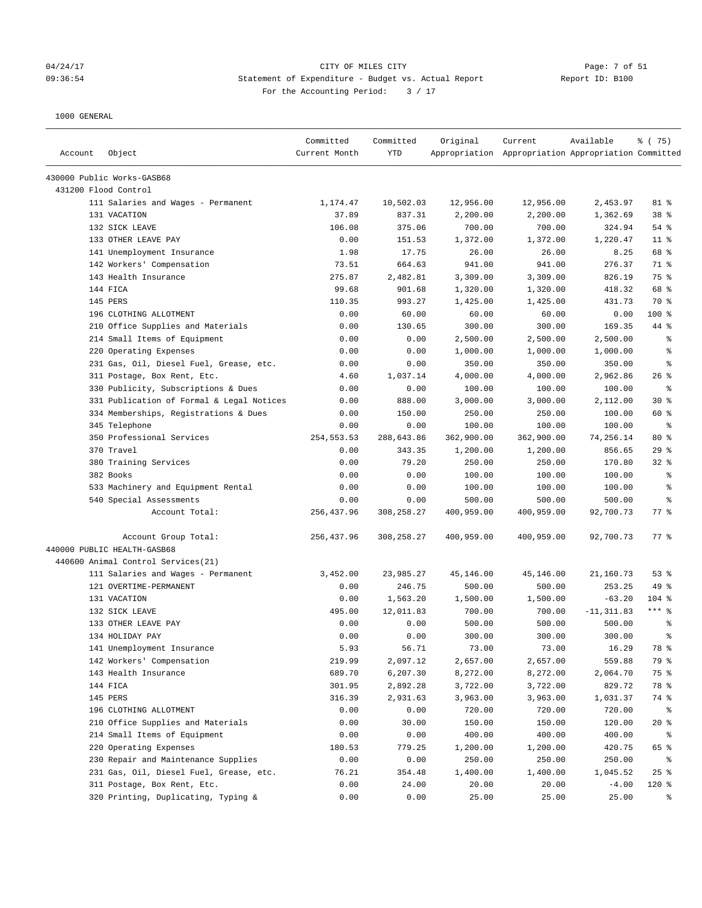#### 04/24/17 CITY OF MILES CITY Page: 7 of 51 09:36:54 Statement of Expenditure - Budget vs. Actual Report Report ID: B100 For the Accounting Period:  $3 / 17$

| Account | Object                                    | Committed<br>Current Month | Committed<br><b>YTD</b> | Original   | Current<br>Appropriation Appropriation Appropriation Committed | Available     | 8 (75)             |
|---------|-------------------------------------------|----------------------------|-------------------------|------------|----------------------------------------------------------------|---------------|--------------------|
|         | 430000 Public Works-GASB68                |                            |                         |            |                                                                |               |                    |
|         | 431200 Flood Control                      |                            |                         |            |                                                                |               |                    |
|         | 111 Salaries and Wages - Permanent        | 1,174.47                   | 10,502.03               | 12,956.00  | 12,956.00                                                      | 2,453.97      | 81 %               |
|         | 131 VACATION                              | 37.89                      | 837.31                  | 2,200.00   | 2,200.00                                                       | 1,362.69      | 38 <sup>8</sup>    |
|         | 132 SICK LEAVE                            | 106.08                     | 375.06                  | 700.00     | 700.00                                                         | 324.94        | 54 %               |
|         | 133 OTHER LEAVE PAY                       | 0.00                       | 151.53                  | 1,372.00   | 1,372.00                                                       | 1,220.47      | $11$ %             |
|         | 141 Unemployment Insurance                | 1.98                       | 17.75                   | 26.00      | 26.00                                                          | 8.25          | 68 %               |
|         | 142 Workers' Compensation                 | 73.51                      | 664.63                  | 941.00     | 941.00                                                         | 276.37        | 71 %               |
|         | 143 Health Insurance                      | 275.87                     | 2,482.81                | 3,309.00   | 3,309.00                                                       | 826.19        | 75 %               |
|         | 144 FICA                                  | 99.68                      | 901.68                  | 1,320.00   | 1,320.00                                                       | 418.32        | 68 %               |
|         | 145 PERS                                  | 110.35                     | 993.27                  | 1,425.00   | 1,425.00                                                       | 431.73        | 70 %               |
|         | 196 CLOTHING ALLOTMENT                    | 0.00                       | 60.00                   | 60.00      | 60.00                                                          | 0.00          | $100$ %            |
|         | 210 Office Supplies and Materials         | 0.00                       | 130.65                  | 300.00     | 300.00                                                         | 169.35        | 44 %               |
|         | 214 Small Items of Equipment              | 0.00                       | 0.00                    | 2,500.00   | 2,500.00                                                       | 2,500.00      | る                  |
|         | 220 Operating Expenses                    | 0.00                       | 0.00                    | 1,000.00   | 1,000.00                                                       | 1,000.00      | နွ                 |
|         | 231 Gas, Oil, Diesel Fuel, Grease, etc.   | 0.00                       | 0.00                    | 350.00     | 350.00                                                         | 350.00        | る                  |
|         | 311 Postage, Box Rent, Etc.               | 4.60                       | 1,037.14                | 4,000.00   | 4,000.00                                                       | 2,962.86      | $26$ %             |
|         | 330 Publicity, Subscriptions & Dues       | 0.00                       | 0.00                    | 100.00     | 100.00                                                         | 100.00        | နွ                 |
|         | 331 Publication of Formal & Legal Notices | 0.00                       | 888.00                  | 3,000.00   | 3,000.00                                                       | 2,112.00      | $30*$              |
|         | 334 Memberships, Registrations & Dues     | 0.00                       | 150.00                  | 250.00     | 250.00                                                         | 100.00        | 60 %               |
|         | 345 Telephone                             | 0.00                       | 0.00                    | 100.00     | 100.00                                                         | 100.00        | နွ                 |
|         | 350 Professional Services                 | 254, 553.53                | 288,643.86              | 362,900.00 | 362,900.00                                                     | 74,256.14     | $80*$              |
|         | 370 Travel                                | 0.00                       | 343.35                  | 1,200.00   | 1,200.00                                                       | 856.65        | 29%                |
|         | 380 Training Services                     | 0.00                       | 79.20                   | 250.00     | 250.00                                                         | 170.80        | $32$ $%$           |
|         | 382 Books                                 | 0.00                       | 0.00                    | 100.00     | 100.00                                                         | 100.00        | る                  |
|         | 533 Machinery and Equipment Rental        | 0.00                       | 0.00                    | 100.00     | 100.00                                                         | 100.00        | နွ                 |
|         | 540 Special Assessments                   | 0.00                       | 0.00                    | 500.00     | 500.00                                                         | 500.00        | နွ                 |
|         | Account Total:                            | 256, 437.96                | 308,258.27              | 400,959.00 | 400,959.00                                                     | 92,700.73     | $77$ $\frac{6}{9}$ |
|         | Account Group Total:                      | 256,437.96                 | 308,258.27              | 400,959.00 | 400,959.00                                                     | 92,700.73     | $77$ $\frac{6}{9}$ |
|         | 440000 PUBLIC HEALTH-GASB68               |                            |                         |            |                                                                |               |                    |
|         | 440600 Animal Control Services(21)        |                            |                         |            |                                                                |               |                    |
|         | 111 Salaries and Wages - Permanent        | 3,452.00                   | 23,985.27               | 45,146.00  | 45,146.00                                                      | 21,160.73     | 53%                |
|         | 121 OVERTIME-PERMANENT                    | 0.00                       | 246.75                  | 500.00     | 500.00                                                         | 253.25        | 49 %               |
|         | 131 VACATION                              | 0.00                       | 1,563.20                | 1,500.00   | 1,500.00                                                       | $-63.20$      | $104$ %            |
|         | 132 SICK LEAVE                            | 495.00                     | 12,011.83               | 700.00     | 700.00                                                         | $-11, 311.83$ | $***$ 8            |
|         | 133 OTHER LEAVE PAY                       | 0.00                       | 0.00                    | 500.00     | 500.00                                                         | 500.00        | နွ                 |
|         | 134 HOLIDAY PAY                           | 0.00                       | 0.00                    | 300.00     | 300.00                                                         | 300.00        | 昙                  |
|         | 141 Unemployment Insurance                | 5.93                       | 56.71                   | 73.00      | 73.00                                                          | 16.29         | 78 %               |
|         | 142 Workers' Compensation                 | 219.99                     | 2,097.12                | 2,657.00   | 2,657.00                                                       | 559.88        | 79 %               |
|         | 143 Health Insurance                      | 689.70                     | 6,207.30                | 8,272.00   | 8,272.00                                                       | 2,064.70      | 75 %               |
|         | 144 FICA                                  | 301.95                     | 2,892.28                | 3,722.00   | 3,722.00                                                       | 829.72        | 78 %               |
|         | 145 PERS                                  | 316.39                     | 2,931.63                | 3,963.00   | 3,963.00                                                       | 1,031.37      | 74 %               |
|         | 196 CLOTHING ALLOTMENT                    | 0.00                       | 0.00                    | 720.00     | 720.00                                                         | 720.00        | ႜ                  |
|         | 210 Office Supplies and Materials         | 0.00                       | 30.00                   | 150.00     | 150.00                                                         | 120.00        | $20*$              |
|         | 214 Small Items of Equipment              | 0.00                       | 0.00                    | 400.00     | 400.00                                                         | 400.00        | ႜ                  |
|         | 220 Operating Expenses                    | 180.53                     | 779.25                  | 1,200.00   | 1,200.00                                                       | 420.75        | 65 %               |
|         | 230 Repair and Maintenance Supplies       | 0.00                       | 0.00                    | 250.00     | 250.00                                                         | 250.00        | ႜ                  |
|         | 231 Gas, Oil, Diesel Fuel, Grease, etc.   | 76.21                      | 354.48                  | 1,400.00   | 1,400.00                                                       | 1,045.52      | 25%                |
|         | 311 Postage, Box Rent, Etc.               | 0.00                       | 24.00                   | 20.00      | 20.00                                                          | $-4.00$       | 120 %              |
|         | 320 Printing, Duplicating, Typing &       | 0.00                       | 0.00                    | 25.00      | 25.00                                                          | 25.00         | ႜ                  |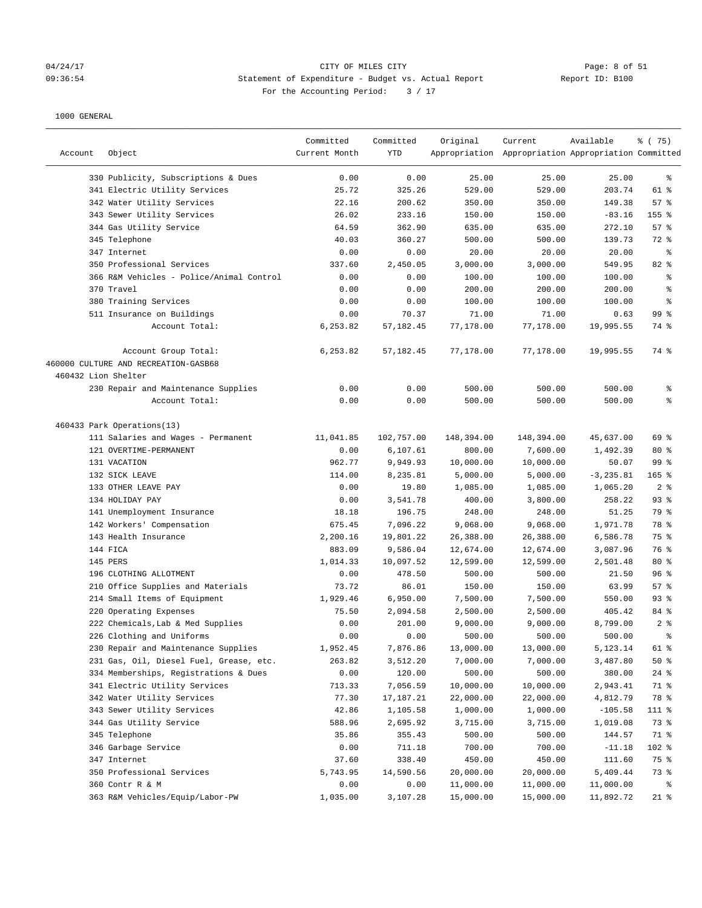## 04/24/17 CITY OF MILES CITY Page: 8 of 51 09:36:54 Statement of Expenditure - Budget vs. Actual Report Changer Report ID: B100 For the Accounting Period: 3 / 17

| Account             | Object                                   | Committed<br>Current Month | Committed<br><b>YTD</b> | Original   | Current<br>Appropriation Appropriation Appropriation Committed | Available    | 8 (75)          |
|---------------------|------------------------------------------|----------------------------|-------------------------|------------|----------------------------------------------------------------|--------------|-----------------|
|                     | 330 Publicity, Subscriptions & Dues      | 0.00                       | 0.00                    | 25.00      | 25.00                                                          | 25.00        | ႜ               |
|                     | 341 Electric Utility Services            | 25.72                      | 325.26                  | 529.00     | 529.00                                                         | 203.74       | 61 %            |
|                     | 342 Water Utility Services               | 22.16                      | 200.62                  | 350.00     | 350.00                                                         | 149.38       | 57%             |
|                     | 343 Sewer Utility Services               | 26.02                      | 233.16                  | 150.00     | 150.00                                                         | $-83.16$     | 155 %           |
|                     | 344 Gas Utility Service                  | 64.59                      | 362.90                  | 635.00     | 635.00                                                         | 272.10       | 57%             |
|                     | 345 Telephone                            | 40.03                      | 360.27                  | 500.00     | 500.00                                                         | 139.73       | 72 %            |
|                     | 347 Internet                             | 0.00                       | 0.00                    | 20.00      | 20.00                                                          | 20.00        | နွ              |
|                     | 350 Professional Services                | 337.60                     | 2,450.05                | 3,000.00   | 3,000.00                                                       | 549.95       | 82 %            |
|                     | 366 R&M Vehicles - Police/Animal Control | 0.00                       | 0.00                    | 100.00     | 100.00                                                         | 100.00       | ್ಠಿ             |
|                     | 370 Travel                               | 0.00                       | 0.00                    | 200.00     | 200.00                                                         | 200.00       | ್ಠಿ             |
|                     | 380 Training Services                    | 0.00                       | 0.00                    | 100.00     | 100.00                                                         | 100.00       | နွ              |
|                     | 511 Insurance on Buildings               | 0.00                       | 70.37                   | 71.00      | 71.00                                                          | 0.63         | 99 <sup>8</sup> |
|                     | Account Total:                           | 6,253.82                   | 57, 182.45              | 77,178.00  | 77,178.00                                                      | 19,995.55    | 74 %            |
|                     | Account Group Total:                     | 6,253.82                   | 57, 182.45              | 77,178.00  | 77,178.00                                                      | 19,995.55    | 74 %            |
|                     | 460000 CULTURE AND RECREATION-GASB68     |                            |                         |            |                                                                |              |                 |
| 460432 Lion Shelter |                                          |                            |                         |            |                                                                |              |                 |
|                     | 230 Repair and Maintenance Supplies      | 0.00                       | 0.00                    | 500.00     | 500.00                                                         | 500.00       | နွ              |
|                     | Account Total:                           | 0.00                       | 0.00                    | 500.00     | 500.00                                                         | 500.00       | ి               |
|                     | 460433 Park Operations(13)               |                            |                         |            |                                                                |              |                 |
|                     | 111 Salaries and Wages - Permanent       | 11,041.85                  | 102,757.00              | 148,394.00 | 148,394.00                                                     | 45,637.00    | 69 %            |
|                     | 121 OVERTIME-PERMANENT                   | 0.00                       | 6,107.61                | 800.00     | 7,600.00                                                       | 1,492.39     | $80*$           |
|                     | 131 VACATION                             | 962.77                     | 9,949.93                | 10,000.00  | 10,000.00                                                      | 50.07        | 99 %            |
|                     | 132 SICK LEAVE                           | 114.00                     | 8,235.81                | 5,000.00   | 5,000.00                                                       | $-3, 235.81$ | $165$ %         |
|                     | 133 OTHER LEAVE PAY                      | 0.00                       | 19.80                   | 1,085.00   | 1,085.00                                                       | 1,065.20     | 2%              |
|                     | 134 HOLIDAY PAY                          | 0.00                       | 3,541.78                | 400.00     | 3,800.00                                                       | 258.22       | 93%             |
|                     | 141 Unemployment Insurance               | 18.18                      | 196.75                  | 248.00     | 248.00                                                         | 51.25        | 79 %            |
|                     | 142 Workers' Compensation                | 675.45                     | 7,096.22                | 9,068.00   | 9,068.00                                                       | 1,971.78     | 78 %            |
|                     | 143 Health Insurance                     | 2,200.16                   | 19,801.22               | 26,388.00  | 26,388.00                                                      | 6,586.78     | 75 %            |
|                     | 144 FICA                                 | 883.09                     | 9,586.04                | 12,674.00  | 12,674.00                                                      | 3,087.96     | 76 %            |
|                     | 145 PERS                                 | 1,014.33                   | 10,097.52               | 12,599.00  | 12,599.00                                                      | 2,501.48     | $80*$           |
|                     | 196 CLOTHING ALLOTMENT                   | 0.00                       | 478.50                  | 500.00     | 500.00                                                         | 21.50        | 96%             |
|                     | 210 Office Supplies and Materials        | 73.72                      | 86.01                   | 150.00     | 150.00                                                         | 63.99        | 57%             |
|                     | 214 Small Items of Equipment             | 1,929.46                   | 6,950.00                | 7,500.00   | 7,500.00                                                       | 550.00       | $93$ $%$        |
|                     | 220 Operating Expenses                   | 75.50                      | 2,094.58                | 2,500.00   | 2,500.00                                                       | 405.42       | 84 %            |
|                     | 222 Chemicals, Lab & Med Supplies        | 0.00                       | 201.00                  | 9,000.00   | 9,000.00                                                       | 8,799.00     | 2%              |
|                     | 226 Clothing and Uniforms                | 0.00                       | 0.00                    | 500.00     | 500.00                                                         | 500.00       | ÷,              |
|                     | 230 Repair and Maintenance Supplies      | 1,952.45                   | 7,876.86                | 13,000.00  | 13,000.00                                                      | 5,123.14     | 61 %            |
|                     | 231 Gas, Oil, Diesel Fuel, Grease, etc.  | 263.82                     | 3,512.20                | 7,000.00   | 7,000.00                                                       | 3,487.80     | 50%             |
|                     | 334 Memberships, Registrations & Dues    | 0.00                       | 120.00                  | 500.00     | 500.00                                                         | 380.00       | $24$ %          |
|                     | 341 Electric Utility Services            | 713.33                     | 7,056.59                | 10,000.00  | 10,000.00                                                      | 2,943.41     | 71 %            |
|                     | 342 Water Utility Services               | 77.30                      | 17,187.21               | 22,000.00  | 22,000.00                                                      | 4,812.79     | 78 %            |
|                     | 343 Sewer Utility Services               | 42.86                      | 1,105.58                | 1,000.00   | 1,000.00                                                       | $-105.58$    | 111 %           |
|                     | 344 Gas Utility Service                  | 588.96                     | 2,695.92                | 3,715.00   | 3,715.00                                                       | 1,019.08     | 73 %            |
|                     | 345 Telephone                            | 35.86                      | 355.43                  | 500.00     | 500.00                                                         | 144.57       | 71 %            |
|                     | 346 Garbage Service                      | 0.00                       | 711.18                  | 700.00     | 700.00                                                         | $-11.18$     | 102 %           |
|                     | 347 Internet                             | 37.60                      | 338.40                  | 450.00     | 450.00                                                         | 111.60       | 75 %            |
|                     | 350 Professional Services                | 5,743.95                   | 14,590.56               | 20,000.00  | 20,000.00                                                      | 5,409.44     | 73 %            |
|                     | 360 Contr R & M                          | 0.00                       | 0.00                    | 11,000.00  | 11,000.00                                                      | 11,000.00    | ိ               |
|                     | 363 R&M Vehicles/Equip/Labor-PW          | 1,035.00                   | 3,107.28                | 15,000.00  | 15,000.00                                                      | 11,892.72    | $21$ %          |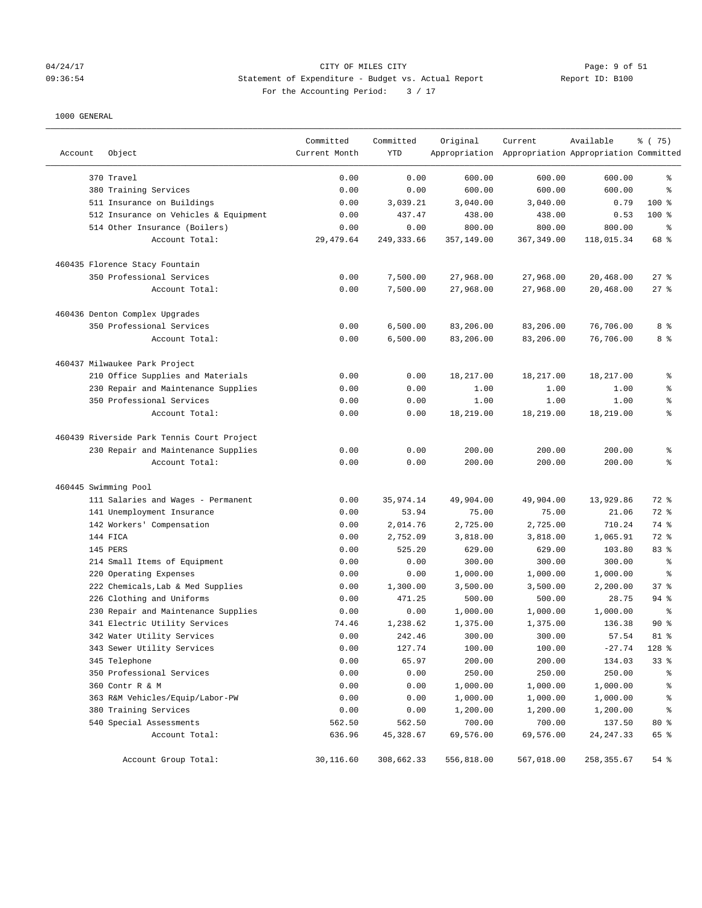### 04/24/17 CITY OF MILES CITY Page: 9 of 51 09:36:54 Statement of Expenditure - Budget vs. Actual Report Report ID: B100 For the Accounting Period:  $3 / 17$

| Account              | Object                                              | Committed<br>Current Month | Committed<br>YTD | Original             | Current<br>Appropriation Appropriation Appropriation Committed | Available          | 8 (75)     |
|----------------------|-----------------------------------------------------|----------------------------|------------------|----------------------|----------------------------------------------------------------|--------------------|------------|
|                      |                                                     |                            |                  |                      |                                                                |                    | ి          |
|                      | 370 Travel                                          | 0.00<br>0.00               | 0.00<br>0.00     | 600.00<br>600.00     | 600.00<br>600.00                                               | 600.00<br>600.00   | ి          |
|                      | 380 Training Services<br>511 Insurance on Buildings | 0.00                       | 3,039.21         | 3,040.00             | 3,040.00                                                       | 0.79               | $100$ %    |
|                      | 512 Insurance on Vehicles & Equipment               | 0.00                       | 437.47           | 438.00               | 438.00                                                         | 0.53               | $100$ %    |
|                      | 514 Other Insurance (Boilers)                       | 0.00                       | 0.00             | 800.00               | 800.00                                                         | 800.00             | ್ಠಿ        |
|                      | Account Total:                                      | 29, 479.64                 | 249, 333.66      | 357,149.00           | 367,349.00                                                     | 118,015.34         | 68 %       |
|                      | 460435 Florence Stacy Fountain                      |                            |                  |                      |                                                                |                    |            |
|                      | 350 Professional Services                           | 0.00                       | 7,500.00         | 27,968.00            | 27,968.00                                                      | 20,468.00          | $27$ %     |
|                      | Account Total:                                      | 0.00                       | 7,500.00         | 27,968.00            | 27,968.00                                                      | 20,468.00          | 27%        |
|                      | 460436 Denton Complex Upgrades                      |                            |                  |                      |                                                                |                    |            |
|                      | 350 Professional Services                           | 0.00                       | 6,500.00         | 83,206.00            | 83,206.00                                                      | 76,706.00          | 8 %        |
|                      | Account Total:                                      | 0.00                       | 6,500.00         | 83,206.00            | 83,206.00                                                      | 76,706.00          | 8 %        |
|                      | 460437 Milwaukee Park Project                       |                            |                  |                      |                                                                |                    |            |
|                      | 210 Office Supplies and Materials                   | 0.00                       | 0.00             | 18,217.00            | 18,217.00                                                      | 18,217.00          | ್ಠಿ        |
|                      | 230 Repair and Maintenance Supplies                 | 0.00                       | 0.00             | 1.00                 | 1.00                                                           | 1.00               | ್ಠಿ        |
|                      | 350 Professional Services                           | 0.00                       | 0.00             | 1.00                 | 1.00                                                           | 1.00               | ್ಠಿ        |
|                      | Account Total:                                      | 0.00                       | 0.00             | 18,219.00            | 18,219.00                                                      | 18,219.00          | $\epsilon$ |
|                      | 460439 Riverside Park Tennis Court Project          |                            |                  |                      |                                                                |                    |            |
|                      | 230 Repair and Maintenance Supplies                 | 0.00                       | 0.00             | 200.00               | 200.00                                                         | 200.00             | ್ಠಿ        |
|                      | Account Total:                                      | 0.00                       | 0.00             | 200.00               | 200.00                                                         | 200.00             | ి          |
| 460445 Swimming Pool |                                                     |                            |                  |                      |                                                                |                    |            |
|                      | 111 Salaries and Wages - Permanent                  | 0.00                       | 35,974.14        | 49,904.00            | 49,904.00                                                      | 13,929.86          | 72 %       |
|                      | 141 Unemployment Insurance                          | 0.00                       | 53.94            | 75.00                | 75.00                                                          | 21.06              | 72 %       |
|                      | 142 Workers' Compensation                           | 0.00                       | 2,014.76         | 2,725.00             | 2,725.00                                                       | 710.24             | 74 %       |
|                      | 144 FICA                                            | 0.00                       | 2,752.09         | 3,818.00             | 3,818.00                                                       | 1,065.91           | 72 %       |
|                      | 145 PERS                                            | 0.00                       | 525.20           | 629.00               | 629.00                                                         | 103.80             | 83 %       |
|                      | 214 Small Items of Equipment                        | 0.00                       | 0.00             | 300.00               | 300.00                                                         | 300.00             | နွ         |
|                      | 220 Operating Expenses                              | 0.00                       | 0.00             | 1,000.00             | 1,000.00                                                       | 1,000.00           | ి          |
|                      | 222 Chemicals, Lab & Med Supplies                   | 0.00                       | 1,300.00         | 3,500.00             | 3,500.00                                                       | 2,200.00           | 37%        |
|                      | 226 Clothing and Uniforms                           | 0.00                       | 471.25           | 500.00               | 500.00                                                         | 28.75              | $94$ %     |
|                      | 230 Repair and Maintenance Supplies                 | 0.00                       | 0.00             | 1,000.00             | 1,000.00                                                       | 1,000.00           | ి          |
|                      | 341 Electric Utility Services                       | 74.46                      | 1,238.62         | 1,375.00             | 1,375.00                                                       | 136.38             | $90*$      |
|                      | 342 Water Utility Services                          | 0.00                       | 242.46           | 300.00               | 300.00                                                         | 57.54              | $81$ %     |
|                      | 343 Sewer Utility Services                          | 0.00                       | 127.74           | 100.00               | 100.00                                                         | $-27.74$           | 128 %      |
|                      | 345 Telephone                                       | 0.00                       | 65.97            | 200.00               | 200.00                                                         | 134.03             | 33%        |
|                      | 350 Professional Services                           | 0.00                       | 0.00             | 250.00               | 250.00                                                         | 250.00             | န့         |
|                      | 360 Contr R & M<br>363 R&M Vehicles/Equip/Labor-PW  | 0.00                       | 0.00             | 1,000.00             | 1,000.00                                                       | 1,000.00           | န့         |
|                      | 380 Training Services                               | 0.00<br>0.00               | 0.00             | 1,000.00<br>1,200.00 | 1,000.00                                                       | 1,000.00           | န့<br>್ಠಿ  |
|                      | 540 Special Assessments                             | 562.50                     | 0.00<br>562.50   | 700.00               | 1,200.00<br>700.00                                             | 1,200.00<br>137.50 | $80*$      |
|                      | Account Total:                                      | 636.96                     | 45,328.67        | 69,576.00            | 69,576.00                                                      | 24, 247.33         | 65 %       |
|                      | Account Group Total:                                | 30,116.60                  | 308,662.33       | 556,818.00           | 567,018.00                                                     | 258,355.67         | 54 %       |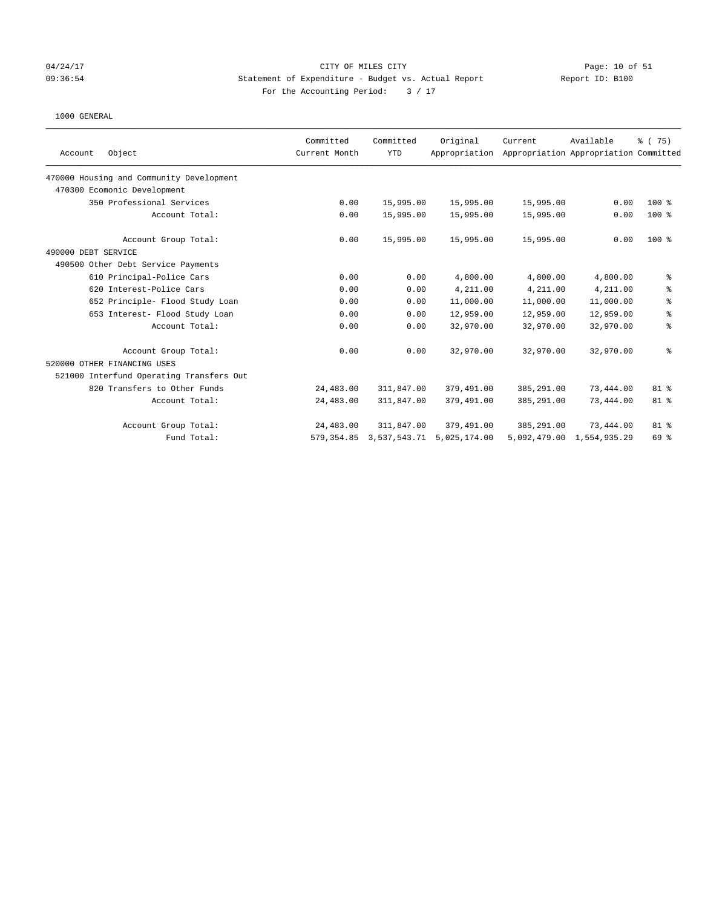### 04/24/17 Page: 10 of 51 09:36:54 Statement of Expenditure - Budget vs. Actual Report Report ID: B100 For the Accounting Period:  $3 / 17$

|                                          | Committed     | Committed    | Original      | Current    | Available                             | % (75)         |
|------------------------------------------|---------------|--------------|---------------|------------|---------------------------------------|----------------|
| Object<br>Account                        | Current Month | <b>YTD</b>   | Appropriation |            | Appropriation Appropriation Committed |                |
| 470000 Housing and Community Development |               |              |               |            |                                       |                |
| 470300 Ecomonic Development              |               |              |               |            |                                       |                |
| 350 Professional Services                | 0.00          | 15,995.00    | 15,995.00     | 15,995.00  | 0.00                                  | $100*$         |
| Account Total:                           | 0.00          | 15,995.00    | 15,995.00     | 15,995.00  | 0.00                                  | $100$ %        |
| Account Group Total:                     | 0.00          | 15,995.00    | 15,995.00     | 15,995.00  | 0.00                                  | $100$ %        |
| 490000 DEBT SERVICE                      |               |              |               |            |                                       |                |
| 490500 Other Debt Service Payments       |               |              |               |            |                                       |                |
| 610 Principal-Police Cars                | 0.00          | 0.00         | 4,800.00      | 4,800.00   | 4,800.00                              | ್ಠಿ            |
| 620 Interest-Police Cars                 | 0.00          | 0.00         | 4,211.00      | 4,211.00   | 4,211.00                              | ి              |
| 652 Principle- Flood Study Loan          | 0.00          | 0.00         | 11,000.00     | 11,000.00  | 11,000.00                             | နွ             |
| 653 Interest- Flood Study Loan           | 0.00          | 0.00         | 12,959.00     | 12,959.00  | 12,959.00                             | $\,$ $\,$ $\,$ |
| Account Total:                           | 0.00          | 0.00         | 32,970.00     | 32,970.00  | 32,970.00                             | နွ             |
| Account Group Total:                     | 0.00          | 0.00         | 32,970.00     | 32,970.00  | 32,970.00                             | ి              |
| 520000 OTHER FINANCING USES              |               |              |               |            |                                       |                |
| 521000 Interfund Operating Transfers Out |               |              |               |            |                                       |                |
| 820 Transfers to Other Funds             | 24,483.00     | 311,847.00   | 379,491.00    | 385,291.00 | 73,444.00                             | 81 %           |
| Account Total:                           | 24,483.00     | 311,847.00   | 379,491.00    | 385,291.00 | 73,444.00                             | 81 %           |
| Account Group Total:                     | 24,483.00     | 311,847.00   | 379,491.00    | 385,291.00 | 73,444.00                             | $81$ %         |
| Fund Total:                              | 579,354.85    | 3,537,543.71 | 5,025,174.00  |            | 5,092,479.00 1,554,935.29             | 69 %           |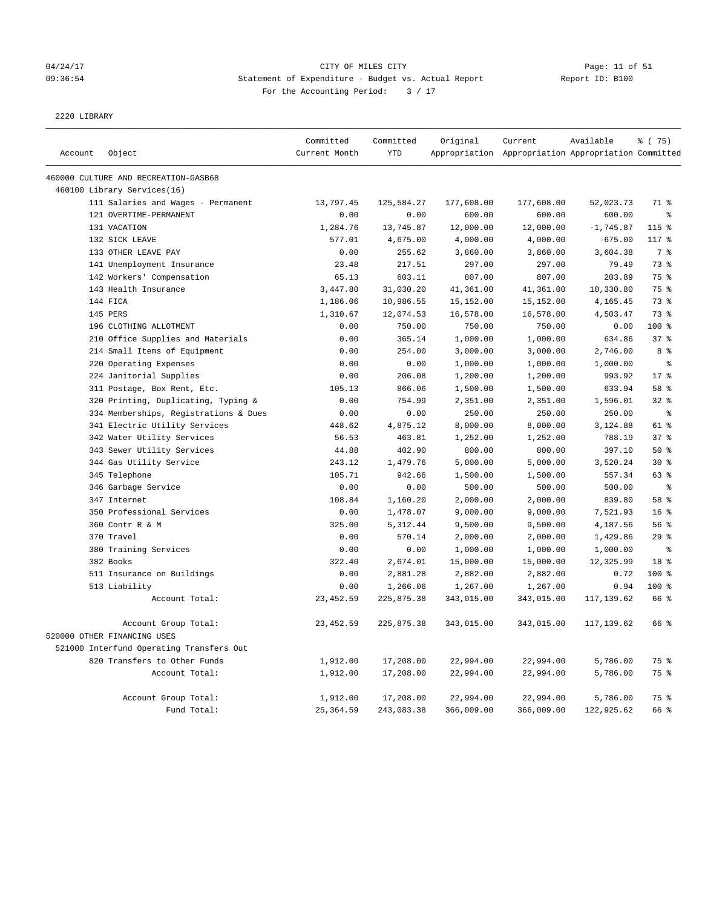## 04/24/17 Page: 11 of 51 09:36:54 Statement of Expenditure - Budget vs. Actual Report Changer Report ID: B100 For the Accounting Period: 3 / 17

2220 LIBRARY

|         |                                          | Committed     | Committed  | Original   | Current                                             | Available   | % (75)          |
|---------|------------------------------------------|---------------|------------|------------|-----------------------------------------------------|-------------|-----------------|
| Account | Object                                   | Current Month | <b>YTD</b> |            | Appropriation Appropriation Appropriation Committed |             |                 |
|         | 460000 CULTURE AND RECREATION-GASB68     |               |            |            |                                                     |             |                 |
|         | 460100 Library Services(16)              |               |            |            |                                                     |             |                 |
|         | 111 Salaries and Wages - Permanent       | 13,797.45     | 125,584.27 | 177,608.00 | 177,608.00                                          | 52,023.73   | 71 %            |
|         | 121 OVERTIME-PERMANENT                   | 0.00          | 0.00       | 600.00     | 600.00                                              | 600.00      | $\approx$       |
|         | 131 VACATION                             | 1,284.76      | 13,745.87  | 12,000.00  | 12,000.00                                           | $-1,745.87$ | 115 %           |
|         | 132 SICK LEAVE                           | 577.01        | 4,675.00   | 4,000.00   | 4,000.00                                            | $-675.00$   | 117 %           |
|         | 133 OTHER LEAVE PAY                      | 0.00          | 255.62     | 3,860.00   | 3,860.00                                            | 3,604.38    | 7 <sup>8</sup>  |
|         | 141 Unemployment Insurance               | 23.48         | 217.51     | 297.00     | 297.00                                              | 79.49       | 73 %            |
|         | 142 Workers' Compensation                | 65.13         | 603.11     | 807.00     | 807.00                                              | 203.89      | 75 %            |
|         | 143 Health Insurance                     | 3,447.80      | 31,030.20  | 41,361.00  | 41,361.00                                           | 10,330.80   | 75 %            |
|         | 144 FICA                                 | 1,186.06      | 10,986.55  | 15,152.00  | 15,152.00                                           | 4,165.45    | 73 %            |
|         | 145 PERS                                 | 1,310.67      | 12,074.53  | 16,578.00  | 16,578.00                                           | 4,503.47    | 73 %            |
|         | 196 CLOTHING ALLOTMENT                   | 0.00          | 750.00     | 750.00     | 750.00                                              | 0.00        | 100 %           |
|         | 210 Office Supplies and Materials        | 0.00          | 365.14     | 1,000.00   | 1,000.00                                            | 634.86      | 37%             |
|         | 214 Small Items of Equipment             | 0.00          | 254.00     | 3,000.00   | 3,000.00                                            | 2,746.00    | 8 %             |
|         | 220 Operating Expenses                   | 0.00          | 0.00       | 1,000.00   | 1,000.00                                            | 1,000.00    | နွ              |
|         | 224 Janitorial Supplies                  | 0.00          | 206.08     | 1,200.00   | 1,200.00                                            | 993.92      | 17 <sup>8</sup> |
|         | 311 Postage, Box Rent, Etc.              | 105.13        | 866.06     | 1,500.00   | 1,500.00                                            | 633.94      | 58 %            |
|         | 320 Printing, Duplicating, Typing &      | 0.00          | 754.99     | 2,351.00   | 2,351.00                                            | 1,596.01    | 32%             |
|         | 334 Memberships, Registrations & Dues    | 0.00          | 0.00       | 250.00     | 250.00                                              | 250.00      | $\rm ^{9}$      |
|         | 341 Electric Utility Services            | 448.62        | 4,875.12   | 8,000.00   | 8,000.00                                            | 3,124.88    | 61 %            |
|         | 342 Water Utility Services               | 56.53         | 463.81     | 1,252.00   | 1,252.00                                            | 788.19      | 37%             |
|         | 343 Sewer Utility Services               | 44.88         | 402.90     | 800.00     | 800.00                                              | 397.10      | 50%             |
|         | 344 Gas Utility Service                  | 243.12        | 1,479.76   | 5,000.00   | 5,000.00                                            | 3,520.24    | $30*$           |
|         | 345 Telephone                            | 105.71        | 942.66     | 1,500.00   | 1,500.00                                            | 557.34      | 63 %            |
|         | 346 Garbage Service                      | 0.00          | 0.00       | 500.00     | 500.00                                              | 500.00      | $\rm ^{9}$      |
|         | 347 Internet                             | 108.84        | 1,160.20   | 2,000.00   | 2,000.00                                            | 839.80      | 58 %            |
|         | 350 Professional Services                | 0.00          | 1,478.07   | 9,000.00   | 9,000.00                                            | 7,521.93    | 16 <sup>8</sup> |
|         | 360 Contr R & M                          | 325.00        | 5, 312.44  | 9,500.00   | 9,500.00                                            | 4,187.56    | 56 %            |
|         | 370 Travel                               | 0.00          | 570.14     | 2,000.00   | 2,000.00                                            | 1,429.86    | $29$ %          |
|         | 380 Training Services                    | 0.00          | 0.00       | 1,000.00   | 1,000.00                                            | 1,000.00    | $\epsilon$      |
|         | 382 Books                                | 322.40        | 2,674.01   | 15,000.00  | 15,000.00                                           | 12,325.99   | 18 %            |
|         | 511 Insurance on Buildings               | 0.00          | 2,881.28   | 2,882.00   | 2,882.00                                            | 0.72        | 100 %           |
|         | 513 Liability                            | 0.00          | 1,266.06   | 1,267.00   | 1,267.00                                            | 0.94        | $100*$          |
|         | Account Total:                           | 23, 452.59    | 225,875.38 | 343,015.00 | 343,015.00                                          | 117,139.62  | 66 %            |
|         | Account Group Total:                     | 23, 452.59    | 225,875.38 | 343,015.00 | 343,015.00                                          | 117,139.62  | 66 %            |
|         | 520000 OTHER FINANCING USES              |               |            |            |                                                     |             |                 |
|         | 521000 Interfund Operating Transfers Out |               |            |            |                                                     |             |                 |
|         | 820 Transfers to Other Funds             | 1,912.00      | 17,208.00  | 22,994.00  | 22,994.00                                           | 5,786.00    | 75 %            |
|         | Account Total:                           | 1,912.00      | 17,208.00  | 22,994.00  | 22,994.00                                           | 5,786.00    | 75 %            |
|         | Account Group Total:                     | 1,912.00      | 17,208.00  | 22,994.00  | 22,994.00                                           | 5,786.00    | 75 %            |
|         | Fund Total:                              | 25, 364.59    | 243,083.38 | 366,009.00 | 366,009.00                                          | 122,925.62  | 66 %            |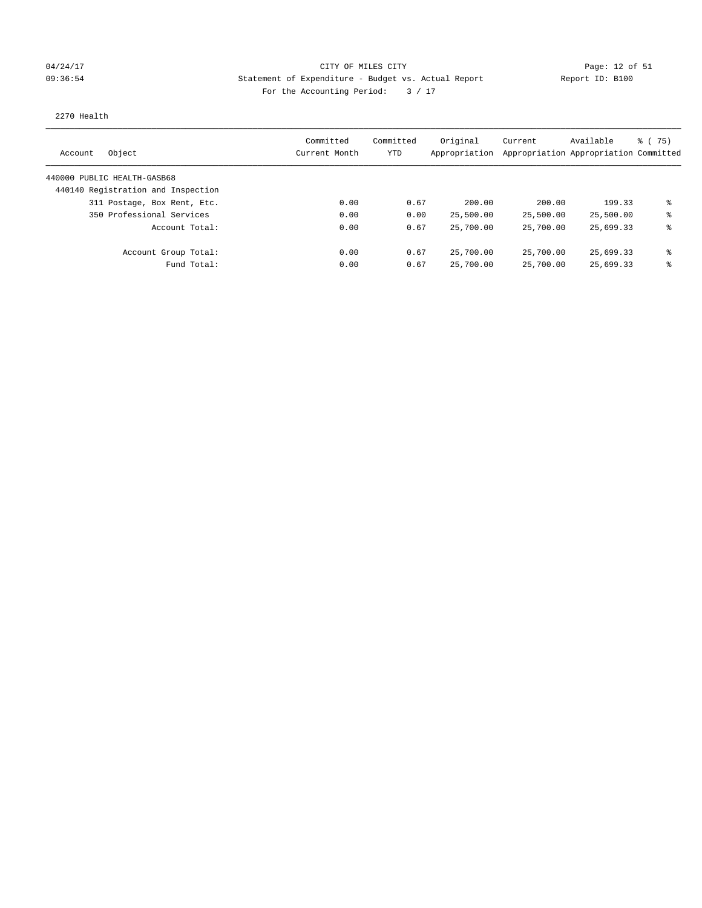### 04/24/17 Page: 12 of 51 and 04/24/17 Page: 12 of 51 09:36:54 Statement of Expenditure - Budget vs. Actual Report Report ID: B100 For the Accounting Period:  $3 / 17$

### 2270 Health

| Object<br>Account                  | Committed<br>Current Month | Committed<br>YTD | Original<br>Appropriation | Current   | Available<br>Appropriation Appropriation Committed | 8 (75) |
|------------------------------------|----------------------------|------------------|---------------------------|-----------|----------------------------------------------------|--------|
| 440000 PUBLIC HEALTH-GASB68        |                            |                  |                           |           |                                                    |        |
| 440140 Registration and Inspection |                            |                  |                           |           |                                                    |        |
| 311 Postage, Box Rent, Etc.        | 0.00                       | 0.67             | 200.00                    | 200.00    | 199.33                                             | နွ     |
| 350 Professional Services          | 0.00                       | 0.00             | 25,500.00                 | 25,500.00 | 25,500.00                                          | ま      |
| Account Total:                     | 0.00                       | 0.67             | 25,700.00                 | 25,700.00 | 25,699.33                                          | ⊱      |
| Account Group Total:               | 0.00                       | 0.67             | 25,700.00                 | 25,700.00 | 25,699.33                                          | ま      |
| Fund Total:                        | 0.00                       | 0.67             | 25,700.00                 | 25,700.00 | 25,699.33                                          | နွ     |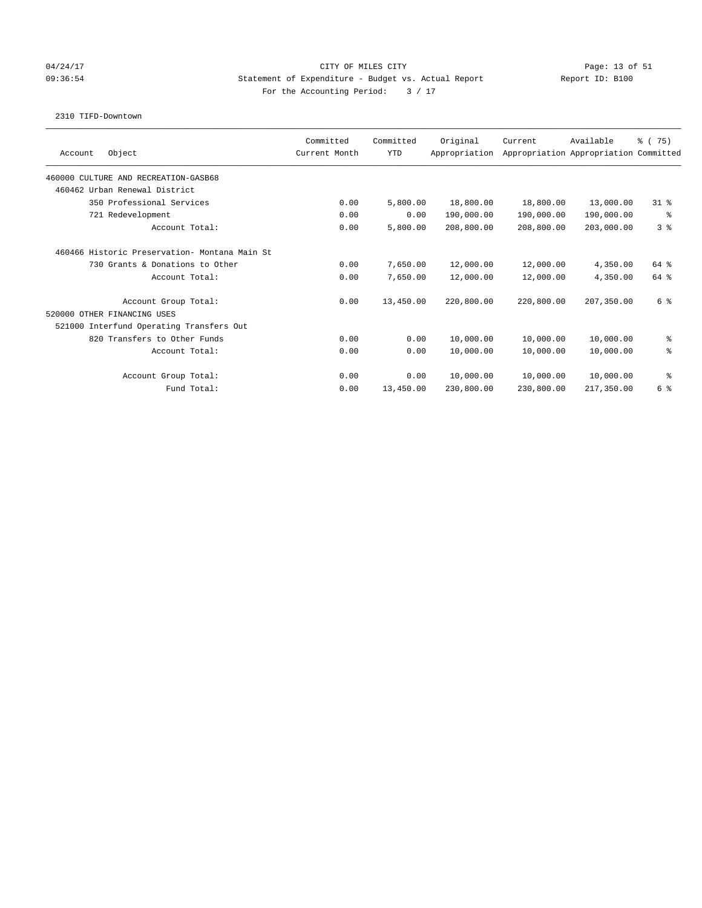### 04/24/17 Page: 13 of 51 09:36:54 Statement of Expenditure - Budget vs. Actual Report Report ID: B100 For the Accounting Period:  $3 / 17$

### 2310 TIFD-Downtown

| Object<br>Account                             | Committed<br>Current Month | Committed<br><b>YTD</b> | Original<br>Appropriation | Current    | Available<br>Appropriation Appropriation Committed | % (75)         |
|-----------------------------------------------|----------------------------|-------------------------|---------------------------|------------|----------------------------------------------------|----------------|
| 460000 CULTURE AND RECREATION-GASB68          |                            |                         |                           |            |                                                    |                |
| 460462 Urban Renewal District                 |                            |                         |                           |            |                                                    |                |
| 350 Professional Services                     | 0.00                       | 5,800.00                | 18,800.00                 | 18,800.00  | 13,000.00                                          | $31*$          |
| 721 Redevelopment                             | 0.00                       | 0.00                    | 190,000.00                | 190,000.00 | 190,000.00                                         | နွ             |
| Account Total:                                | 0.00                       | 5,800.00                | 208,800.00                | 208,800.00 | 203,000.00                                         | 3 <sup>8</sup> |
| 460466 Historic Preservation- Montana Main St |                            |                         |                           |            |                                                    |                |
| 730 Grants & Donations to Other               | 0.00                       | 7,650.00                | 12,000.00                 | 12,000.00  | 4,350.00                                           | 64 %           |
| Account Total:                                | 0.00                       | 7,650.00                | 12,000.00                 | 12,000.00  | 4,350.00                                           | 64 %           |
| Account Group Total:                          | 0.00                       | 13,450.00               | 220,800.00                | 220,800.00 | 207,350.00                                         | 6 %            |
| 520000 OTHER FINANCING USES                   |                            |                         |                           |            |                                                    |                |
| 521000 Interfund Operating Transfers Out      |                            |                         |                           |            |                                                    |                |
| 820 Transfers to Other Funds                  | 0.00                       | 0.00                    | 10,000.00                 | 10,000.00  | 10,000.00                                          | နွ             |
| Account Total:                                | 0.00                       | 0.00                    | 10,000.00                 | 10,000.00  | 10,000.00                                          | る              |
| Account Group Total:                          | 0.00                       | 0.00                    | 10,000.00                 | 10,000.00  | 10,000.00                                          | နွ             |
| Fund Total:                                   | 0.00                       | 13,450.00               | 230,800.00                | 230,800.00 | 217,350.00                                         | 6 %            |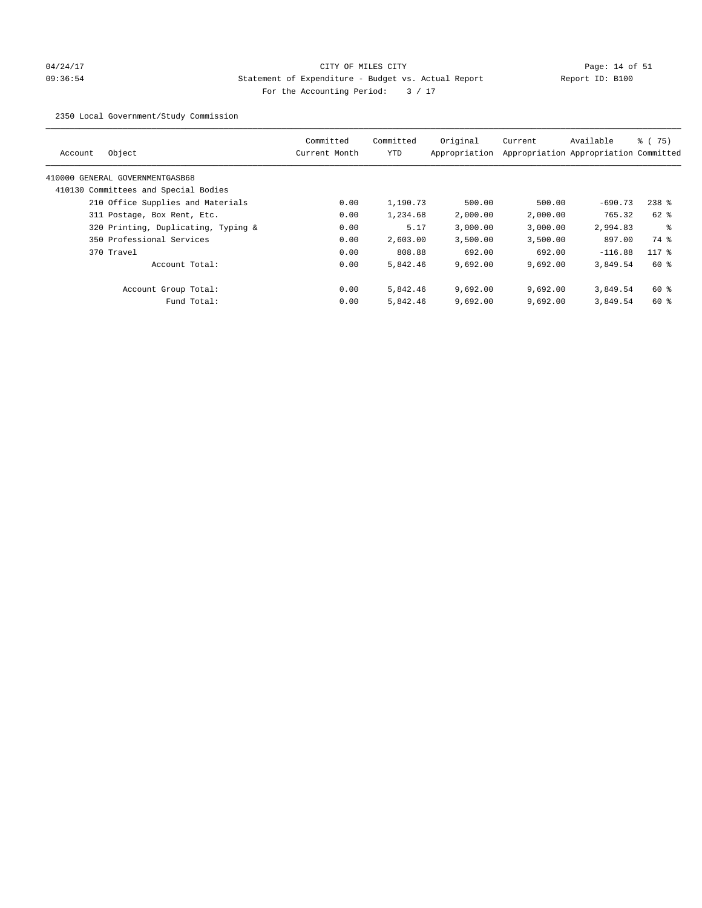# 04/24/17 Page: 14 of 51 09:36:54 Statement of Expenditure - Budget vs. Actual Report Changer (Report ID: B100 For the Accounting Period: 3 / 17

2350 Local Government/Study Commission

| Object<br>Account                    | Committed<br>Current Month | Committed<br><b>YTD</b> | Original<br>Appropriation | Current  | Available<br>Appropriation Appropriation Committed | $\frac{6}{6}$ (75) |
|--------------------------------------|----------------------------|-------------------------|---------------------------|----------|----------------------------------------------------|--------------------|
| 410000 GENERAL GOVERNMENTGASB68      |                            |                         |                           |          |                                                    |                    |
| 410130 Committees and Special Bodies |                            |                         |                           |          |                                                    |                    |
| 210 Office Supplies and Materials    | 0.00                       | 1,190.73                | 500.00                    | 500.00   | $-690.73$                                          | $238$ %            |
| 311 Postage, Box Rent, Etc.          | 0.00                       | 1,234.68                | 2,000.00                  | 2,000.00 | 765.32                                             | 62 %               |
| 320 Printing, Duplicating, Typing &  | 0.00                       | 5.17                    | 3,000.00                  | 3,000.00 | 2,994.83                                           | ႜ                  |
| 350 Professional Services            | 0.00                       | 2,603.00                | 3,500.00                  | 3,500.00 | 897.00                                             | 74 %               |
| 370 Travel                           | 0.00                       | 808.88                  | 692.00                    | 692.00   | $-116.88$                                          | $117*$             |
| Account Total:                       | 0.00                       | 5,842.46                | 9,692.00                  | 9,692.00 | 3,849.54                                           | $60*$              |
| Account Group Total:                 | 0.00                       | 5,842.46                | 9,692.00                  | 9.692.00 | 3,849.54                                           | 60 %               |
| Fund Total:                          | 0.00                       | 5,842.46                | 9,692.00                  | 9,692.00 | 3,849.54                                           | $60*$              |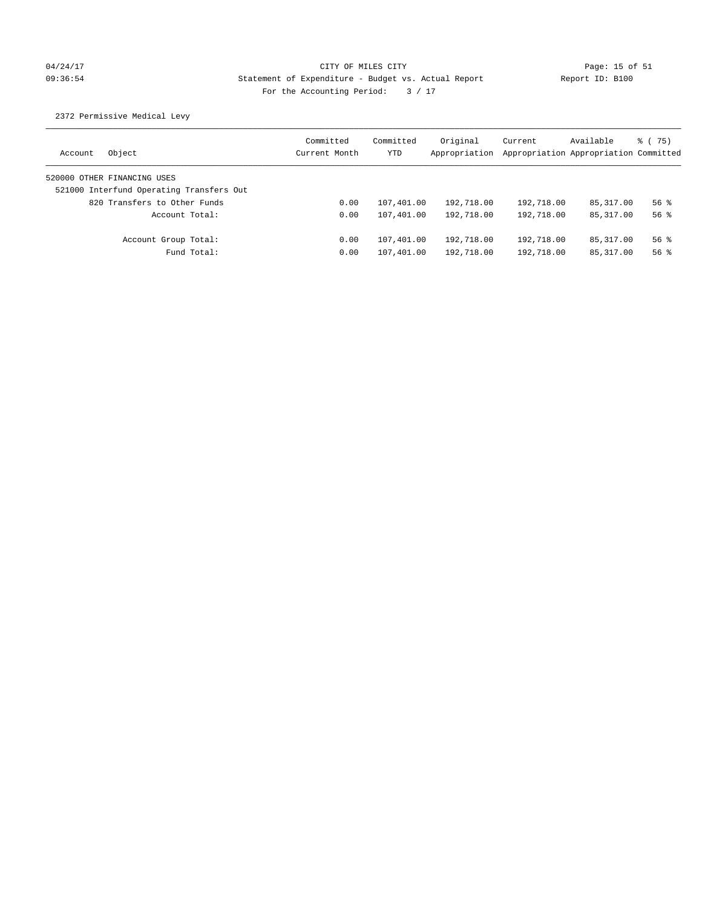# 04/24/17 Page: 15 of 51 09:36:54 Statement of Expenditure - Budget vs. Actual Report Report ID: B100 For the Accounting Period:  $3 / 17$

2372 Permissive Medical Levy

| Object<br>Account                        | Committed<br>Current Month | Committed<br>YTD | Original<br>Appropriation | Current    | Available<br>Appropriation Appropriation Committed | 8 (75)   |
|------------------------------------------|----------------------------|------------------|---------------------------|------------|----------------------------------------------------|----------|
| 520000 OTHER FINANCING USES              |                            |                  |                           |            |                                                    |          |
| 521000 Interfund Operating Transfers Out |                            |                  |                           |            |                                                    |          |
| 820 Transfers to Other Funds             | 0.00                       | 107,401.00       | 192,718.00                | 192,718.00 | 85,317.00                                          | $56$ $%$ |
| Account Total:                           | 0.00                       | 107,401.00       | 192,718.00                | 192,718.00 | 85, 317, 00                                        | $56$ $%$ |
| Account Group Total:                     | 0.00                       | 107,401.00       | 192,718.00                | 192,718.00 | 85,317.00                                          | $56$ $%$ |
| Fund Total:                              | 0.00                       | 107,401.00       | 192,718.00                | 192,718.00 | 85,317.00                                          | $56$ $%$ |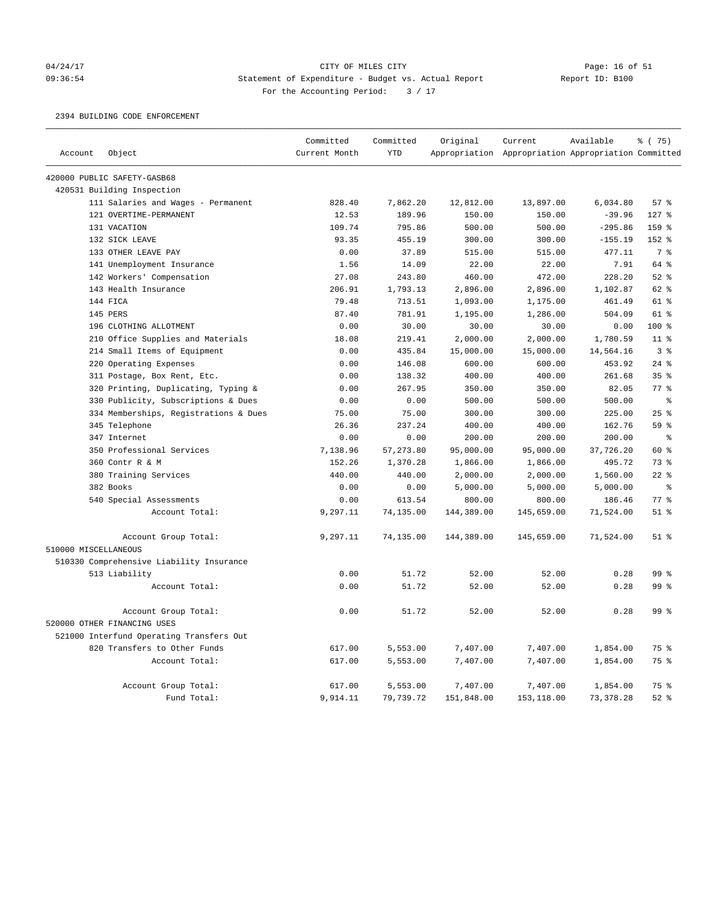### 04/24/17 CITY OF MILES CITY Page: 16 of 51 09:36:54 Statement of Expenditure - Budget vs. Actual Report Report ID: B100 For the Accounting Period:  $3 / 17$

2394 BUILDING CODE ENFORCEMENT

|                      |                                          | Committed     | Committed  | Original   | Current                                             | Available  | % (75)         |
|----------------------|------------------------------------------|---------------|------------|------------|-----------------------------------------------------|------------|----------------|
| Account              | Object                                   | Current Month | <b>YTD</b> |            | Appropriation Appropriation Appropriation Committed |            |                |
|                      | 420000 PUBLIC SAFETY-GASB68              |               |            |            |                                                     |            |                |
|                      | 420531 Building Inspection               |               |            |            |                                                     |            |                |
|                      | 111 Salaries and Wages - Permanent       | 828.40        | 7,862.20   | 12,812.00  | 13,897.00                                           | 6,034.80   | 57%            |
|                      | 121 OVERTIME-PERMANENT                   | 12.53         | 189.96     | 150.00     | 150.00                                              | $-39.96$   | $127$ %        |
|                      | 131 VACATION                             | 109.74        | 795.86     | 500.00     | 500.00                                              | $-295.86$  | 159 %          |
|                      | 132 SICK LEAVE                           | 93.35         | 455.19     | 300.00     | 300.00                                              | $-155.19$  | 152 %          |
|                      | 133 OTHER LEAVE PAY                      | 0.00          | 37.89      | 515.00     | 515.00                                              | 477.11     | 7 <sup>°</sup> |
|                      | 141 Unemployment Insurance               | 1.56          | 14.09      | 22.00      | 22.00                                               | 7.91       | 64 %           |
|                      | 142 Workers' Compensation                | 27.08         | 243.80     | 460.00     | 472.00                                              | 228.20     | $52$ %         |
|                      | 143 Health Insurance                     | 206.91        | 1,793.13   | 2,896.00   | 2,896.00                                            | 1,102.87   | 62%            |
|                      | 144 FICA                                 | 79.48         | 713.51     | 1,093.00   | 1,175.00                                            | 461.49     | 61 %           |
|                      | 145 PERS                                 | 87.40         | 781.91     | 1,195.00   | 1,286.00                                            | 504.09     | 61 %           |
|                      | 196 CLOTHING ALLOTMENT                   | 0.00          | 30.00      | 30.00      | 30.00                                               | 0.00       | $100$ %        |
|                      | 210 Office Supplies and Materials        | 18.08         | 219.41     | 2,000.00   | 2,000.00                                            | 1,780.59   | $11$ %         |
|                      | 214 Small Items of Equipment             | 0.00          | 435.84     | 15,000.00  | 15,000.00                                           | 14,564.16  | 3 <sup>8</sup> |
|                      | 220 Operating Expenses                   | 0.00          | 146.08     | 600.00     | 600.00                                              | 453.92     | $24$ %         |
|                      | 311 Postage, Box Rent, Etc.              | 0.00          | 138.32     | 400.00     | 400.00                                              | 261.68     | 35%            |
|                      | 320 Printing, Duplicating, Typing &      | 0.00          | 267.95     | 350.00     | 350.00                                              | 82.05      | 77 %           |
|                      | 330 Publicity, Subscriptions & Dues      | 0.00          | 0.00       | 500.00     | 500.00                                              | 500.00     | $\approx$      |
|                      | 334 Memberships, Registrations & Dues    | 75.00         | 75.00      | 300.00     | 300.00                                              | 225.00     | 25%            |
|                      | 345 Telephone                            | 26.36         | 237.24     | 400.00     | 400.00                                              | 162.76     | 59 %           |
|                      | 347 Internet                             | 0.00          | 0.00       | 200.00     | 200.00                                              | 200.00     | $\,$ $\,$ $\,$ |
|                      | 350 Professional Services                | 7,138.96      | 57,273.80  | 95,000.00  | 95,000.00                                           | 37,726.20  | 60 %           |
|                      | 360 Contr R & M                          | 152.26        | 1,370.28   | 1,866.00   | 1,866.00                                            | 495.72     | 73 %           |
|                      | 380 Training Services                    | 440.00        | 440.00     | 2,000.00   | 2,000.00                                            | 1,560.00   | $22$ %         |
|                      | 382 Books                                | 0.00          | 0.00       | 5,000.00   | 5,000.00                                            | 5,000.00   | နွ             |
|                      | 540 Special Assessments                  | 0.00          | 613.54     | 800.00     | 800.00                                              | 186.46     | 77%            |
|                      | Account Total:                           | 9,297.11      | 74,135.00  | 144,389.00 | 145,659.00                                          | 71,524.00  | $51$ %         |
|                      | Account Group Total:                     | 9,297.11      | 74,135.00  | 144,389.00 | 145,659.00                                          | 71,524.00  | $51$ %         |
| 510000 MISCELLANEOUS |                                          |               |            |            |                                                     |            |                |
|                      | 510330 Comprehensive Liability Insurance |               |            |            |                                                     |            |                |
|                      | 513 Liability                            | 0.00          | 51.72      | 52.00      | 52.00                                               | 0.28       | 99 %           |
|                      | Account Total:                           | 0.00          | 51.72      | 52.00      | 52.00                                               | 0.28       | 99 %           |
|                      | Account Group Total:                     | 0.00          | 51.72      | 52.00      | 52.00                                               | 0.28       | 99 %           |
|                      | 520000 OTHER FINANCING USES              |               |            |            |                                                     |            |                |
|                      | 521000 Interfund Operating Transfers Out |               |            |            |                                                     |            |                |
|                      | 820 Transfers to Other Funds             | 617.00        | 5,553.00   | 7,407.00   | 7,407.00                                            | 1,854.00   | 75 %           |
|                      | Account Total:                           | 617.00        | 5,553.00   | 7,407.00   | 7,407.00                                            | 1,854.00   | 75 %           |
|                      | Account Group Total:                     | 617.00        | 5,553.00   | 7,407.00   | 7,407.00                                            | 1,854.00   | 75 %           |
|                      | Fund Total:                              | 9,914.11      | 79,739.72  | 151,848.00 | 153,118.00                                          | 73, 378.28 | $52$ %         |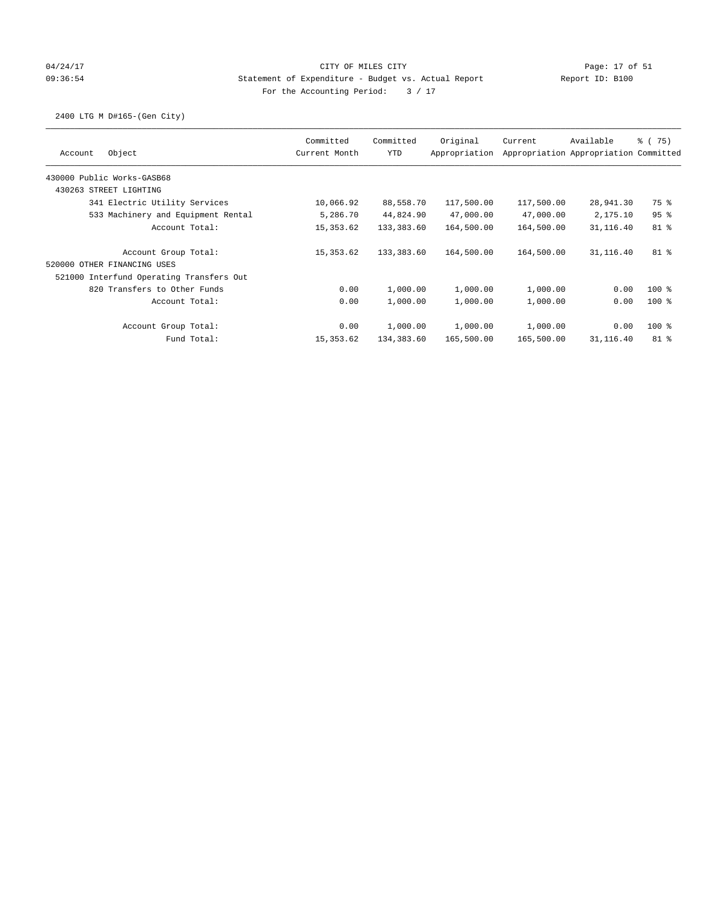## 04/24/17 Page: 17 of 51 09:36:54 Statement of Expenditure - Budget vs. Actual Report Report ID: B100 For the Accounting Period:  $3 / 17$

## 2400 LTG M D#165-(Gen City)

|                                          | Committed     | Committed  | Original      | Current    | Available                             | 8 (75)  |
|------------------------------------------|---------------|------------|---------------|------------|---------------------------------------|---------|
| Object<br>Account                        | Current Month | <b>YTD</b> | Appropriation |            | Appropriation Appropriation Committed |         |
| 430000 Public Works-GASB68               |               |            |               |            |                                       |         |
| 430263 STREET LIGHTING                   |               |            |               |            |                                       |         |
| 341 Electric Utility Services            | 10,066.92     | 88,558.70  | 117,500.00    | 117,500.00 | 28,941.30                             | 75 %    |
| 533 Machinery and Equipment Rental       | 5,286.70      | 44,824.90  | 47,000.00     | 47,000.00  | 2,175.10                              | 95%     |
| Account Total:                           | 15,353.62     | 133,383.60 | 164,500.00    | 164,500.00 | 31,116.40                             | 81 %    |
| Account Group Total:                     | 15,353.62     | 133,383.60 | 164,500.00    | 164,500.00 | 31,116.40                             | $81$ %  |
| 520000 OTHER FINANCING USES              |               |            |               |            |                                       |         |
| 521000 Interfund Operating Transfers Out |               |            |               |            |                                       |         |
| 820 Transfers to Other Funds             | 0.00          | 1,000.00   | 1,000.00      | 1,000.00   | 0.00                                  | $100$ % |
| Account Total:                           | 0.00          | 1,000.00   | 1,000.00      | 1,000.00   | 0.00                                  | $100*$  |
| Account Group Total:                     | 0.00          | 1,000.00   | 1,000.00      | 1,000.00   | 0.00                                  | $100*$  |
| Fund Total:                              | 15,353.62     | 134,383.60 | 165,500.00    | 165,500.00 | 31,116.40                             | $81$ %  |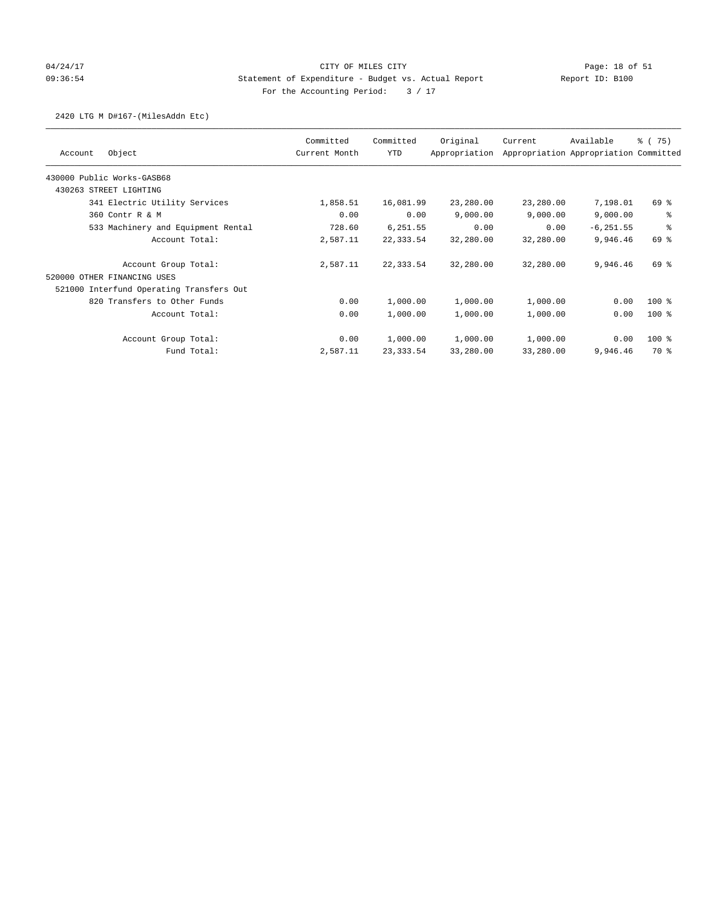## 04/24/17 Page: 18 of 51 09:36:54 Statement of Expenditure - Budget vs. Actual Report Report ID: B100 For the Accounting Period:  $3 / 17$

### 2420 LTG M D#167-(MilesAddn Etc)

|                                          | Committed     | Committed  | Original      | Current   | Available                             | % (75)  |
|------------------------------------------|---------------|------------|---------------|-----------|---------------------------------------|---------|
| Object<br>Account                        | Current Month | YTD        | Appropriation |           | Appropriation Appropriation Committed |         |
| 430000 Public Works-GASB68               |               |            |               |           |                                       |         |
| 430263 STREET LIGHTING                   |               |            |               |           |                                       |         |
| 341 Electric Utility Services            | 1,858.51      | 16,081.99  | 23,280.00     | 23,280.00 | 7,198.01                              | 69 %    |
| 360 Contr R & M                          | 0.00          | 0.00       | 9,000.00      | 9,000.00  | 9,000.00                              | る       |
| 533 Machinery and Equipment Rental       | 728.60        | 6,251.55   | 0.00          | 0.00      | $-6, 251.55$                          | る       |
| Account Total:                           | 2,587.11      | 22,333.54  | 32,280.00     | 32,280.00 | 9,946.46                              | 69 %    |
| Account Group Total:                     | 2,587.11      | 22,333.54  | 32,280.00     | 32,280.00 | 9,946.46                              | 69 %    |
| 520000 OTHER FINANCING USES              |               |            |               |           |                                       |         |
| 521000 Interfund Operating Transfers Out |               |            |               |           |                                       |         |
| 820 Transfers to Other Funds             | 0.00          | 1,000.00   | 1,000.00      | 1,000.00  | 0.00                                  | $100$ % |
| Account Total:                           | 0.00          | 1,000.00   | 1,000.00      | 1,000.00  | 0.00                                  | $100$ % |
| Account Group Total:                     | 0.00          | 1,000.00   | 1,000.00      | 1,000.00  | 0.00                                  | $100$ % |
| Fund Total:                              | 2,587.11      | 23, 333.54 | 33,280.00     | 33,280.00 | 9,946.46                              | 70 %    |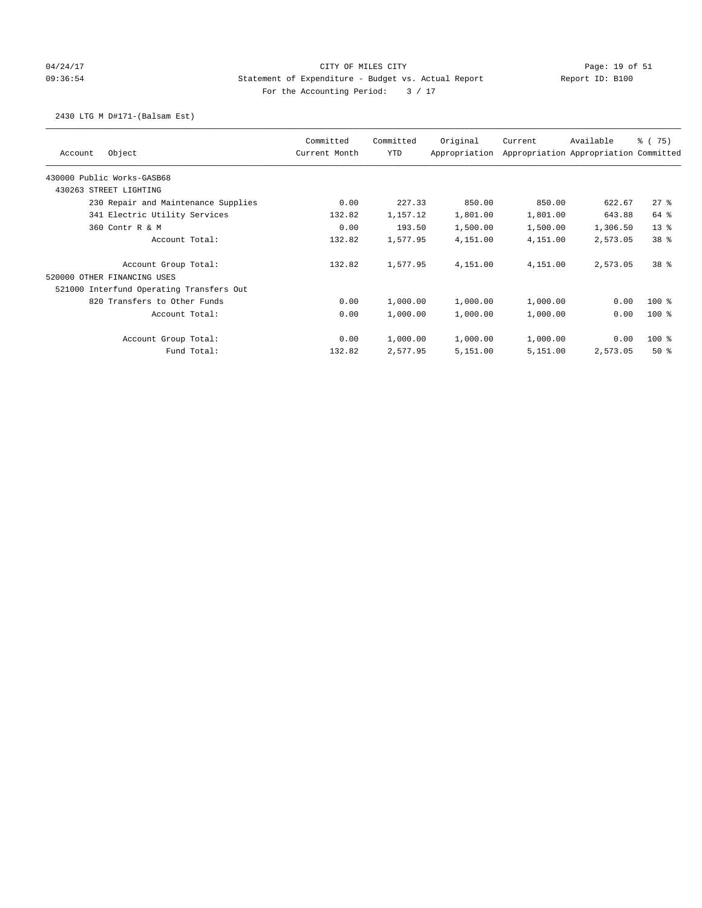## 04/24/17 Page: 19 of 51 CITY OF MILES CITY CHANGES COMPANY Page: 19 of 51 09:36:54 Statement of Expenditure - Budget vs. Actual Report Report ID: B100 For the Accounting Period:  $3 / 17$

### 2430 LTG M D#171-(Balsam Est)

| Object<br>Account                        | Committed<br>Current Month | Committed<br>YTD | Original<br>Appropriation | Current  | Available<br>Appropriation Appropriation Committed | % (75)          |
|------------------------------------------|----------------------------|------------------|---------------------------|----------|----------------------------------------------------|-----------------|
| 430000 Public Works-GASB68               |                            |                  |                           |          |                                                    |                 |
| 430263 STREET LIGHTING                   |                            |                  |                           |          |                                                    |                 |
| 230 Repair and Maintenance Supplies      | 0.00                       | 227.33           | 850.00                    | 850.00   | 622.67                                             | $27$ %          |
| 341 Electric Utility Services            | 132.82                     | 1,157.12         | 1,801.00                  | 1,801.00 | 643.88                                             | 64 %            |
| 360 Contr R & M                          | 0.00                       | 193.50           | 1,500.00                  | 1,500.00 | 1,306.50                                           | $13*$           |
| Account Total:                           | 132.82                     | 1,577.95         | 4,151.00                  | 4,151.00 | 2,573.05                                           | 38 <sup>8</sup> |
| Account Group Total:                     | 132.82                     | 1,577.95         | 4,151.00                  | 4,151.00 | 2,573.05                                           | 38 <sup>8</sup> |
| 520000 OTHER FINANCING USES              |                            |                  |                           |          |                                                    |                 |
| 521000 Interfund Operating Transfers Out |                            |                  |                           |          |                                                    |                 |
| 820 Transfers to Other Funds             | 0.00                       | 1,000.00         | 1,000.00                  | 1,000.00 | 0.00                                               | $100*$          |
| Account Total:                           | 0.00                       | 1,000.00         | 1,000.00                  | 1,000.00 | 0.00                                               | $100$ %         |
| Account Group Total:                     | 0.00                       | 1,000.00         | 1,000.00                  | 1,000.00 | 0.00                                               | $100$ %         |
| Fund Total:                              | 132.82                     | 2,577.95         | 5,151.00                  | 5,151.00 | 2,573.05                                           | 50%             |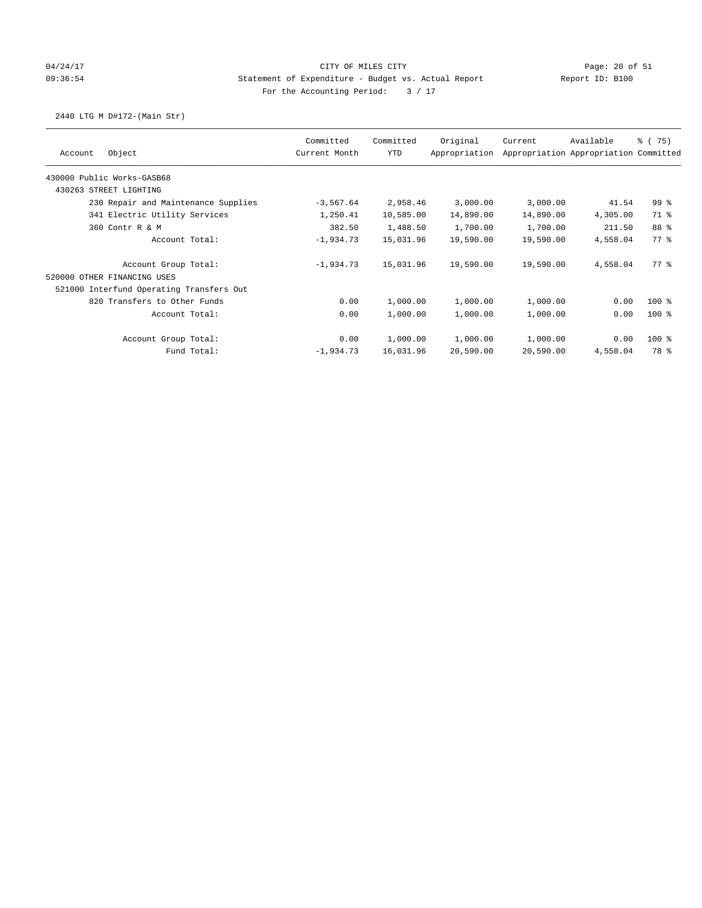## 04/24/17 CITY OF MILES CITY Page: 20 of 51 09:36:54 Statement of Expenditure - Budget vs. Actual Report Report ID: B100 For the Accounting Period:  $3 / 17$

## 2440 LTG M D#172-(Main Str)

|                                          | Committed     | Committed | Original      | Current   | Available                             | % (75)          |
|------------------------------------------|---------------|-----------|---------------|-----------|---------------------------------------|-----------------|
| Object<br>Account                        | Current Month | YTD       | Appropriation |           | Appropriation Appropriation Committed |                 |
| 430000 Public Works-GASB68               |               |           |               |           |                                       |                 |
| 430263 STREET LIGHTING                   |               |           |               |           |                                       |                 |
| 230 Repair and Maintenance Supplies      | $-3,567.64$   | 2,958.46  | 3,000.00      | 3,000.00  | 41.54                                 | 99 <sub>8</sub> |
| 341 Electric Utility Services            | 1,250.41      | 10,585.00 | 14,890.00     | 14,890.00 | 4,305.00                              | 71 %            |
| 360 Contr R & M                          | 382.50        | 1,488.50  | 1,700.00      | 1,700.00  | 211.50                                | 88 %            |
| Account Total:                           | $-1,934.73$   | 15,031.96 | 19,590.00     | 19,590.00 | 4,558.04                              | 77.8            |
| Account Group Total:                     | $-1,934.73$   | 15,031.96 | 19,590.00     | 19,590.00 | 4,558.04                              | $77*$           |
| 520000 OTHER FINANCING USES              |               |           |               |           |                                       |                 |
| 521000 Interfund Operating Transfers Out |               |           |               |           |                                       |                 |
| 820 Transfers to Other Funds             | 0.00          | 1,000.00  | 1,000.00      | 1,000.00  | 0.00                                  | $100$ %         |
| Account Total:                           | 0.00          | 1,000.00  | 1,000.00      | 1,000.00  | 0.00                                  | $100$ %         |
| Account Group Total:                     | 0.00          | 1,000.00  | 1,000.00      | 1,000.00  | 0.00                                  | $100$ %         |
| Fund Total:                              | $-1,934.73$   | 16,031.96 | 20,590.00     | 20,590.00 | 4,558.04                              | 78 %            |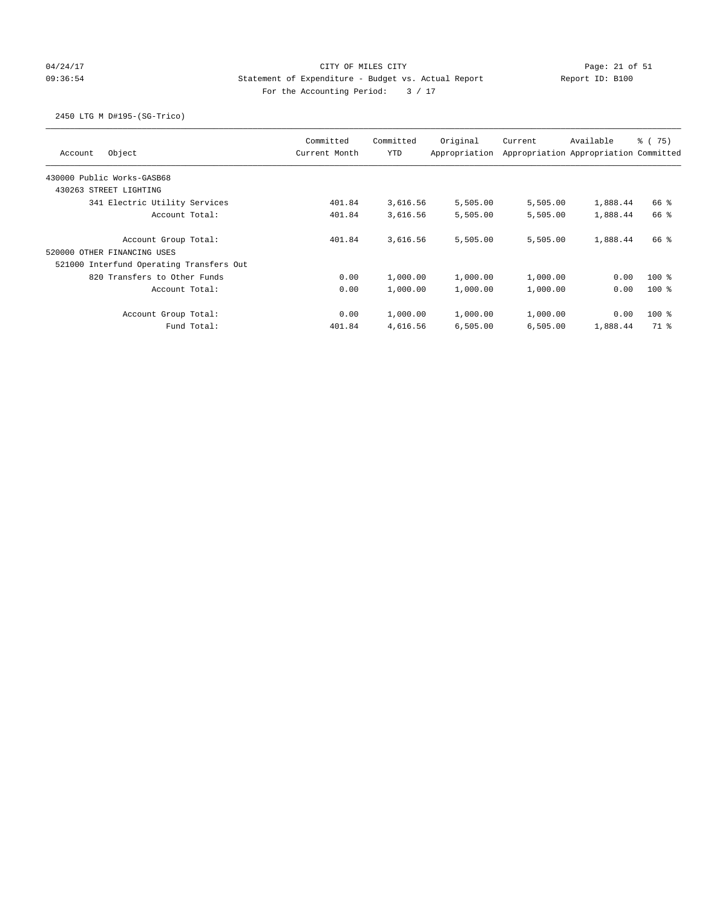## 04/24/17 Page: 21 of 51 and 2012 CITY OF MILES CITY 09:36:54 Statement of Expenditure - Budget vs. Actual Report Report ID: B100 For the Accounting Period:  $3 / 17$

## 2450 LTG M D#195-(SG-Trico)

| Object<br>Account                        | Committed<br>Current Month | Committed<br><b>YTD</b> | Original<br>Appropriation | Current  | Available<br>Appropriation Appropriation Committed | % (75) |
|------------------------------------------|----------------------------|-------------------------|---------------------------|----------|----------------------------------------------------|--------|
| 430000 Public Works-GASB68               |                            |                         |                           |          |                                                    |        |
| 430263 STREET LIGHTING                   |                            |                         |                           |          |                                                    |        |
| 341 Electric Utility Services            | 401.84                     | 3,616.56                | 5,505.00                  | 5,505.00 | 1,888.44                                           | 66 %   |
| Account Total:                           | 401.84                     | 3,616.56                | 5,505.00                  | 5,505.00 | 1,888.44                                           | 66 %   |
| Account Group Total:                     | 401.84                     | 3,616.56                | 5,505.00                  | 5,505.00 | 1,888.44                                           | 66 %   |
| 520000 OTHER FINANCING USES              |                            |                         |                           |          |                                                    |        |
| 521000 Interfund Operating Transfers Out |                            |                         |                           |          |                                                    |        |
| 820 Transfers to Other Funds             | 0.00                       | 1,000.00                | 1,000.00                  | 1,000.00 | 0.00                                               | $100*$ |
| Account Total:                           | 0.00                       | 1,000.00                | 1,000.00                  | 1,000.00 | 0.00                                               | $100*$ |
| Account Group Total:                     | 0.00                       | 1,000.00                | 1,000.00                  | 1,000.00 | 0.00                                               | $100*$ |
| Fund Total:                              | 401.84                     | 4,616.56                | 6,505.00                  | 6,505.00 | 1,888.44                                           | 71 %   |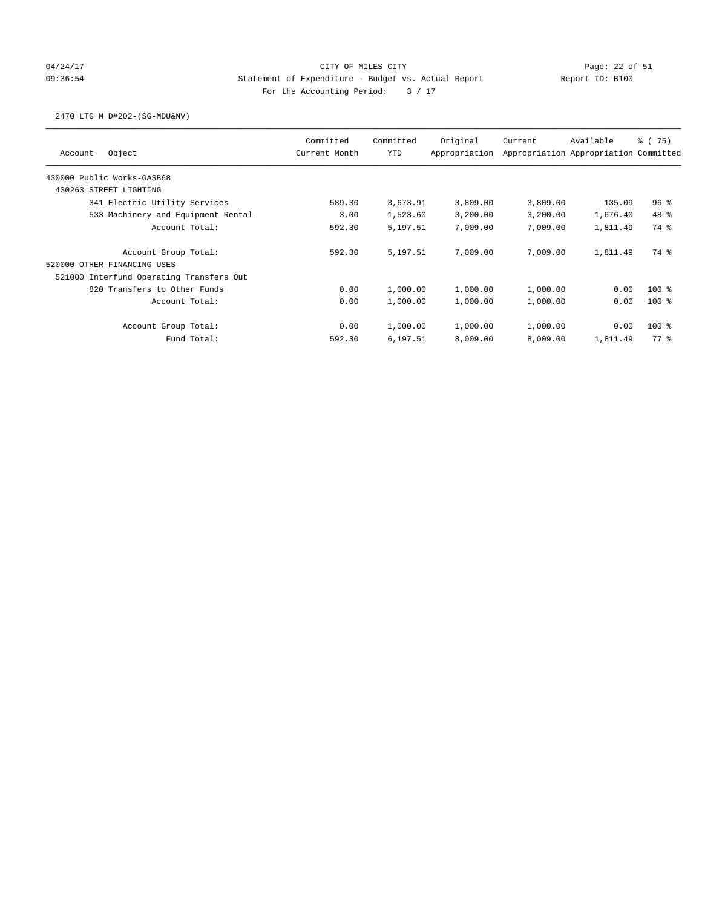# 04/24/17 Page: 22 of 51 09:36:54 Statement of Expenditure - Budget vs. Actual Report Report ID: B100 For the Accounting Period:  $3 / 17$

### 2470 LTG M D#202-(SG-MDU&NV)

| Object<br>Account                        | Committed<br>Current Month | Committed<br><b>YTD</b> | Original<br>Appropriation | Current  | Available<br>Appropriation Appropriation Committed | 8 (75)   |
|------------------------------------------|----------------------------|-------------------------|---------------------------|----------|----------------------------------------------------|----------|
| 430000 Public Works-GASB68               |                            |                         |                           |          |                                                    |          |
| 430263 STREET LIGHTING                   |                            |                         |                           |          |                                                    |          |
| 341 Electric Utility Services            | 589.30                     | 3,673.91                | 3,809.00                  | 3,809.00 | 135.09                                             | 96%      |
| 533 Machinery and Equipment Rental       | 3.00                       | 1,523.60                | 3,200.00                  | 3,200.00 | 1,676.40                                           | 48 %     |
| Account Total:                           | 592.30                     | 5,197.51                | 7,009.00                  | 7,009.00 | 1,811.49                                           | 74 %     |
| Account Group Total:                     | 592.30                     | 5,197.51                | 7,009.00                  | 7,009.00 | 1,811.49                                           | 74 %     |
| 520000 OTHER FINANCING USES              |                            |                         |                           |          |                                                    |          |
| 521000 Interfund Operating Transfers Out |                            |                         |                           |          |                                                    |          |
| 820 Transfers to Other Funds             | 0.00                       | 1,000.00                | 1,000.00                  | 1,000.00 | 0.00                                               | $100*$   |
| Account Total:                           | 0.00                       | 1,000.00                | 1,000.00                  | 1,000.00 | 0.00                                               | $100*$   |
| Account Group Total:                     | 0.00                       | 1,000.00                | 1,000.00                  | 1,000.00 | 0.00                                               | $100*$   |
| Fund Total:                              | 592.30                     | 6,197.51                | 8,009.00                  | 8,009.00 | 1,811.49                                           | $77$ $%$ |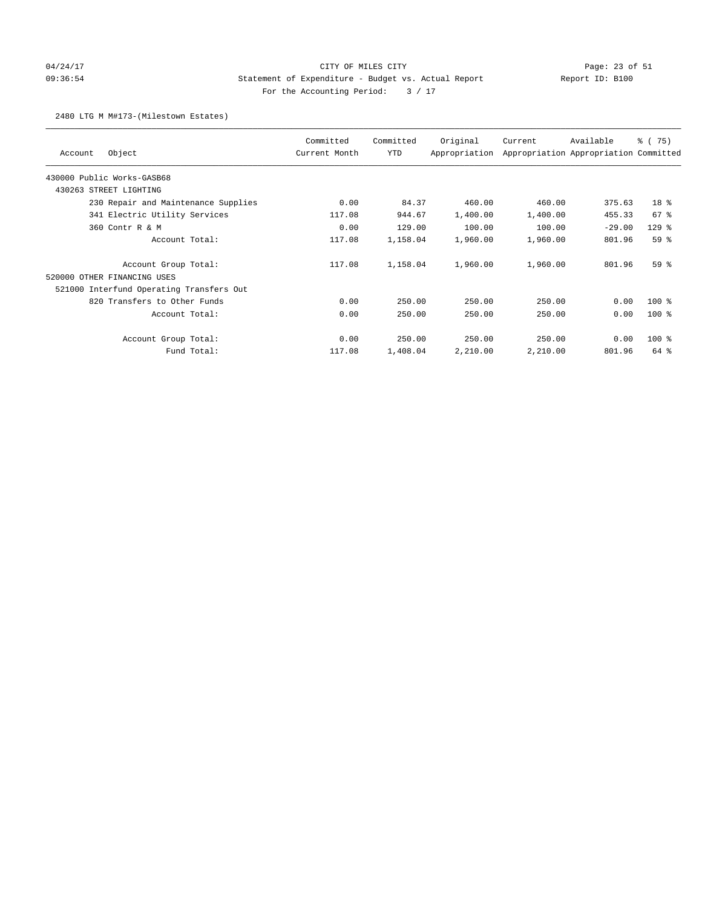# 04/24/17 Page: 23 of 51 09:36:54 Statement of Expenditure - Budget vs. Actual Report Report ID: B100 For the Accounting Period:  $3 / 17$

### 2480 LTG M M#173-(Milestown Estates)

| Object<br>Account                        | Committed<br>Current Month | Committed<br>YTD | Original<br>Appropriation | Current  | Available<br>Appropriation Appropriation Committed | % (75)          |
|------------------------------------------|----------------------------|------------------|---------------------------|----------|----------------------------------------------------|-----------------|
| 430000 Public Works-GASB68               |                            |                  |                           |          |                                                    |                 |
| 430263 STREET LIGHTING                   |                            |                  |                           |          |                                                    |                 |
| 230 Repair and Maintenance Supplies      | 0.00                       | 84.37            | 460.00                    | 460.00   | 375.63                                             | 18 <sup>8</sup> |
| 341 Electric Utility Services            | 117.08                     | 944.67           | 1,400.00                  | 1,400.00 | 455.33                                             | 67%             |
| 360 Contr R & M                          | 0.00                       | 129.00           | 100.00                    | 100.00   | $-29.00$                                           | $129$ $%$       |
| Account Total:                           | 117.08                     | 1,158.04         | 1,960.00                  | 1,960.00 | 801.96                                             | 59%             |
| Account Group Total:                     | 117.08                     | 1,158.04         | 1,960.00                  | 1,960.00 | 801.96                                             | 59 <sup>8</sup> |
| 520000 OTHER FINANCING USES              |                            |                  |                           |          |                                                    |                 |
| 521000 Interfund Operating Transfers Out |                            |                  |                           |          |                                                    |                 |
| 820 Transfers to Other Funds             | 0.00                       | 250.00           | 250.00                    | 250.00   | 0.00                                               | $100$ %         |
| Account Total:                           | 0.00                       | 250.00           | 250.00                    | 250.00   | 0.00                                               | $100$ %         |
| Account Group Total:                     | 0.00                       | 250.00           | 250.00                    | 250.00   | 0.00                                               | $100$ %         |
| Fund Total:                              | 117.08                     | 1,408.04         | 2,210.00                  | 2,210.00 | 801.96                                             | 64 %            |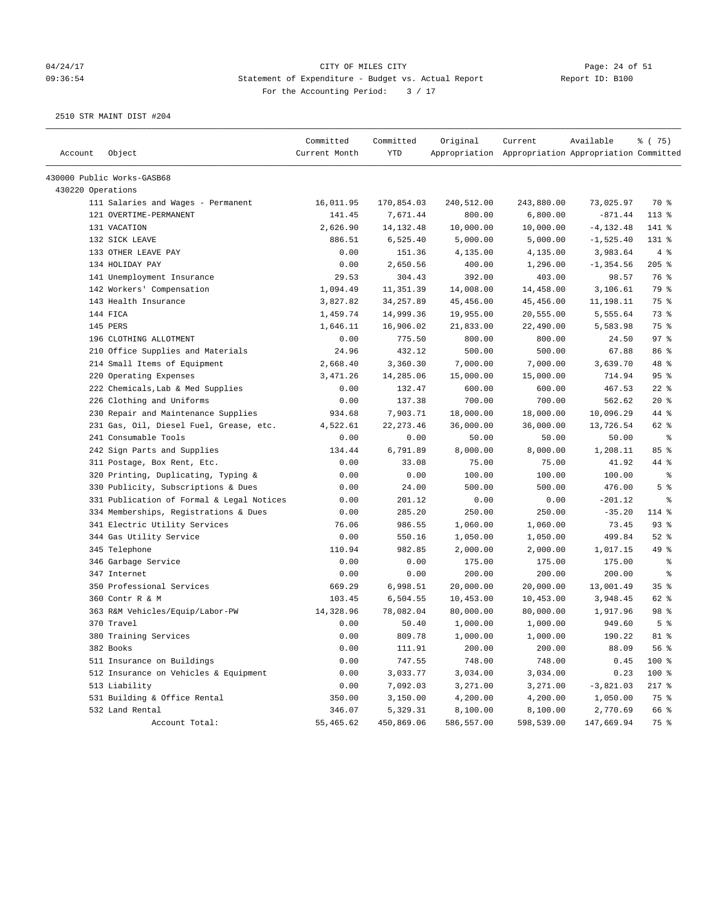### 04/24/17 Page: 24 of 51 09:36:54 Statement of Expenditure - Budget vs. Actual Report Report ID: B100 For the Accounting Period:  $3 / 17$

| 430000 Public Works-GASB68<br>430220 Operations<br>170,854.03<br>73,025.97<br>70 %<br>111 Salaries and Wages - Permanent<br>16,011.95<br>240,512.00<br>243,880.00<br>121 OVERTIME-PERMANENT<br>141.45<br>7,671.44<br>800.00<br>6,800.00<br>$-871.44$<br>$113*$<br>131 VACATION<br>2,626.90<br>14, 132. 48<br>10,000.00<br>10,000.00<br>$-4, 132.48$<br>141 %<br>132 SICK LEAVE<br>886.51<br>6,525.40<br>5,000.00<br>5,000.00<br>$-1,525.40$<br>$131$ $%$<br>133 OTHER LEAVE PAY<br>0.00<br>151.36<br>4%<br>4,135.00<br>4,135.00<br>3,983.64<br>205%<br>134 HOLIDAY PAY<br>0.00<br>2,650.56<br>400.00<br>$-1, 354.56$<br>1,296.00<br>141 Unemployment Insurance<br>29.53<br>304.43<br>392.00<br>403.00<br>76 %<br>98.57<br>142 Workers' Compensation<br>1,094.49<br>11,351.39<br>14,008.00<br>14,458.00<br>3,106.61<br>79 %<br>34, 257.89<br>45,456.00<br>45,456.00<br>75 %<br>143 Health Insurance<br>3,827.82<br>11,198.11<br>144 FICA<br>73 %<br>1,459.74<br>14,999.36<br>19,955.00<br>20,555.00<br>5,555.64<br>145 PERS<br>1,646.11<br>22,490.00<br>75 %<br>16,906.02<br>21,833.00<br>5,583.98<br>97%<br>196 CLOTHING ALLOTMENT<br>0.00<br>775.50<br>800.00<br>800.00<br>24.50<br>210 Office Supplies and Materials<br>24.96<br>432.12<br>500.00<br>500.00<br>67.88<br>86 %<br>48 %<br>214 Small Items of Equipment<br>2,668.40<br>3,360.30<br>7,000.00<br>7,000.00<br>3,639.70<br>95%<br>220 Operating Expenses<br>3,471.26<br>14,285.06<br>15,000.00<br>714.94<br>15,000.00<br>222 Chemicals, Lab & Med Supplies<br>0.00<br>132.47<br>600.00<br>467.53<br>$22$ %<br>600.00<br>$20*$<br>226 Clothing and Uniforms<br>0.00<br>137.38<br>700.00<br>700.00<br>562.62<br>230 Repair and Maintenance Supplies<br>934.68<br>7,903.71<br>18,000.00<br>18,000.00<br>10,096.29<br>44 %<br>231 Gas, Oil, Diesel Fuel, Grease, etc.<br>22, 273.46<br>36,000.00<br>36,000.00<br>13,726.54<br>62 %<br>4,522.61<br>241 Consumable Tools<br>0.00<br>0.00<br>50.00<br>50.00<br>50.00<br>ႜ<br>242 Sign Parts and Supplies<br>134.44<br>6,791.89<br>8,000.00<br>8,000.00<br>1,208.11<br>85%<br>311 Postage, Box Rent, Etc.<br>0.00<br>33.08<br>75.00<br>75.00<br>41.92<br>44 %<br>320 Printing, Duplicating, Typing &<br>0.00<br>0.00<br>100.00<br>100.00<br>100.00<br>್ಠಿ<br>5 <sup>8</sup><br>330 Publicity, Subscriptions & Dues<br>0.00<br>24.00<br>500.00<br>476.00<br>500.00<br>331 Publication of Formal & Legal Notices<br>201.12<br>0.00<br>0.00<br>0.00<br>$-201.12$<br>ႜ<br>334 Memberships, Registrations & Dues<br>285.20<br>250.00<br>250.00<br>$-35.20$<br>114 %<br>0.00<br>341 Electric Utility Services<br>93%<br>986.55<br>1,060.00<br>1,060.00<br>73.45<br>76.06<br>344 Gas Utility Service<br>550.16<br>$52$ $%$<br>0.00<br>1,050.00<br>1,050.00<br>499.84<br>49 %<br>345 Telephone<br>110.94<br>982.85<br>2,000.00<br>2,000.00<br>1,017.15<br>346 Garbage Service<br>0.00<br>175.00<br>0.00<br>175.00<br>175.00<br>ႜ<br>347 Internet<br>0.00<br>0.00<br>200.00<br>200.00<br>200.00<br>ႜ<br>35%<br>350 Professional Services<br>669.29<br>6,998.51<br>20,000.00<br>20,000.00<br>13,001.49<br>360 Contr R & M<br>103.45<br>6,504.55<br>62 %<br>10,453.00<br>10,453.00<br>3,948.45<br>98 %<br>363 R&M Vehicles/Equip/Labor-PW<br>14,328.96<br>78,082.04<br>80,000.00<br>80,000.00<br>1,917.96<br>5 <sup>8</sup><br>370 Travel<br>0.00<br>50.40<br>1,000.00<br>1,000.00<br>949.60<br>380 Training Services<br>0.00<br>809.78<br>1,000.00<br>1,000.00<br>190.22<br>$81$ %<br>56%<br>382 Books<br>0.00<br>111.91<br>200.00<br>200.00<br>88.09<br>511 Insurance on Buildings<br>100 %<br>0.00<br>747.55<br>748.00<br>748.00<br>0.45<br>100 %<br>512 Insurance on Vehicles & Equipment<br>0.00<br>3,033.77<br>3,034.00<br>3,034.00<br>0.23<br>513 Liability<br>7,092.03<br>$217$ %<br>0.00<br>3,271.00<br>3,271.00<br>$-3,821.03$<br>531 Building & Office Rental<br>4,200.00<br>75 %<br>350.00<br>3,150.00<br>4,200.00<br>1,050.00<br>532 Land Rental<br>346.07<br>5,329.31<br>8,100.00<br>8,100.00<br>2,770.69<br>66 %<br>Account Total:<br>55,465.62<br>450,869.06<br>586,557.00<br>598,539.00<br>147,669.94<br>75 % | Account | Object | Committed<br>Current Month | Committed<br>YTD | Original | Current<br>Appropriation Appropriation Appropriation Committed | Available | % (75) |
|------------------------------------------------------------------------------------------------------------------------------------------------------------------------------------------------------------------------------------------------------------------------------------------------------------------------------------------------------------------------------------------------------------------------------------------------------------------------------------------------------------------------------------------------------------------------------------------------------------------------------------------------------------------------------------------------------------------------------------------------------------------------------------------------------------------------------------------------------------------------------------------------------------------------------------------------------------------------------------------------------------------------------------------------------------------------------------------------------------------------------------------------------------------------------------------------------------------------------------------------------------------------------------------------------------------------------------------------------------------------------------------------------------------------------------------------------------------------------------------------------------------------------------------------------------------------------------------------------------------------------------------------------------------------------------------------------------------------------------------------------------------------------------------------------------------------------------------------------------------------------------------------------------------------------------------------------------------------------------------------------------------------------------------------------------------------------------------------------------------------------------------------------------------------------------------------------------------------------------------------------------------------------------------------------------------------------------------------------------------------------------------------------------------------------------------------------------------------------------------------------------------------------------------------------------------------------------------------------------------------------------------------------------------------------------------------------------------------------------------------------------------------------------------------------------------------------------------------------------------------------------------------------------------------------------------------------------------------------------------------------------------------------------------------------------------------------------------------------------------------------------------------------------------------------------------------------------------------------------------------------------------------------------------------------------------------------------------------------------------------------------------------------------------------------------------------------------------------------------------------------------------------------------------------------------------------------------------------------------------------------------------------------------------------------------------------------------------------------------------------------------------------------------------------------------------------------------------------------------------------------------------------------------------------------------------------------------------------------------------------------------------------------------------------------------------------------------------------------------------------|---------|--------|----------------------------|------------------|----------|----------------------------------------------------------------|-----------|--------|
|                                                                                                                                                                                                                                                                                                                                                                                                                                                                                                                                                                                                                                                                                                                                                                                                                                                                                                                                                                                                                                                                                                                                                                                                                                                                                                                                                                                                                                                                                                                                                                                                                                                                                                                                                                                                                                                                                                                                                                                                                                                                                                                                                                                                                                                                                                                                                                                                                                                                                                                                                                                                                                                                                                                                                                                                                                                                                                                                                                                                                                                                                                                                                                                                                                                                                                                                                                                                                                                                                                                                                                                                                                                                                                                                                                                                                                                                                                                                                                                                                                                                                                                        |         |        |                            |                  |          |                                                                |           |        |
|                                                                                                                                                                                                                                                                                                                                                                                                                                                                                                                                                                                                                                                                                                                                                                                                                                                                                                                                                                                                                                                                                                                                                                                                                                                                                                                                                                                                                                                                                                                                                                                                                                                                                                                                                                                                                                                                                                                                                                                                                                                                                                                                                                                                                                                                                                                                                                                                                                                                                                                                                                                                                                                                                                                                                                                                                                                                                                                                                                                                                                                                                                                                                                                                                                                                                                                                                                                                                                                                                                                                                                                                                                                                                                                                                                                                                                                                                                                                                                                                                                                                                                                        |         |        |                            |                  |          |                                                                |           |        |
|                                                                                                                                                                                                                                                                                                                                                                                                                                                                                                                                                                                                                                                                                                                                                                                                                                                                                                                                                                                                                                                                                                                                                                                                                                                                                                                                                                                                                                                                                                                                                                                                                                                                                                                                                                                                                                                                                                                                                                                                                                                                                                                                                                                                                                                                                                                                                                                                                                                                                                                                                                                                                                                                                                                                                                                                                                                                                                                                                                                                                                                                                                                                                                                                                                                                                                                                                                                                                                                                                                                                                                                                                                                                                                                                                                                                                                                                                                                                                                                                                                                                                                                        |         |        |                            |                  |          |                                                                |           |        |
|                                                                                                                                                                                                                                                                                                                                                                                                                                                                                                                                                                                                                                                                                                                                                                                                                                                                                                                                                                                                                                                                                                                                                                                                                                                                                                                                                                                                                                                                                                                                                                                                                                                                                                                                                                                                                                                                                                                                                                                                                                                                                                                                                                                                                                                                                                                                                                                                                                                                                                                                                                                                                                                                                                                                                                                                                                                                                                                                                                                                                                                                                                                                                                                                                                                                                                                                                                                                                                                                                                                                                                                                                                                                                                                                                                                                                                                                                                                                                                                                                                                                                                                        |         |        |                            |                  |          |                                                                |           |        |
|                                                                                                                                                                                                                                                                                                                                                                                                                                                                                                                                                                                                                                                                                                                                                                                                                                                                                                                                                                                                                                                                                                                                                                                                                                                                                                                                                                                                                                                                                                                                                                                                                                                                                                                                                                                                                                                                                                                                                                                                                                                                                                                                                                                                                                                                                                                                                                                                                                                                                                                                                                                                                                                                                                                                                                                                                                                                                                                                                                                                                                                                                                                                                                                                                                                                                                                                                                                                                                                                                                                                                                                                                                                                                                                                                                                                                                                                                                                                                                                                                                                                                                                        |         |        |                            |                  |          |                                                                |           |        |
|                                                                                                                                                                                                                                                                                                                                                                                                                                                                                                                                                                                                                                                                                                                                                                                                                                                                                                                                                                                                                                                                                                                                                                                                                                                                                                                                                                                                                                                                                                                                                                                                                                                                                                                                                                                                                                                                                                                                                                                                                                                                                                                                                                                                                                                                                                                                                                                                                                                                                                                                                                                                                                                                                                                                                                                                                                                                                                                                                                                                                                                                                                                                                                                                                                                                                                                                                                                                                                                                                                                                                                                                                                                                                                                                                                                                                                                                                                                                                                                                                                                                                                                        |         |        |                            |                  |          |                                                                |           |        |
|                                                                                                                                                                                                                                                                                                                                                                                                                                                                                                                                                                                                                                                                                                                                                                                                                                                                                                                                                                                                                                                                                                                                                                                                                                                                                                                                                                                                                                                                                                                                                                                                                                                                                                                                                                                                                                                                                                                                                                                                                                                                                                                                                                                                                                                                                                                                                                                                                                                                                                                                                                                                                                                                                                                                                                                                                                                                                                                                                                                                                                                                                                                                                                                                                                                                                                                                                                                                                                                                                                                                                                                                                                                                                                                                                                                                                                                                                                                                                                                                                                                                                                                        |         |        |                            |                  |          |                                                                |           |        |
|                                                                                                                                                                                                                                                                                                                                                                                                                                                                                                                                                                                                                                                                                                                                                                                                                                                                                                                                                                                                                                                                                                                                                                                                                                                                                                                                                                                                                                                                                                                                                                                                                                                                                                                                                                                                                                                                                                                                                                                                                                                                                                                                                                                                                                                                                                                                                                                                                                                                                                                                                                                                                                                                                                                                                                                                                                                                                                                                                                                                                                                                                                                                                                                                                                                                                                                                                                                                                                                                                                                                                                                                                                                                                                                                                                                                                                                                                                                                                                                                                                                                                                                        |         |        |                            |                  |          |                                                                |           |        |
|                                                                                                                                                                                                                                                                                                                                                                                                                                                                                                                                                                                                                                                                                                                                                                                                                                                                                                                                                                                                                                                                                                                                                                                                                                                                                                                                                                                                                                                                                                                                                                                                                                                                                                                                                                                                                                                                                                                                                                                                                                                                                                                                                                                                                                                                                                                                                                                                                                                                                                                                                                                                                                                                                                                                                                                                                                                                                                                                                                                                                                                                                                                                                                                                                                                                                                                                                                                                                                                                                                                                                                                                                                                                                                                                                                                                                                                                                                                                                                                                                                                                                                                        |         |        |                            |                  |          |                                                                |           |        |
|                                                                                                                                                                                                                                                                                                                                                                                                                                                                                                                                                                                                                                                                                                                                                                                                                                                                                                                                                                                                                                                                                                                                                                                                                                                                                                                                                                                                                                                                                                                                                                                                                                                                                                                                                                                                                                                                                                                                                                                                                                                                                                                                                                                                                                                                                                                                                                                                                                                                                                                                                                                                                                                                                                                                                                                                                                                                                                                                                                                                                                                                                                                                                                                                                                                                                                                                                                                                                                                                                                                                                                                                                                                                                                                                                                                                                                                                                                                                                                                                                                                                                                                        |         |        |                            |                  |          |                                                                |           |        |
|                                                                                                                                                                                                                                                                                                                                                                                                                                                                                                                                                                                                                                                                                                                                                                                                                                                                                                                                                                                                                                                                                                                                                                                                                                                                                                                                                                                                                                                                                                                                                                                                                                                                                                                                                                                                                                                                                                                                                                                                                                                                                                                                                                                                                                                                                                                                                                                                                                                                                                                                                                                                                                                                                                                                                                                                                                                                                                                                                                                                                                                                                                                                                                                                                                                                                                                                                                                                                                                                                                                                                                                                                                                                                                                                                                                                                                                                                                                                                                                                                                                                                                                        |         |        |                            |                  |          |                                                                |           |        |
|                                                                                                                                                                                                                                                                                                                                                                                                                                                                                                                                                                                                                                                                                                                                                                                                                                                                                                                                                                                                                                                                                                                                                                                                                                                                                                                                                                                                                                                                                                                                                                                                                                                                                                                                                                                                                                                                                                                                                                                                                                                                                                                                                                                                                                                                                                                                                                                                                                                                                                                                                                                                                                                                                                                                                                                                                                                                                                                                                                                                                                                                                                                                                                                                                                                                                                                                                                                                                                                                                                                                                                                                                                                                                                                                                                                                                                                                                                                                                                                                                                                                                                                        |         |        |                            |                  |          |                                                                |           |        |
|                                                                                                                                                                                                                                                                                                                                                                                                                                                                                                                                                                                                                                                                                                                                                                                                                                                                                                                                                                                                                                                                                                                                                                                                                                                                                                                                                                                                                                                                                                                                                                                                                                                                                                                                                                                                                                                                                                                                                                                                                                                                                                                                                                                                                                                                                                                                                                                                                                                                                                                                                                                                                                                                                                                                                                                                                                                                                                                                                                                                                                                                                                                                                                                                                                                                                                                                                                                                                                                                                                                                                                                                                                                                                                                                                                                                                                                                                                                                                                                                                                                                                                                        |         |        |                            |                  |          |                                                                |           |        |
|                                                                                                                                                                                                                                                                                                                                                                                                                                                                                                                                                                                                                                                                                                                                                                                                                                                                                                                                                                                                                                                                                                                                                                                                                                                                                                                                                                                                                                                                                                                                                                                                                                                                                                                                                                                                                                                                                                                                                                                                                                                                                                                                                                                                                                                                                                                                                                                                                                                                                                                                                                                                                                                                                                                                                                                                                                                                                                                                                                                                                                                                                                                                                                                                                                                                                                                                                                                                                                                                                                                                                                                                                                                                                                                                                                                                                                                                                                                                                                                                                                                                                                                        |         |        |                            |                  |          |                                                                |           |        |
|                                                                                                                                                                                                                                                                                                                                                                                                                                                                                                                                                                                                                                                                                                                                                                                                                                                                                                                                                                                                                                                                                                                                                                                                                                                                                                                                                                                                                                                                                                                                                                                                                                                                                                                                                                                                                                                                                                                                                                                                                                                                                                                                                                                                                                                                                                                                                                                                                                                                                                                                                                                                                                                                                                                                                                                                                                                                                                                                                                                                                                                                                                                                                                                                                                                                                                                                                                                                                                                                                                                                                                                                                                                                                                                                                                                                                                                                                                                                                                                                                                                                                                                        |         |        |                            |                  |          |                                                                |           |        |
|                                                                                                                                                                                                                                                                                                                                                                                                                                                                                                                                                                                                                                                                                                                                                                                                                                                                                                                                                                                                                                                                                                                                                                                                                                                                                                                                                                                                                                                                                                                                                                                                                                                                                                                                                                                                                                                                                                                                                                                                                                                                                                                                                                                                                                                                                                                                                                                                                                                                                                                                                                                                                                                                                                                                                                                                                                                                                                                                                                                                                                                                                                                                                                                                                                                                                                                                                                                                                                                                                                                                                                                                                                                                                                                                                                                                                                                                                                                                                                                                                                                                                                                        |         |        |                            |                  |          |                                                                |           |        |
|                                                                                                                                                                                                                                                                                                                                                                                                                                                                                                                                                                                                                                                                                                                                                                                                                                                                                                                                                                                                                                                                                                                                                                                                                                                                                                                                                                                                                                                                                                                                                                                                                                                                                                                                                                                                                                                                                                                                                                                                                                                                                                                                                                                                                                                                                                                                                                                                                                                                                                                                                                                                                                                                                                                                                                                                                                                                                                                                                                                                                                                                                                                                                                                                                                                                                                                                                                                                                                                                                                                                                                                                                                                                                                                                                                                                                                                                                                                                                                                                                                                                                                                        |         |        |                            |                  |          |                                                                |           |        |
|                                                                                                                                                                                                                                                                                                                                                                                                                                                                                                                                                                                                                                                                                                                                                                                                                                                                                                                                                                                                                                                                                                                                                                                                                                                                                                                                                                                                                                                                                                                                                                                                                                                                                                                                                                                                                                                                                                                                                                                                                                                                                                                                                                                                                                                                                                                                                                                                                                                                                                                                                                                                                                                                                                                                                                                                                                                                                                                                                                                                                                                                                                                                                                                                                                                                                                                                                                                                                                                                                                                                                                                                                                                                                                                                                                                                                                                                                                                                                                                                                                                                                                                        |         |        |                            |                  |          |                                                                |           |        |
|                                                                                                                                                                                                                                                                                                                                                                                                                                                                                                                                                                                                                                                                                                                                                                                                                                                                                                                                                                                                                                                                                                                                                                                                                                                                                                                                                                                                                                                                                                                                                                                                                                                                                                                                                                                                                                                                                                                                                                                                                                                                                                                                                                                                                                                                                                                                                                                                                                                                                                                                                                                                                                                                                                                                                                                                                                                                                                                                                                                                                                                                                                                                                                                                                                                                                                                                                                                                                                                                                                                                                                                                                                                                                                                                                                                                                                                                                                                                                                                                                                                                                                                        |         |        |                            |                  |          |                                                                |           |        |
|                                                                                                                                                                                                                                                                                                                                                                                                                                                                                                                                                                                                                                                                                                                                                                                                                                                                                                                                                                                                                                                                                                                                                                                                                                                                                                                                                                                                                                                                                                                                                                                                                                                                                                                                                                                                                                                                                                                                                                                                                                                                                                                                                                                                                                                                                                                                                                                                                                                                                                                                                                                                                                                                                                                                                                                                                                                                                                                                                                                                                                                                                                                                                                                                                                                                                                                                                                                                                                                                                                                                                                                                                                                                                                                                                                                                                                                                                                                                                                                                                                                                                                                        |         |        |                            |                  |          |                                                                |           |        |
|                                                                                                                                                                                                                                                                                                                                                                                                                                                                                                                                                                                                                                                                                                                                                                                                                                                                                                                                                                                                                                                                                                                                                                                                                                                                                                                                                                                                                                                                                                                                                                                                                                                                                                                                                                                                                                                                                                                                                                                                                                                                                                                                                                                                                                                                                                                                                                                                                                                                                                                                                                                                                                                                                                                                                                                                                                                                                                                                                                                                                                                                                                                                                                                                                                                                                                                                                                                                                                                                                                                                                                                                                                                                                                                                                                                                                                                                                                                                                                                                                                                                                                                        |         |        |                            |                  |          |                                                                |           |        |
|                                                                                                                                                                                                                                                                                                                                                                                                                                                                                                                                                                                                                                                                                                                                                                                                                                                                                                                                                                                                                                                                                                                                                                                                                                                                                                                                                                                                                                                                                                                                                                                                                                                                                                                                                                                                                                                                                                                                                                                                                                                                                                                                                                                                                                                                                                                                                                                                                                                                                                                                                                                                                                                                                                                                                                                                                                                                                                                                                                                                                                                                                                                                                                                                                                                                                                                                                                                                                                                                                                                                                                                                                                                                                                                                                                                                                                                                                                                                                                                                                                                                                                                        |         |        |                            |                  |          |                                                                |           |        |
|                                                                                                                                                                                                                                                                                                                                                                                                                                                                                                                                                                                                                                                                                                                                                                                                                                                                                                                                                                                                                                                                                                                                                                                                                                                                                                                                                                                                                                                                                                                                                                                                                                                                                                                                                                                                                                                                                                                                                                                                                                                                                                                                                                                                                                                                                                                                                                                                                                                                                                                                                                                                                                                                                                                                                                                                                                                                                                                                                                                                                                                                                                                                                                                                                                                                                                                                                                                                                                                                                                                                                                                                                                                                                                                                                                                                                                                                                                                                                                                                                                                                                                                        |         |        |                            |                  |          |                                                                |           |        |
|                                                                                                                                                                                                                                                                                                                                                                                                                                                                                                                                                                                                                                                                                                                                                                                                                                                                                                                                                                                                                                                                                                                                                                                                                                                                                                                                                                                                                                                                                                                                                                                                                                                                                                                                                                                                                                                                                                                                                                                                                                                                                                                                                                                                                                                                                                                                                                                                                                                                                                                                                                                                                                                                                                                                                                                                                                                                                                                                                                                                                                                                                                                                                                                                                                                                                                                                                                                                                                                                                                                                                                                                                                                                                                                                                                                                                                                                                                                                                                                                                                                                                                                        |         |        |                            |                  |          |                                                                |           |        |
|                                                                                                                                                                                                                                                                                                                                                                                                                                                                                                                                                                                                                                                                                                                                                                                                                                                                                                                                                                                                                                                                                                                                                                                                                                                                                                                                                                                                                                                                                                                                                                                                                                                                                                                                                                                                                                                                                                                                                                                                                                                                                                                                                                                                                                                                                                                                                                                                                                                                                                                                                                                                                                                                                                                                                                                                                                                                                                                                                                                                                                                                                                                                                                                                                                                                                                                                                                                                                                                                                                                                                                                                                                                                                                                                                                                                                                                                                                                                                                                                                                                                                                                        |         |        |                            |                  |          |                                                                |           |        |
|                                                                                                                                                                                                                                                                                                                                                                                                                                                                                                                                                                                                                                                                                                                                                                                                                                                                                                                                                                                                                                                                                                                                                                                                                                                                                                                                                                                                                                                                                                                                                                                                                                                                                                                                                                                                                                                                                                                                                                                                                                                                                                                                                                                                                                                                                                                                                                                                                                                                                                                                                                                                                                                                                                                                                                                                                                                                                                                                                                                                                                                                                                                                                                                                                                                                                                                                                                                                                                                                                                                                                                                                                                                                                                                                                                                                                                                                                                                                                                                                                                                                                                                        |         |        |                            |                  |          |                                                                |           |        |
|                                                                                                                                                                                                                                                                                                                                                                                                                                                                                                                                                                                                                                                                                                                                                                                                                                                                                                                                                                                                                                                                                                                                                                                                                                                                                                                                                                                                                                                                                                                                                                                                                                                                                                                                                                                                                                                                                                                                                                                                                                                                                                                                                                                                                                                                                                                                                                                                                                                                                                                                                                                                                                                                                                                                                                                                                                                                                                                                                                                                                                                                                                                                                                                                                                                                                                                                                                                                                                                                                                                                                                                                                                                                                                                                                                                                                                                                                                                                                                                                                                                                                                                        |         |        |                            |                  |          |                                                                |           |        |
|                                                                                                                                                                                                                                                                                                                                                                                                                                                                                                                                                                                                                                                                                                                                                                                                                                                                                                                                                                                                                                                                                                                                                                                                                                                                                                                                                                                                                                                                                                                                                                                                                                                                                                                                                                                                                                                                                                                                                                                                                                                                                                                                                                                                                                                                                                                                                                                                                                                                                                                                                                                                                                                                                                                                                                                                                                                                                                                                                                                                                                                                                                                                                                                                                                                                                                                                                                                                                                                                                                                                                                                                                                                                                                                                                                                                                                                                                                                                                                                                                                                                                                                        |         |        |                            |                  |          |                                                                |           |        |
|                                                                                                                                                                                                                                                                                                                                                                                                                                                                                                                                                                                                                                                                                                                                                                                                                                                                                                                                                                                                                                                                                                                                                                                                                                                                                                                                                                                                                                                                                                                                                                                                                                                                                                                                                                                                                                                                                                                                                                                                                                                                                                                                                                                                                                                                                                                                                                                                                                                                                                                                                                                                                                                                                                                                                                                                                                                                                                                                                                                                                                                                                                                                                                                                                                                                                                                                                                                                                                                                                                                                                                                                                                                                                                                                                                                                                                                                                                                                                                                                                                                                                                                        |         |        |                            |                  |          |                                                                |           |        |
|                                                                                                                                                                                                                                                                                                                                                                                                                                                                                                                                                                                                                                                                                                                                                                                                                                                                                                                                                                                                                                                                                                                                                                                                                                                                                                                                                                                                                                                                                                                                                                                                                                                                                                                                                                                                                                                                                                                                                                                                                                                                                                                                                                                                                                                                                                                                                                                                                                                                                                                                                                                                                                                                                                                                                                                                                                                                                                                                                                                                                                                                                                                                                                                                                                                                                                                                                                                                                                                                                                                                                                                                                                                                                                                                                                                                                                                                                                                                                                                                                                                                                                                        |         |        |                            |                  |          |                                                                |           |        |
|                                                                                                                                                                                                                                                                                                                                                                                                                                                                                                                                                                                                                                                                                                                                                                                                                                                                                                                                                                                                                                                                                                                                                                                                                                                                                                                                                                                                                                                                                                                                                                                                                                                                                                                                                                                                                                                                                                                                                                                                                                                                                                                                                                                                                                                                                                                                                                                                                                                                                                                                                                                                                                                                                                                                                                                                                                                                                                                                                                                                                                                                                                                                                                                                                                                                                                                                                                                                                                                                                                                                                                                                                                                                                                                                                                                                                                                                                                                                                                                                                                                                                                                        |         |        |                            |                  |          |                                                                |           |        |
|                                                                                                                                                                                                                                                                                                                                                                                                                                                                                                                                                                                                                                                                                                                                                                                                                                                                                                                                                                                                                                                                                                                                                                                                                                                                                                                                                                                                                                                                                                                                                                                                                                                                                                                                                                                                                                                                                                                                                                                                                                                                                                                                                                                                                                                                                                                                                                                                                                                                                                                                                                                                                                                                                                                                                                                                                                                                                                                                                                                                                                                                                                                                                                                                                                                                                                                                                                                                                                                                                                                                                                                                                                                                                                                                                                                                                                                                                                                                                                                                                                                                                                                        |         |        |                            |                  |          |                                                                |           |        |
|                                                                                                                                                                                                                                                                                                                                                                                                                                                                                                                                                                                                                                                                                                                                                                                                                                                                                                                                                                                                                                                                                                                                                                                                                                                                                                                                                                                                                                                                                                                                                                                                                                                                                                                                                                                                                                                                                                                                                                                                                                                                                                                                                                                                                                                                                                                                                                                                                                                                                                                                                                                                                                                                                                                                                                                                                                                                                                                                                                                                                                                                                                                                                                                                                                                                                                                                                                                                                                                                                                                                                                                                                                                                                                                                                                                                                                                                                                                                                                                                                                                                                                                        |         |        |                            |                  |          |                                                                |           |        |
|                                                                                                                                                                                                                                                                                                                                                                                                                                                                                                                                                                                                                                                                                                                                                                                                                                                                                                                                                                                                                                                                                                                                                                                                                                                                                                                                                                                                                                                                                                                                                                                                                                                                                                                                                                                                                                                                                                                                                                                                                                                                                                                                                                                                                                                                                                                                                                                                                                                                                                                                                                                                                                                                                                                                                                                                                                                                                                                                                                                                                                                                                                                                                                                                                                                                                                                                                                                                                                                                                                                                                                                                                                                                                                                                                                                                                                                                                                                                                                                                                                                                                                                        |         |        |                            |                  |          |                                                                |           |        |
|                                                                                                                                                                                                                                                                                                                                                                                                                                                                                                                                                                                                                                                                                                                                                                                                                                                                                                                                                                                                                                                                                                                                                                                                                                                                                                                                                                                                                                                                                                                                                                                                                                                                                                                                                                                                                                                                                                                                                                                                                                                                                                                                                                                                                                                                                                                                                                                                                                                                                                                                                                                                                                                                                                                                                                                                                                                                                                                                                                                                                                                                                                                                                                                                                                                                                                                                                                                                                                                                                                                                                                                                                                                                                                                                                                                                                                                                                                                                                                                                                                                                                                                        |         |        |                            |                  |          |                                                                |           |        |
|                                                                                                                                                                                                                                                                                                                                                                                                                                                                                                                                                                                                                                                                                                                                                                                                                                                                                                                                                                                                                                                                                                                                                                                                                                                                                                                                                                                                                                                                                                                                                                                                                                                                                                                                                                                                                                                                                                                                                                                                                                                                                                                                                                                                                                                                                                                                                                                                                                                                                                                                                                                                                                                                                                                                                                                                                                                                                                                                                                                                                                                                                                                                                                                                                                                                                                                                                                                                                                                                                                                                                                                                                                                                                                                                                                                                                                                                                                                                                                                                                                                                                                                        |         |        |                            |                  |          |                                                                |           |        |
|                                                                                                                                                                                                                                                                                                                                                                                                                                                                                                                                                                                                                                                                                                                                                                                                                                                                                                                                                                                                                                                                                                                                                                                                                                                                                                                                                                                                                                                                                                                                                                                                                                                                                                                                                                                                                                                                                                                                                                                                                                                                                                                                                                                                                                                                                                                                                                                                                                                                                                                                                                                                                                                                                                                                                                                                                                                                                                                                                                                                                                                                                                                                                                                                                                                                                                                                                                                                                                                                                                                                                                                                                                                                                                                                                                                                                                                                                                                                                                                                                                                                                                                        |         |        |                            |                  |          |                                                                |           |        |
|                                                                                                                                                                                                                                                                                                                                                                                                                                                                                                                                                                                                                                                                                                                                                                                                                                                                                                                                                                                                                                                                                                                                                                                                                                                                                                                                                                                                                                                                                                                                                                                                                                                                                                                                                                                                                                                                                                                                                                                                                                                                                                                                                                                                                                                                                                                                                                                                                                                                                                                                                                                                                                                                                                                                                                                                                                                                                                                                                                                                                                                                                                                                                                                                                                                                                                                                                                                                                                                                                                                                                                                                                                                                                                                                                                                                                                                                                                                                                                                                                                                                                                                        |         |        |                            |                  |          |                                                                |           |        |
|                                                                                                                                                                                                                                                                                                                                                                                                                                                                                                                                                                                                                                                                                                                                                                                                                                                                                                                                                                                                                                                                                                                                                                                                                                                                                                                                                                                                                                                                                                                                                                                                                                                                                                                                                                                                                                                                                                                                                                                                                                                                                                                                                                                                                                                                                                                                                                                                                                                                                                                                                                                                                                                                                                                                                                                                                                                                                                                                                                                                                                                                                                                                                                                                                                                                                                                                                                                                                                                                                                                                                                                                                                                                                                                                                                                                                                                                                                                                                                                                                                                                                                                        |         |        |                            |                  |          |                                                                |           |        |
|                                                                                                                                                                                                                                                                                                                                                                                                                                                                                                                                                                                                                                                                                                                                                                                                                                                                                                                                                                                                                                                                                                                                                                                                                                                                                                                                                                                                                                                                                                                                                                                                                                                                                                                                                                                                                                                                                                                                                                                                                                                                                                                                                                                                                                                                                                                                                                                                                                                                                                                                                                                                                                                                                                                                                                                                                                                                                                                                                                                                                                                                                                                                                                                                                                                                                                                                                                                                                                                                                                                                                                                                                                                                                                                                                                                                                                                                                                                                                                                                                                                                                                                        |         |        |                            |                  |          |                                                                |           |        |
|                                                                                                                                                                                                                                                                                                                                                                                                                                                                                                                                                                                                                                                                                                                                                                                                                                                                                                                                                                                                                                                                                                                                                                                                                                                                                                                                                                                                                                                                                                                                                                                                                                                                                                                                                                                                                                                                                                                                                                                                                                                                                                                                                                                                                                                                                                                                                                                                                                                                                                                                                                                                                                                                                                                                                                                                                                                                                                                                                                                                                                                                                                                                                                                                                                                                                                                                                                                                                                                                                                                                                                                                                                                                                                                                                                                                                                                                                                                                                                                                                                                                                                                        |         |        |                            |                  |          |                                                                |           |        |
|                                                                                                                                                                                                                                                                                                                                                                                                                                                                                                                                                                                                                                                                                                                                                                                                                                                                                                                                                                                                                                                                                                                                                                                                                                                                                                                                                                                                                                                                                                                                                                                                                                                                                                                                                                                                                                                                                                                                                                                                                                                                                                                                                                                                                                                                                                                                                                                                                                                                                                                                                                                                                                                                                                                                                                                                                                                                                                                                                                                                                                                                                                                                                                                                                                                                                                                                                                                                                                                                                                                                                                                                                                                                                                                                                                                                                                                                                                                                                                                                                                                                                                                        |         |        |                            |                  |          |                                                                |           |        |
|                                                                                                                                                                                                                                                                                                                                                                                                                                                                                                                                                                                                                                                                                                                                                                                                                                                                                                                                                                                                                                                                                                                                                                                                                                                                                                                                                                                                                                                                                                                                                                                                                                                                                                                                                                                                                                                                                                                                                                                                                                                                                                                                                                                                                                                                                                                                                                                                                                                                                                                                                                                                                                                                                                                                                                                                                                                                                                                                                                                                                                                                                                                                                                                                                                                                                                                                                                                                                                                                                                                                                                                                                                                                                                                                                                                                                                                                                                                                                                                                                                                                                                                        |         |        |                            |                  |          |                                                                |           |        |
|                                                                                                                                                                                                                                                                                                                                                                                                                                                                                                                                                                                                                                                                                                                                                                                                                                                                                                                                                                                                                                                                                                                                                                                                                                                                                                                                                                                                                                                                                                                                                                                                                                                                                                                                                                                                                                                                                                                                                                                                                                                                                                                                                                                                                                                                                                                                                                                                                                                                                                                                                                                                                                                                                                                                                                                                                                                                                                                                                                                                                                                                                                                                                                                                                                                                                                                                                                                                                                                                                                                                                                                                                                                                                                                                                                                                                                                                                                                                                                                                                                                                                                                        |         |        |                            |                  |          |                                                                |           |        |
|                                                                                                                                                                                                                                                                                                                                                                                                                                                                                                                                                                                                                                                                                                                                                                                                                                                                                                                                                                                                                                                                                                                                                                                                                                                                                                                                                                                                                                                                                                                                                                                                                                                                                                                                                                                                                                                                                                                                                                                                                                                                                                                                                                                                                                                                                                                                                                                                                                                                                                                                                                                                                                                                                                                                                                                                                                                                                                                                                                                                                                                                                                                                                                                                                                                                                                                                                                                                                                                                                                                                                                                                                                                                                                                                                                                                                                                                                                                                                                                                                                                                                                                        |         |        |                            |                  |          |                                                                |           |        |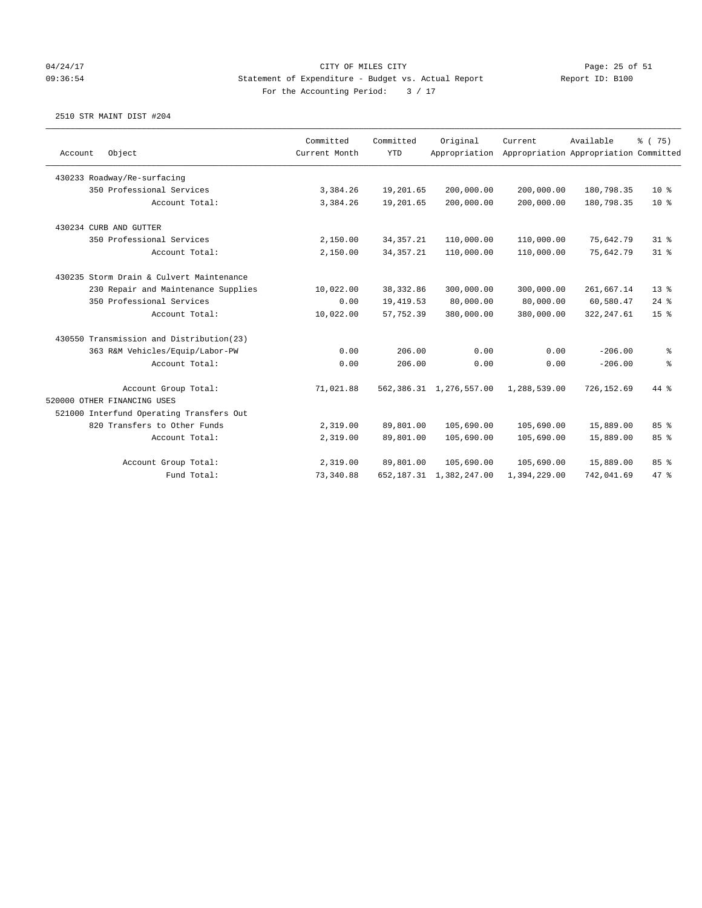### 04/24/17 Page: 25 of 51 09:36:54 Statement of Expenditure - Budget vs. Actual Report Report ID: B100 For the Accounting Period:  $3 / 17$

| Account | Object                                   | Committed<br>Current Month | Committed<br><b>YTD</b> | Original<br>Appropriation    | Current      | Available<br>Appropriation Appropriation Committed | % (75)          |
|---------|------------------------------------------|----------------------------|-------------------------|------------------------------|--------------|----------------------------------------------------|-----------------|
|         | 430233 Roadway/Re-surfacing              |                            |                         |                              |              |                                                    |                 |
|         | 350 Professional Services                | 3,384.26                   | 19,201.65               | 200,000.00                   | 200,000.00   | 180,798.35                                         | $10*$           |
|         | Account Total:                           |                            |                         |                              |              | 180,798.35                                         | $10*$           |
|         |                                          | 3,384.26                   | 19,201.65               | 200,000.00                   | 200,000.00   |                                                    |                 |
|         | 430234 CURB AND GUTTER                   |                            |                         |                              |              |                                                    |                 |
|         | 350 Professional Services                | 2,150.00                   | 34, 357. 21             | 110,000.00                   | 110,000.00   | 75,642.79                                          | $31$ %          |
|         | Account Total:                           | 2,150.00                   | 34, 357. 21             | 110,000.00                   | 110,000.00   | 75,642.79                                          | $31*$           |
|         | 430235 Storm Drain & Culvert Maintenance |                            |                         |                              |              |                                                    |                 |
|         | 230 Repair and Maintenance Supplies      | 10,022.00                  | 38, 332.86              | 300,000.00                   | 300,000.00   | 261,667.14                                         | $13*$           |
|         | 350 Professional Services                | 0.00                       | 19,419.53               | 80,000.00                    | 80,000.00    | 60,580.47                                          | $24$ %          |
|         | Account Total:                           | 10,022.00                  | 57,752.39               | 380,000.00                   | 380,000.00   | 322, 247.61                                        | 15 <sup>8</sup> |
|         | 430550 Transmission and Distribution(23) |                            |                         |                              |              |                                                    |                 |
|         | 363 R&M Vehicles/Equip/Labor-PW          | 0.00                       | 206.00                  | 0.00                         | 0.00         | $-206.00$                                          | ႜ               |
|         | Account Total:                           | 0.00                       | 206.00                  | 0.00                         | 0.00         | $-206.00$                                          | န့              |
|         | Account Group Total:                     | 71,021.88                  |                         | 562, 386.31 1, 276, 557.00   | 1,288,539.00 | 726,152.69                                         | 44 %            |
|         | 520000 OTHER FINANCING USES              |                            |                         |                              |              |                                                    |                 |
|         | 521000 Interfund Operating Transfers Out |                            |                         |                              |              |                                                    |                 |
|         | 820 Transfers to Other Funds             | 2,319.00                   | 89,801.00               | 105,690.00                   | 105,690.00   | 15,889.00                                          | 85%             |
|         | Account Total:                           | 2,319.00                   | 89,801.00               | 105,690.00                   | 105,690.00   | 15,889.00                                          | 85%             |
|         | Account Group Total:                     | 2,319.00                   | 89,801.00               | 105,690.00                   | 105,690.00   | 15,889.00                                          | 85%             |
|         | Fund Total:                              | 73,340.88                  |                         | 652, 187. 31 1, 382, 247. 00 | 1,394,229.00 | 742,041.69                                         | 47 %            |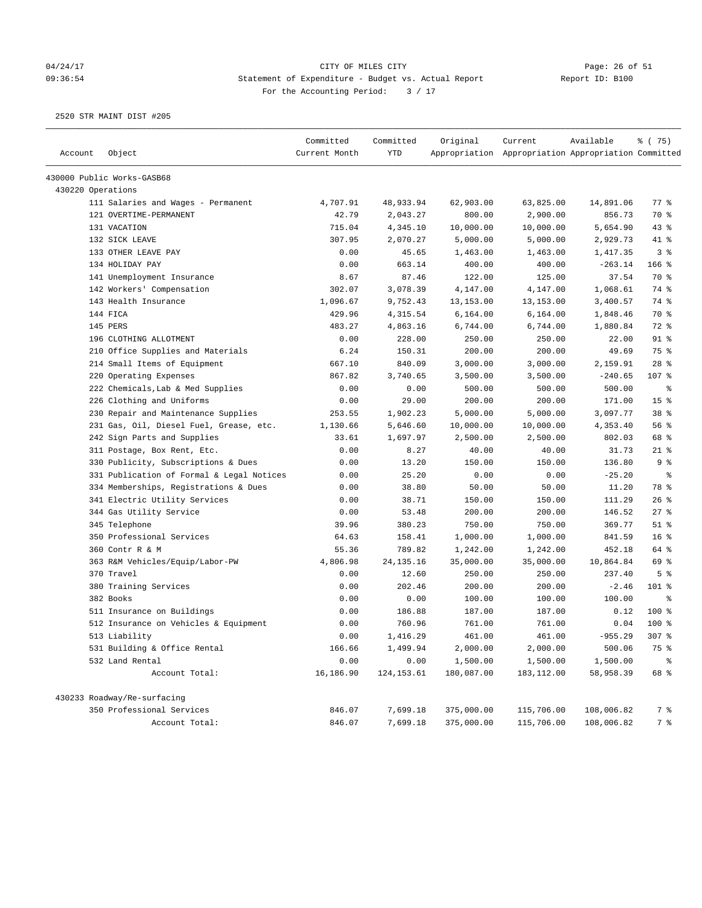#### 04/24/17 CITY OF MILES CITY Page: 26 of 51 09:36:54 Statement of Expenditure - Budget vs. Actual Report Report ID: B100 For the Accounting Period:  $3 / 17$

| Account           |                                           | Committed<br>Current Month | Committed<br><b>YTD</b> | Original   | Current                                             | Available  | % (75)             |
|-------------------|-------------------------------------------|----------------------------|-------------------------|------------|-----------------------------------------------------|------------|--------------------|
|                   | Object                                    |                            |                         |            | Appropriation Appropriation Appropriation Committed |            |                    |
|                   | 430000 Public Works-GASB68                |                            |                         |            |                                                     |            |                    |
| 430220 Operations |                                           |                            |                         |            |                                                     |            |                    |
|                   | 111 Salaries and Wages - Permanent        | 4,707.91                   | 48,933.94               | 62,903.00  | 63,825.00                                           | 14,891.06  | $77$ $\frac{6}{9}$ |
|                   | 121 OVERTIME-PERMANENT                    | 42.79                      | 2,043.27                | 800.00     | 2,900.00                                            | 856.73     | 70 %               |
|                   | 131 VACATION                              | 715.04                     | 4,345.10                | 10,000.00  | 10,000.00                                           | 5,654.90   | 43%                |
|                   | 132 SICK LEAVE                            | 307.95                     | 2,070.27                | 5,000.00   | 5,000.00                                            | 2,929.73   | 41 %               |
|                   | 133 OTHER LEAVE PAY                       | 0.00                       | 45.65                   | 1,463.00   | 1,463.00                                            | 1,417.35   | 3 <sup>8</sup>     |
|                   | 134 HOLIDAY PAY                           | 0.00                       | 663.14                  | 400.00     | 400.00                                              | $-263.14$  | 166 %              |
|                   | 141 Unemployment Insurance                | 8.67                       | 87.46                   | 122.00     | 125.00                                              | 37.54      | 70 %               |
|                   | 142 Workers' Compensation                 | 302.07                     | 3,078.39                | 4,147.00   | 4,147.00                                            | 1,068.61   | 74 %               |
|                   | 143 Health Insurance                      | 1,096.67                   | 9,752.43                | 13, 153.00 | 13, 153.00                                          | 3,400.57   | 74 %               |
|                   | 144 FICA                                  | 429.96                     | 4,315.54                | 6,164.00   | 6,164.00                                            | 1,848.46   | 70 %               |
|                   | 145 PERS                                  | 483.27                     | 4,863.16                | 6,744.00   | 6,744.00                                            | 1,880.84   | 72 %               |
|                   | 196 CLOTHING ALLOTMENT                    | 0.00                       | 228.00                  | 250.00     | 250.00                                              | 22.00      | $91$ %             |
|                   | 210 Office Supplies and Materials         | 6.24                       | 150.31                  | 200.00     | 200.00                                              | 49.69      | 75 %               |
|                   | 214 Small Items of Equipment              | 667.10                     | 840.09                  | 3,000.00   | 3,000.00                                            | 2,159.91   | $28$ %             |
|                   | 220 Operating Expenses                    | 867.82                     | 3,740.65                | 3,500.00   | 3,500.00                                            | $-240.65$  | 107 %              |
|                   | 222 Chemicals, Lab & Med Supplies         | 0.00                       | 0.00                    | 500.00     | 500.00                                              | 500.00     | နွ                 |
|                   | 226 Clothing and Uniforms                 | 0.00                       | 29.00                   | 200.00     | 200.00                                              | 171.00     | 15 <sup>°</sup>    |
|                   | 230 Repair and Maintenance Supplies       | 253.55                     | 1,902.23                | 5,000.00   | 5,000.00                                            | 3,097.77   | 38 <sup>8</sup>    |
|                   | 231 Gas, Oil, Diesel Fuel, Grease, etc.   | 1,130.66                   | 5,646.60                | 10,000.00  | 10,000.00                                           | 4,353.40   | 56%                |
|                   | 242 Sign Parts and Supplies               | 33.61                      | 1,697.97                | 2,500.00   | 2,500.00                                            | 802.03     | 68 %               |
|                   | 311 Postage, Box Rent, Etc.               | 0.00                       | 8.27                    | 40.00      | 40.00                                               | 31.73      | $21$ %             |
|                   | 330 Publicity, Subscriptions & Dues       | 0.00                       | 13.20                   | 150.00     | 150.00                                              | 136.80     | 9 <sup>8</sup>     |
|                   | 331 Publication of Formal & Legal Notices | 0.00                       | 25.20                   | 0.00       | 0.00                                                | $-25.20$   | $\epsilon$         |
|                   | 334 Memberships, Registrations & Dues     | 0.00                       | 38.80                   | 50.00      | 50.00                                               | 11.20      | 78 %               |
|                   | 341 Electric Utility Services             | 0.00                       | 38.71                   | 150.00     | 150.00                                              | 111.29     | 26%                |
|                   | 344 Gas Utility Service                   | 0.00                       | 53.48                   | 200.00     | 200.00                                              | 146.52     | $27$ %             |
|                   | 345 Telephone                             | 39.96                      | 380.23                  | 750.00     | 750.00                                              | 369.77     | $51$ %             |
|                   | 350 Professional Services                 | 64.63                      | 158.41                  | 1,000.00   | 1,000.00                                            | 841.59     | 16 <sup>°</sup>    |
|                   | 360 Contr R & M                           | 55.36                      | 789.82                  | 1,242.00   | 1,242.00                                            | 452.18     | 64 %               |
|                   | 363 R&M Vehicles/Equip/Labor-PW           | 4,806.98                   | 24, 135. 16             | 35,000.00  | 35,000.00                                           | 10,864.84  | 69 %               |
|                   | 370 Travel                                | 0.00                       | 12.60                   | 250.00     | 250.00                                              | 237.40     | 5 <sup>8</sup>     |
|                   | 380 Training Services                     | 0.00                       | 202.46                  | 200.00     | 200.00                                              | $-2.46$    | 101 %              |
|                   | 382 Books                                 | 0.00                       | 0.00                    | 100.00     | 100.00                                              | 100.00     | $\epsilon$         |
|                   | 511 Insurance on Buildings                | 0.00                       | 186.88                  | 187.00     | 187.00                                              | 0.12       | 100%               |
|                   | 512 Insurance on Vehicles & Equipment     | 0.00                       | 760.96                  | 761.00     | 761.00                                              | 0.04       | $100$ %            |
|                   | 513 Liability                             | 0.00                       | 1,416.29                | 461.00     | 461.00                                              | $-955.29$  | 307 <sub>8</sub>   |
|                   | 531 Building & Office Rental              | 166.66                     | 1,499.94                | 2,000.00   | 2,000.00                                            | 500.06     | 75 %               |
|                   | 532 Land Rental                           | 0.00                       | 0.00                    | 1,500.00   | 1,500.00                                            | 1,500.00   | $\,$ %             |
|                   | Account Total:                            | 16,186.90                  | 124, 153.61             | 180,087.00 | 183, 112.00                                         | 58,958.39  | 68 %               |
|                   | 430233 Roadway/Re-surfacing               |                            |                         |            |                                                     |            |                    |
|                   | 350 Professional Services                 | 846.07                     | 7,699.18                | 375,000.00 | 115,706.00                                          | 108,006.82 | 7 %                |
|                   | Account Total:                            | 846.07                     | 7,699.18                | 375,000.00 | 115,706.00                                          | 108,006.82 | 7 %                |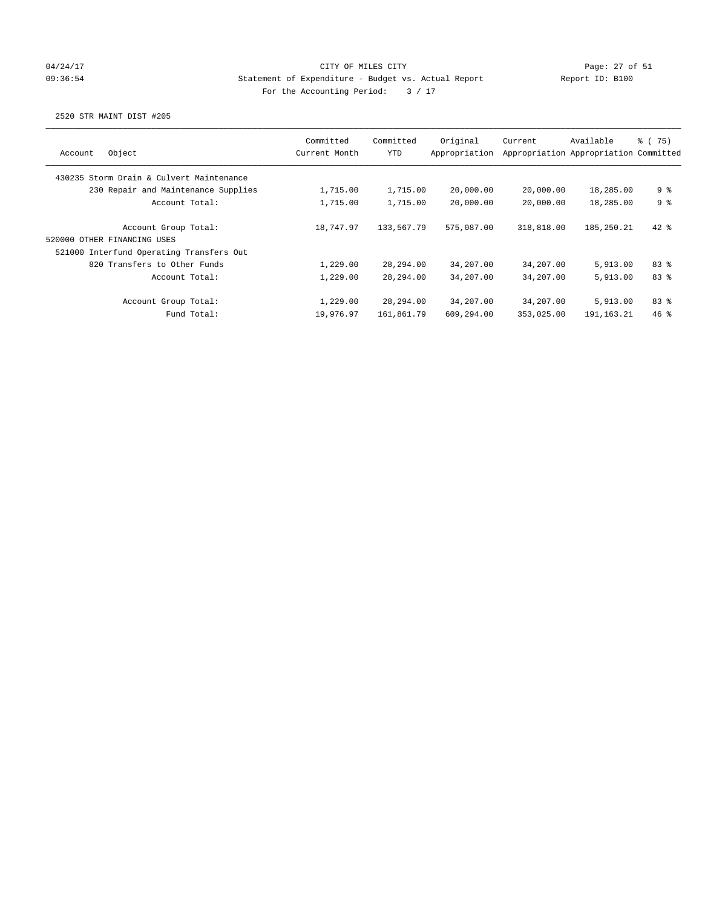## 04/24/17 Page: 27 of 51 09:36:54 Statement of Expenditure - Budget vs. Actual Report Report ID: B100 For the Accounting Period:  $3 / 17$

|                                          | Committed     | Committed  | Original      | Current    | Available                             | 8 (75) |
|------------------------------------------|---------------|------------|---------------|------------|---------------------------------------|--------|
| Object<br>Account                        | Current Month | YTD        | Appropriation |            | Appropriation Appropriation Committed |        |
| 430235 Storm Drain & Culvert Maintenance |               |            |               |            |                                       |        |
| 230 Repair and Maintenance Supplies      | 1,715.00      | 1,715.00   | 20,000.00     | 20,000.00  | 18,285.00                             | 9 %    |
| Account Total:                           | 1,715.00      | 1,715.00   | 20,000.00     | 20,000.00  | 18,285.00                             | 9%     |
| Account Group Total:                     | 18,747.97     | 133,567.79 | 575,087.00    | 318,818.00 | 185,250.21                            | $42$ % |
| 520000 OTHER FINANCING USES              |               |            |               |            |                                       |        |
| 521000 Interfund Operating Transfers Out |               |            |               |            |                                       |        |
| 820 Transfers to Other Funds             | 1,229.00      | 28,294.00  | 34,207.00     | 34,207.00  | 5,913.00                              | 83%    |
| Account Total:                           | 1,229.00      | 28,294.00  | 34,207.00     | 34,207.00  | 5,913.00                              | 83%    |
| Account Group Total:                     | 1,229.00      | 28,294.00  | 34,207.00     | 34,207.00  | 5,913.00                              | 83%    |
| Fund Total:                              | 19,976.97     | 161,861.79 | 609,294.00    | 353,025.00 | 191,163.21                            | 46%    |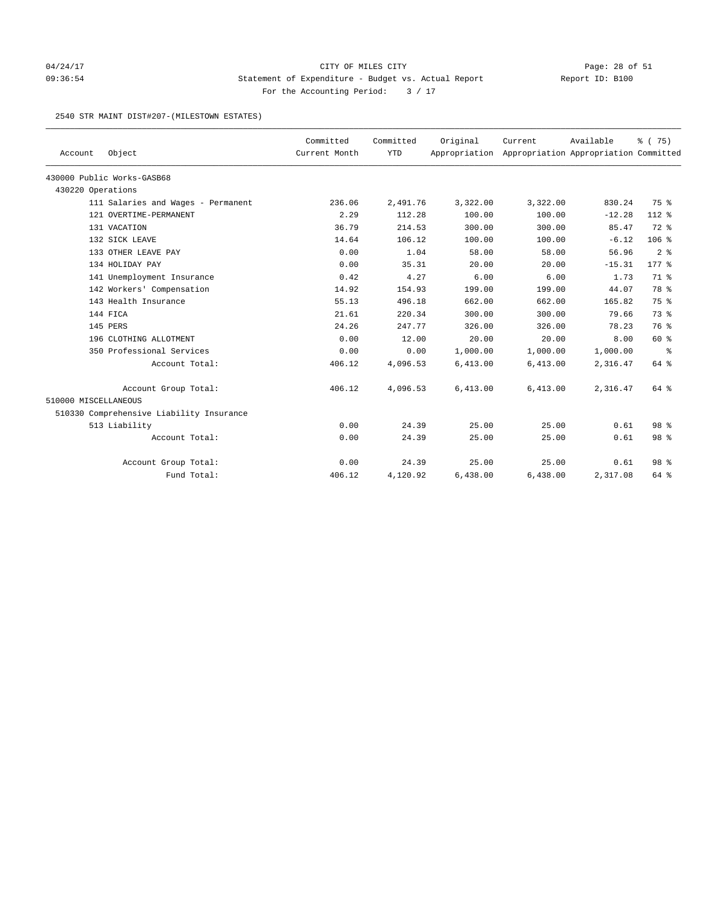## 04/24/17 Page: 28 of 51 09:36:54 Statement of Expenditure - Budget vs. Actual Report Report ID: B100 For the Accounting Period: 3 / 17

#### 2540 STR MAINT DIST#207-(MILESTOWN ESTATES)

|                      | Object                                   | Committed<br>Current Month | Committed<br><b>YTD</b> | Original | Current<br>Appropriation Appropriation Appropriation Committed | Available | % (75)              |
|----------------------|------------------------------------------|----------------------------|-------------------------|----------|----------------------------------------------------------------|-----------|---------------------|
| Account              |                                          |                            |                         |          |                                                                |           |                     |
|                      | 430000 Public Works-GASB68               |                            |                         |          |                                                                |           |                     |
| 430220 Operations    |                                          |                            |                         |          |                                                                |           |                     |
|                      | 111 Salaries and Wages - Permanent       | 236.06                     | 2,491.76                | 3,322.00 | 3,322.00                                                       | 830.24    | 75 %                |
|                      | 121 OVERTIME-PERMANENT                   | 2.29                       | 112.28                  | 100.00   | 100.00                                                         | $-12.28$  | 112 %               |
|                      | 131 VACATION                             | 36.79                      | 214.53                  | 300.00   | 300.00                                                         | 85.47     | 72 %                |
|                      | 132 SICK LEAVE                           | 14.64                      | 106.12                  | 100.00   | 100.00                                                         | $-6.12$   | 106%                |
|                      | 133 OTHER LEAVE PAY                      | 0.00                       | 1.04                    | 58.00    | 58.00                                                          | 56.96     | 2 <sup>8</sup>      |
|                      | 134 HOLIDAY PAY                          | 0.00                       | 35.31                   | 20.00    | 20.00                                                          | $-15.31$  | $177$ $\frac{6}{9}$ |
|                      | 141 Unemployment Insurance               | 0.42                       | 4.27                    | 6.00     | 6.00                                                           | 1.73      | 71.8                |
|                      | 142 Workers' Compensation                | 14.92                      | 154.93                  | 199.00   | 199.00                                                         | 44.07     | 78 %                |
|                      | 143 Health Insurance                     | 55.13                      | 496.18                  | 662.00   | 662.00                                                         | 165.82    | 75 %                |
|                      | 144 FICA                                 | 21.61                      | 220.34                  | 300.00   | 300.00                                                         | 79.66     | 73 %                |
|                      | 145 PERS                                 | 24.26                      | 247.77                  | 326.00   | 326.00                                                         | 78.23     | 76 %                |
|                      | 196 CLOTHING ALLOTMENT                   | 0.00                       | 12.00                   | 20.00    | 20.00                                                          | 8.00      | 60 %                |
|                      | 350 Professional Services                | 0.00                       | 0.00                    | 1,000.00 | 1,000.00                                                       | 1,000.00  | နွ                  |
|                      | Account Total:                           | 406.12                     | 4,096.53                | 6,413.00 | 6,413.00                                                       | 2,316.47  | 64 %                |
|                      | Account Group Total:                     | 406.12                     | 4,096.53                | 6,413.00 | 6,413.00                                                       | 2,316.47  | 64 %                |
| 510000 MISCELLANEOUS |                                          |                            |                         |          |                                                                |           |                     |
|                      | 510330 Comprehensive Liability Insurance |                            |                         |          |                                                                |           |                     |
|                      | 513 Liability                            | 0.00                       | 24.39                   | 25.00    | 25.00                                                          | 0.61      | 98 <sup>8</sup>     |
|                      | Account Total:                           | 0.00                       | 24.39                   | 25.00    | 25.00                                                          | 0.61      | 98 %                |
|                      | Account Group Total:                     | 0.00                       | 24.39                   | 25.00    | 25.00                                                          | 0.61      | 98 <sup>8</sup>     |
|                      | Fund Total:                              | 406.12                     | 4,120.92                | 6,438.00 | 6,438.00                                                       | 2,317.08  | 64 %                |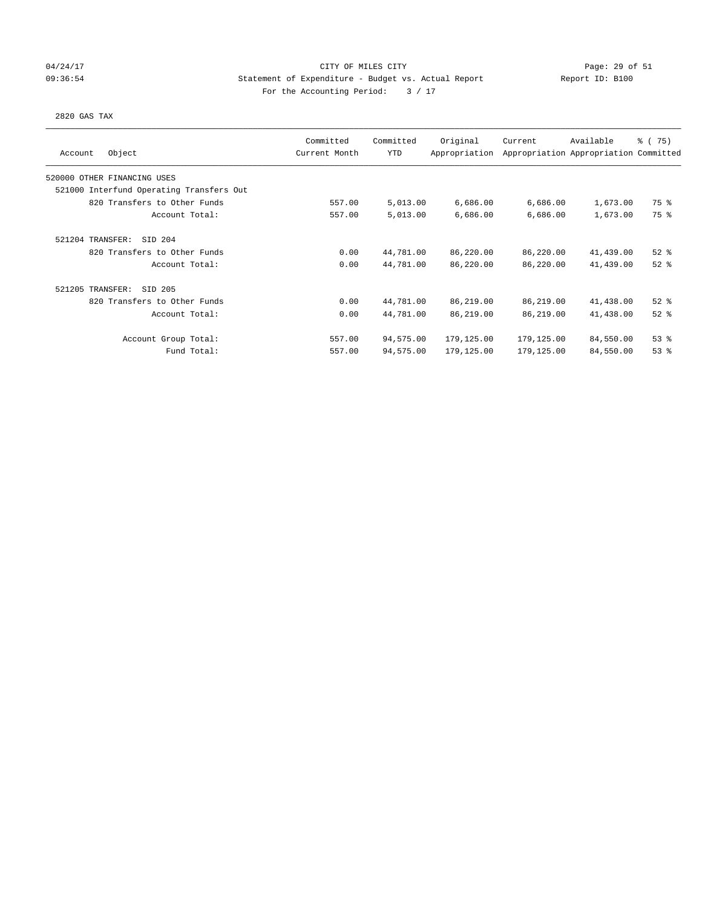### 04/24/17 Page: 29 of 51 09:36:54 Statement of Expenditure - Budget vs. Actual Report Report ID: B100 For the Accounting Period:  $3 / 17$

#### 2820 GAS TAX

| Object<br>Account                        | Committed<br>Current Month | Committed<br><b>YTD</b> | Original<br>Appropriation | Current    | Available<br>Appropriation Appropriation Committed | $\frac{1}{6}$ ( 75) |
|------------------------------------------|----------------------------|-------------------------|---------------------------|------------|----------------------------------------------------|---------------------|
| 520000 OTHER FINANCING USES              |                            |                         |                           |            |                                                    |                     |
| 521000 Interfund Operating Transfers Out |                            |                         |                           |            |                                                    |                     |
| 820 Transfers to Other Funds             | 557.00                     | 5,013.00                | 6,686.00                  | 6,686.00   | 1,673.00                                           | 75 %                |
| Account Total:                           | 557.00                     | 5,013.00                | 6,686.00                  | 6,686.00   | 1,673.00                                           | 75 %                |
| 521204 TRANSFER:<br>SID 204              |                            |                         |                           |            |                                                    |                     |
| 820 Transfers to Other Funds             | 0.00                       | 44,781.00               | 86,220.00                 | 86,220.00  | 41,439.00                                          | $52$ $%$            |
| Account Total:                           | 0.00                       | 44,781.00               | 86,220.00                 | 86,220.00  | 41,439.00                                          | $52$ $%$            |
| 521205 TRANSFER:<br>SID 205              |                            |                         |                           |            |                                                    |                     |
| 820 Transfers to Other Funds             | 0.00                       | 44,781.00               | 86,219.00                 | 86,219.00  | 41,438.00                                          | $52$ $%$            |
| Account Total:                           | 0.00                       | 44,781.00               | 86,219.00                 | 86,219.00  | 41,438.00                                          | $52$ $%$            |
| Account Group Total:                     | 557.00                     | 94,575.00               | 179,125.00                | 179,125.00 | 84,550.00                                          | 53%                 |
| Fund Total:                              | 557.00                     | 94,575.00               | 179,125.00                | 179,125.00 | 84,550.00                                          | 53%                 |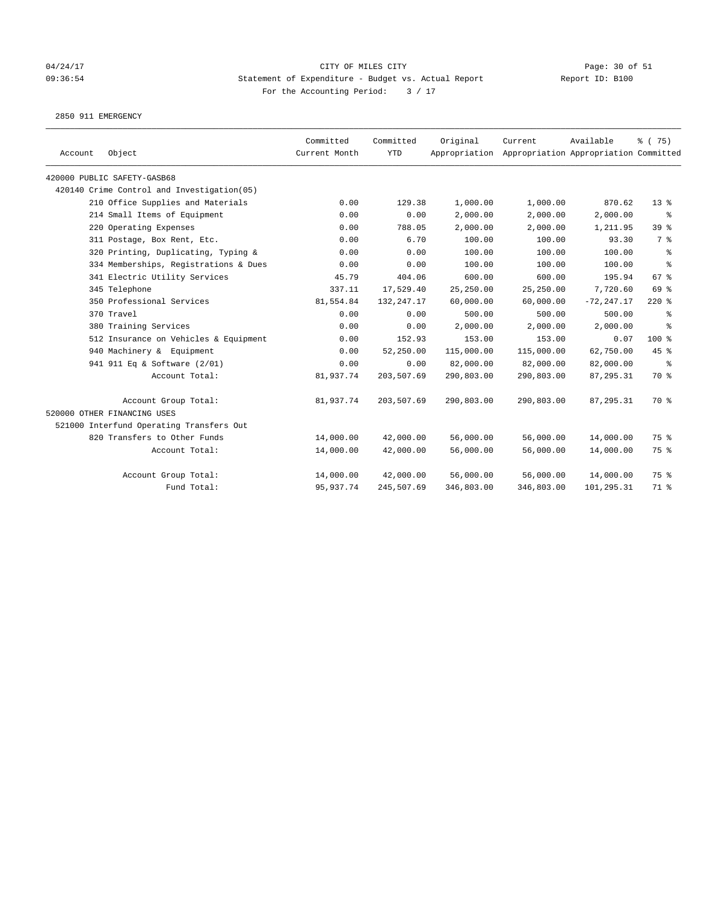## 04/24/17 Page: 30 of 51 09:36:54 Statement of Expenditure - Budget vs. Actual Report Changer Report ID: B100 For the Accounting Period: 3 / 17

2850 911 EMERGENCY

| Account | Object                                     | Committed<br>Current Month | Committed<br><b>YTD</b> | Original   | Current<br>Appropriation Appropriation Appropriation Committed | Available     | % (75)          |
|---------|--------------------------------------------|----------------------------|-------------------------|------------|----------------------------------------------------------------|---------------|-----------------|
|         | 420000 PUBLIC SAFETY-GASB68                |                            |                         |            |                                                                |               |                 |
|         | 420140 Crime Control and Investigation(05) |                            |                         |            |                                                                |               |                 |
|         | 210 Office Supplies and Materials          | 0.00                       | 129.38                  | 1,000.00   | 1,000.00                                                       | 870.62        | $13*$           |
|         | 214 Small Items of Equipment               | 0.00                       | 0.00                    | 2,000.00   | 2,000.00                                                       | 2,000.00      | ႜ               |
|         | 220 Operating Expenses                     | 0.00                       | 788.05                  | 2,000.00   | 2,000.00                                                       | 1,211.95      | 39 <sup>8</sup> |
|         | 311 Postage, Box Rent, Etc.                | 0.00                       | 6.70                    | 100.00     | 100.00                                                         | 93.30         | 7 %             |
|         | 320 Printing, Duplicating, Typing &        | 0.00                       | 0.00                    | 100.00     | 100.00                                                         | 100.00        | $\epsilon$      |
|         | 334 Memberships, Registrations & Dues      | 0.00                       | 0.00                    | 100.00     | 100.00                                                         | 100.00        | ి               |
|         | 341 Electric Utility Services              | 45.79                      | 404.06                  | 600.00     | 600.00                                                         | 195.94        | 67 <sup>8</sup> |
|         | 345 Telephone                              | 337.11                     | 17,529.40               | 25,250.00  | 25,250.00                                                      | 7,720.60      | 69 %            |
|         | 350 Professional Services                  | 81,554.84                  | 132, 247. 17            | 60,000.00  | 60,000.00                                                      | $-72, 247.17$ | $220$ %         |
|         | 370 Travel                                 | 0.00                       | 0.00                    | 500.00     | 500.00                                                         | 500.00        | ႜ               |
|         | 380 Training Services                      | 0.00                       | 0.00                    | 2,000.00   | 2,000.00                                                       | 2,000.00      | နွ              |
|         | 512 Insurance on Vehicles & Equipment      | 0.00                       | 152.93                  | 153.00     | 153.00                                                         | 0.07          | 100 %           |
|         | 940 Machinery & Equipment                  | 0.00                       | 52,250.00               | 115,000.00 | 115,000.00                                                     | 62,750.00     | 45%             |
|         | 941 911 Eq & Software (2/01)               | 0.00                       | 0.00                    | 82,000.00  | 82,000.00                                                      | 82,000.00     | ႜ               |
|         | Account Total:                             | 81,937.74                  | 203,507.69              | 290,803.00 | 290,803.00                                                     | 87,295.31     | 70 %            |
|         | Account Group Total:                       | 81,937.74                  | 203,507.69              | 290,803.00 | 290,803.00                                                     | 87, 295.31    | 70 %            |
|         | 520000 OTHER FINANCING USES                |                            |                         |            |                                                                |               |                 |
|         | 521000 Interfund Operating Transfers Out   |                            |                         |            |                                                                |               |                 |
|         | 820 Transfers to Other Funds               | 14,000.00                  | 42,000.00               | 56,000.00  | 56,000.00                                                      | 14,000.00     | 75 %            |
|         | Account Total:                             | 14,000.00                  | 42,000.00               | 56,000.00  | 56,000.00                                                      | 14,000.00     | 75 %            |
|         | Account Group Total:                       | 14,000.00                  | 42,000.00               | 56,000.00  | 56,000.00                                                      | 14,000.00     | 75 %            |
|         | Fund Total:                                | 95,937.74                  | 245,507.69              | 346,803.00 | 346,803.00                                                     | 101,295.31    | 71 %            |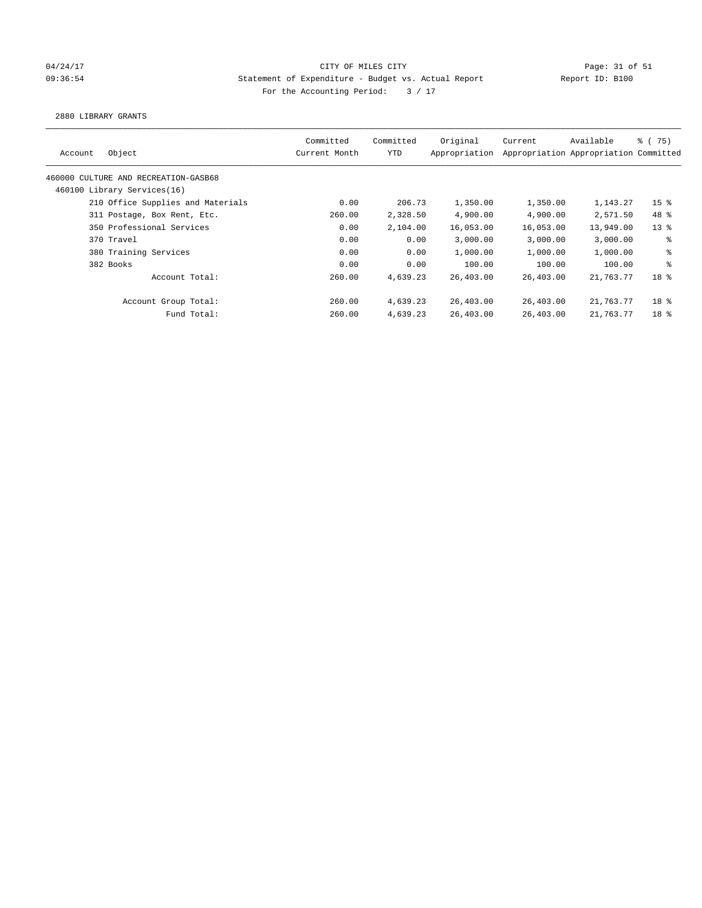## 04/24/17 Page: 31 of 51 and 04/24/17 Page: 31 of 51 09:36:54 Statement of Expenditure - Budget vs. Actual Report Report ID: B100 For the Accounting Period:  $3 / 17$

2880 LIBRARY GRANTS

| Committed<br>Current Month | Committed<br>YTD | Original<br>Appropriation | Current                                                                    | Available | 8 (75)                                                                                                                                                                                                              |
|----------------------------|------------------|---------------------------|----------------------------------------------------------------------------|-----------|---------------------------------------------------------------------------------------------------------------------------------------------------------------------------------------------------------------------|
|                            |                  |                           |                                                                            |           |                                                                                                                                                                                                                     |
|                            |                  |                           |                                                                            |           |                                                                                                                                                                                                                     |
| 0.00                       |                  | 1,350.00                  |                                                                            | 1,143.27  | 15 <sup>8</sup>                                                                                                                                                                                                     |
| 260.00                     |                  | 4,900.00                  |                                                                            |           | $48*$                                                                                                                                                                                                               |
| 0.00                       |                  | 16,053.00                 |                                                                            |           | $13*$                                                                                                                                                                                                               |
| 0.00                       |                  | 3,000.00                  |                                                                            | 3,000.00  | နွ                                                                                                                                                                                                                  |
| 0.00                       |                  | 1,000.00                  |                                                                            | 1,000.00  | ి                                                                                                                                                                                                                   |
| 0.00                       |                  | 100.00                    |                                                                            | 100.00    | ి                                                                                                                                                                                                                   |
| 260.00                     |                  | 26,403.00                 |                                                                            |           | 18 <sup>8</sup>                                                                                                                                                                                                     |
| 260.00                     |                  | 26,403.00                 |                                                                            |           | 18 <sup>8</sup>                                                                                                                                                                                                     |
| 260.00                     |                  | 26,403.00                 |                                                                            |           | 18 <sup>8</sup>                                                                                                                                                                                                     |
|                            |                  | 0.00<br>0.00              | 206.73<br>2,328.50<br>2,104.00<br>0.00<br>4,639.23<br>4,639.23<br>4,639.23 |           | Appropriation Appropriation Committed<br>1,350.00<br>4,900.00<br>2,571.50<br>16,053.00<br>13,949.00<br>3.000.00<br>1,000.00<br>100.00<br>26,403.00<br>21,763.77<br>26,403.00<br>21,763.77<br>26,403.00<br>21,763.77 |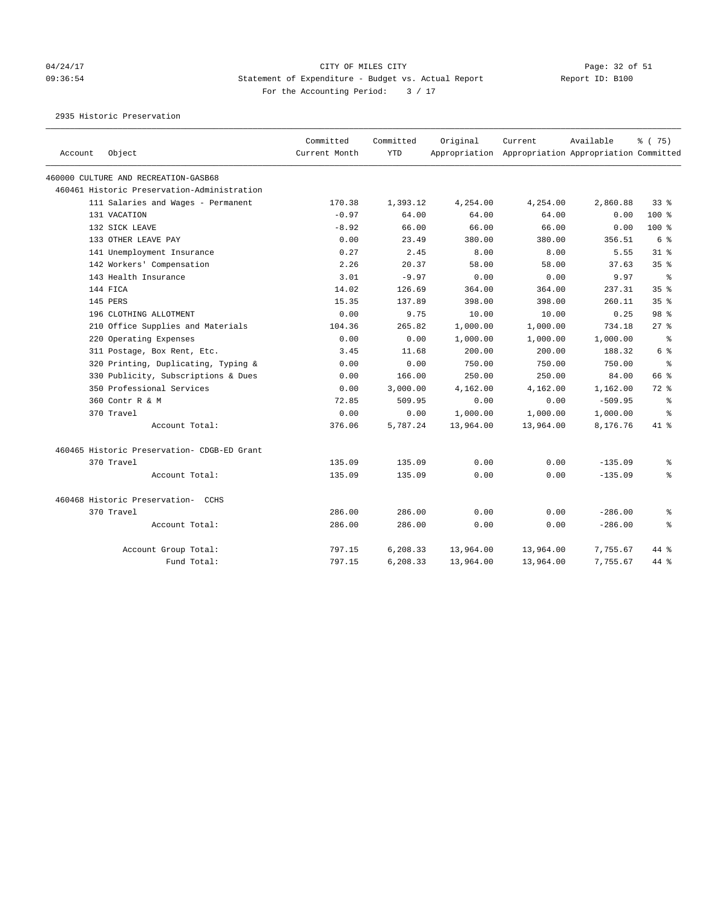### 04/24/17 Page: 32 of 51 09:36:54 Statement of Expenditure - Budget vs. Actual Report Report ID: B100 For the Accounting Period:  $3 / 17$

2935 Historic Preservation

|         |                                             | Committed     | Committed  | Original  | Current                                             | Available | % (75)          |
|---------|---------------------------------------------|---------------|------------|-----------|-----------------------------------------------------|-----------|-----------------|
| Account | Object                                      | Current Month | <b>YTD</b> |           | Appropriation Appropriation Appropriation Committed |           |                 |
|         | 460000 CULTURE AND RECREATION-GASB68        |               |            |           |                                                     |           |                 |
|         | 460461 Historic Preservation-Administration |               |            |           |                                                     |           |                 |
|         | 111 Salaries and Wages - Permanent          | 170.38        | 1,393.12   | 4,254.00  | 4,254.00                                            | 2,860.88  | 33%             |
|         | 131 VACATION                                | $-0.97$       | 64.00      | 64.00     | 64.00                                               | 0.00      | 100 %           |
|         | 132 SICK LEAVE                              | $-8.92$       | 66.00      | 66.00     | 66.00                                               | 0.00      | 100 %           |
|         | 133 OTHER LEAVE PAY                         | 0.00          | 23.49      | 380.00    | 380.00                                              | 356.51    | 6 %             |
|         | 141 Unemployment Insurance                  | 0.27          | 2.45       | 8.00      | 8.00                                                | 5.55      | $31$ $8$        |
|         | 142 Workers' Compensation                   | 2.26          | 20.37      | 58.00     | 58.00                                               | 37.63     | 35 <sup>8</sup> |
|         | 143 Health Insurance                        | 3.01          | $-9.97$    | 0.00      | 0.00                                                | 9.97      | နွ              |
|         | 144 FICA                                    | 14.02         | 126.69     | 364.00    | 364.00                                              | 237.31    | 35%             |
|         | 145 PERS                                    | 15.35         | 137.89     | 398.00    | 398.00                                              | 260.11    | 35 <sup>8</sup> |
|         | 196 CLOTHING ALLOTMENT                      | 0.00          | 9.75       | 10.00     | 10.00                                               | 0.25      | 98 %            |
|         | 210 Office Supplies and Materials           | 104.36        | 265.82     | 1,000.00  | 1,000.00                                            | 734.18    | 27%             |
|         | 220 Operating Expenses                      | 0.00          | 0.00       | 1,000.00  | 1,000.00                                            | 1,000.00  | ႜ               |
|         | 311 Postage, Box Rent, Etc.                 | 3.45          | 11.68      | 200.00    | 200.00                                              | 188.32    | 6 %             |
|         | 320 Printing, Duplicating, Typing &         | 0.00          | 0.00       | 750.00    | 750.00                                              | 750.00    | နွ              |
|         | 330 Publicity, Subscriptions & Dues         | 0.00          | 166.00     | 250.00    | 250.00                                              | 84.00     | 66 %            |
|         | 350 Professional Services                   | 0.00          | 3,000.00   | 4,162.00  | 4,162.00                                            | 1,162.00  | $72*$           |
|         | 360 Contr R & M                             | 72.85         | 509.95     | 0.00      | 0.00                                                | $-509.95$ | နွ              |
|         | 370 Travel                                  | 0.00          | 0.00       | 1,000.00  | 1,000.00                                            | 1,000.00  | $\approx$       |
|         | Account Total:                              | 376.06        | 5,787.24   | 13,964.00 | 13,964.00                                           | 8,176.76  | 41 %            |
|         | 460465 Historic Preservation- CDGB-ED Grant |               |            |           |                                                     |           |                 |
|         | 370 Travel                                  | 135.09        | 135.09     | 0.00      | 0.00                                                | $-135.09$ | နွ              |
|         | Account Total:                              | 135.09        | 135.09     | 0.00      | 0.00                                                | $-135.09$ | နွ              |
|         | 460468 Historic Preservation- CCHS          |               |            |           |                                                     |           |                 |
|         | 370 Travel                                  | 286.00        | 286.00     | 0.00      | 0.00                                                | $-286.00$ | ႜ               |
|         | Account Total:                              | 286.00        | 286.00     | 0.00      | 0.00                                                | $-286.00$ | နွ              |
|         | Account Group Total:                        | 797.15        | 6,208.33   | 13,964.00 | 13,964.00                                           | 7,755.67  | $44*$           |
|         | Fund Total:                                 | 797.15        | 6,208.33   | 13,964.00 | 13,964.00                                           | 7,755.67  | 44 %            |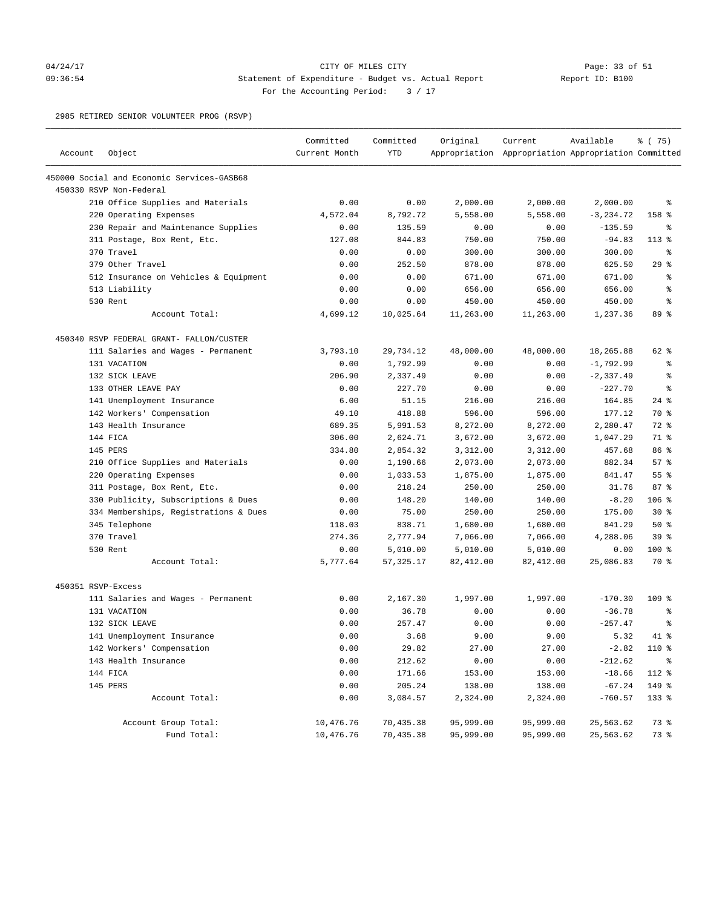### 04/24/17 Page: 33 of 51 09:36:54 Statement of Expenditure - Budget vs. Actual Report Report ID: B100 For the Accounting Period: 3 / 17

2985 RETIRED SENIOR VOLUNTEER PROG (RSVP)

| Account            | Object                                     | Committed<br>Current Month | Committed<br><b>YTD</b> | Original  | Current<br>Appropriation Appropriation Appropriation Committed | Available    | 8 (75)          |
|--------------------|--------------------------------------------|----------------------------|-------------------------|-----------|----------------------------------------------------------------|--------------|-----------------|
|                    |                                            |                            |                         |           |                                                                |              |                 |
|                    | 450000 Social and Economic Services-GASB68 |                            |                         |           |                                                                |              |                 |
|                    | 450330 RSVP Non-Federal                    |                            |                         |           |                                                                |              |                 |
|                    | 210 Office Supplies and Materials          | 0.00                       | 0.00                    | 2,000.00  | 2,000.00                                                       | 2,000.00     | နွ              |
|                    | 220 Operating Expenses                     | 4,572.04                   | 8,792.72                | 5,558.00  | 5,558.00                                                       | $-3, 234.72$ | 158 %           |
|                    | 230 Repair and Maintenance Supplies        | 0.00                       | 135.59                  | 0.00      | 0.00                                                           | $-135.59$    | ႜ               |
|                    | 311 Postage, Box Rent, Etc.                | 127.08                     | 844.83                  | 750.00    | 750.00                                                         | $-94.83$     | $113*$          |
|                    | 370 Travel                                 | 0.00                       | 0.00                    | 300.00    | 300.00                                                         | 300.00       | ႜ               |
|                    | 379 Other Travel                           | 0.00                       | 252.50                  | 878.00    | 878.00                                                         | 625.50       | 29%             |
|                    | 512 Insurance on Vehicles & Equipment      | 0.00                       | 0.00                    | 671.00    | 671.00                                                         | 671.00       | နွ              |
|                    | 513 Liability                              | 0.00                       | 0.00                    | 656.00    | 656.00                                                         | 656.00       | ್ಠಿ             |
|                    | 530 Rent                                   | 0.00                       | 0.00                    | 450.00    | 450.00                                                         | 450.00       | နွ              |
|                    | Account Total:                             | 4,699.12                   | 10,025.64               | 11,263.00 | 11,263.00                                                      | 1,237.36     | 89 %            |
|                    | 450340 RSVP FEDERAL GRANT- FALLON/CUSTER   |                            |                         |           |                                                                |              |                 |
|                    | 111 Salaries and Wages - Permanent         | 3,793.10                   | 29,734.12               | 48,000.00 | 48,000.00                                                      | 18,265.88    | 62 %            |
|                    | 131 VACATION                               | 0.00                       | 1,792.99                | 0.00      | 0.00                                                           | $-1,792.99$  | နွ              |
|                    | 132 SICK LEAVE                             | 206.90                     | 2,337.49                | 0.00      | 0.00                                                           | $-2,337.49$  | နွ              |
|                    | 133 OTHER LEAVE PAY                        | 0.00                       | 227.70                  | 0.00      | 0.00                                                           | $-227.70$    | နွ              |
|                    | 141 Unemployment Insurance                 | 6.00                       | 51.15                   | 216.00    | 216.00                                                         | 164.85       | $24$ %          |
|                    | 142 Workers' Compensation                  | 49.10                      | 418.88                  | 596.00    | 596.00                                                         | 177.12       | 70 %            |
|                    | 143 Health Insurance                       | 689.35                     | 5,991.53                | 8,272.00  | 8,272.00                                                       | 2,280.47     | 72 %            |
|                    | 144 FICA                                   | 306.00                     | 2,624.71                | 3,672.00  | 3,672.00                                                       | 1,047.29     | 71 %            |
|                    | 145 PERS                                   | 334.80                     | 2,854.32                | 3,312.00  | 3,312.00                                                       | 457.68       | 86 %            |
|                    | 210 Office Supplies and Materials          | 0.00                       | 1,190.66                | 2,073.00  | 2,073.00                                                       | 882.34       | 57%             |
|                    | 220 Operating Expenses                     | 0.00                       | 1,033.53                | 1,875.00  | 1,875.00                                                       | 841.47       | 55%             |
|                    | 311 Postage, Box Rent, Etc.                | 0.00                       | 218.24                  | 250.00    | 250.00                                                         | 31.76        | 87%             |
|                    | 330 Publicity, Subscriptions & Dues        | 0.00                       | 148.20                  | 140.00    | 140.00                                                         | $-8.20$      | $106$ %         |
|                    | 334 Memberships, Registrations & Dues      | 0.00                       | 75.00                   | 250.00    | 250.00                                                         | 175.00       | $30*$           |
|                    | 345 Telephone                              | 118.03                     | 838.71                  | 1,680.00  | 1,680.00                                                       | 841.29       | 50%             |
|                    | 370 Travel                                 | 274.36                     | 2,777.94                | 7,066.00  | 7,066.00                                                       | 4,288.06     | 39 <sup>8</sup> |
|                    | 530 Rent                                   | 0.00                       | 5,010.00                | 5,010.00  | 5,010.00                                                       | 0.00         | $100$ %         |
|                    | Account Total:                             | 5,777.64                   | 57, 325.17              | 82,412.00 | 82,412.00                                                      | 25,086.83    | 70 %            |
| 450351 RSVP-Excess |                                            |                            |                         |           |                                                                |              |                 |
|                    | 111 Salaries and Wages - Permanent         | 0.00                       | 2,167.30                | 1,997.00  | 1,997.00                                                       | $-170.30$    | $109$ %         |
|                    | 131 VACATION                               | 0.00                       | 36.78                   | 0.00      | 0.00                                                           | $-36.78$     | နွ              |
|                    | 132 SICK LEAVE                             | 0.00                       | 257.47                  | 0.00      | 0.00                                                           | $-257.47$    | နွ              |
|                    | 141 Unemployment Insurance                 | 0.00                       | 3.68                    | 9.00      | 9.00                                                           | 5.32         | $41*$           |
|                    | 142 Workers' Compensation                  | 0.00                       | 29.82                   | 27.00     | 27.00                                                          | $-2.82$      | 110 %           |
|                    | 143 Health Insurance                       | 0.00                       | 212.62                  | 0.00      | 0.00                                                           | $-212.62$    | နွ              |
|                    | 144 FICA                                   | 0.00                       | 171.66                  | 153.00    | 153.00                                                         | $-18.66$     | 112 %           |
|                    | 145 PERS                                   | 0.00                       | 205.24                  | 138.00    | 138.00                                                         | $-67.24$     | 149 %           |
|                    | Account Total:                             | 0.00                       | 3,084.57                | 2,324.00  | 2,324.00                                                       | $-760.57$    | 133 %           |
|                    |                                            |                            |                         |           |                                                                |              |                 |
|                    | Account Group Total:                       | 10,476.76                  | 70,435.38               | 95,999.00 | 95,999.00                                                      | 25,563.62    | 73 %            |
|                    | Fund Total:                                | 10,476.76                  | 70,435.38               | 95,999.00 | 95,999.00                                                      | 25,563.62    | 73 %            |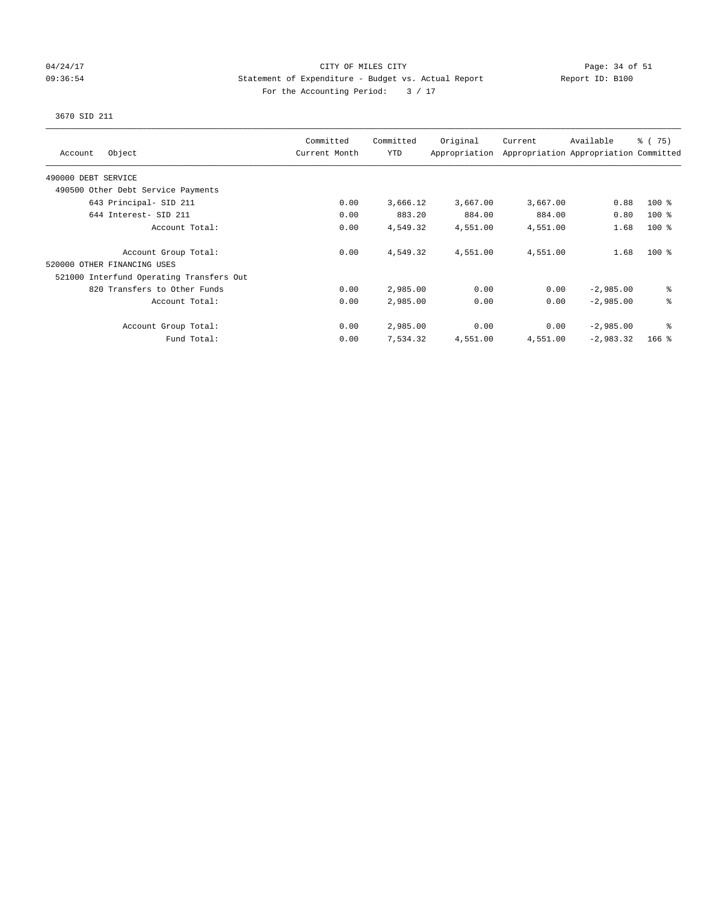### 04/24/17 Page: 34 of 51 09:36:54 Statement of Expenditure - Budget vs. Actual Report Report ID: B100 For the Accounting Period:  $3 / 17$

## 3670 SID 211

| Object<br>Account                        | Committed<br>Current Month | Committed<br><b>YTD</b> | Original<br>Appropriation | Current  | Available<br>Appropriation Appropriation Committed | $\frac{1}{6}$ ( 75) |
|------------------------------------------|----------------------------|-------------------------|---------------------------|----------|----------------------------------------------------|---------------------|
| 490000 DEBT SERVICE                      |                            |                         |                           |          |                                                    |                     |
| 490500 Other Debt Service Payments       |                            |                         |                           |          |                                                    |                     |
| 643 Principal- SID 211                   | 0.00                       | 3,666.12                | 3,667.00                  | 3,667.00 | 0.88                                               | $100$ %             |
| 644 Interest- SID 211                    | 0.00                       | 883.20                  | 884.00                    | 884.00   | 0.80                                               | $100$ %             |
| Account Total:                           | 0.00                       | 4,549.32                | 4,551.00                  | 4,551.00 | 1.68                                               | $100$ %             |
| Account Group Total:                     | 0.00                       | 4,549.32                | 4,551.00                  | 4,551.00 | 1.68                                               | $100*$              |
| 520000 OTHER FINANCING USES              |                            |                         |                           |          |                                                    |                     |
| 521000 Interfund Operating Transfers Out |                            |                         |                           |          |                                                    |                     |
| 820 Transfers to Other Funds             | 0.00                       | 2,985.00                | 0.00                      | 0.00     | $-2,985.00$                                        | ి                   |
| Account Total:                           | 0.00                       | 2,985.00                | 0.00                      | 0.00     | $-2,985.00$                                        | る                   |
| Account Group Total:                     | 0.00                       | 2,985.00                | 0.00                      | 0.00     | $-2,985.00$                                        | နွ                  |
| Fund Total:                              | 0.00                       | 7,534.32                | 4,551.00                  | 4,551.00 | $-2,983.32$                                        | $166$ %             |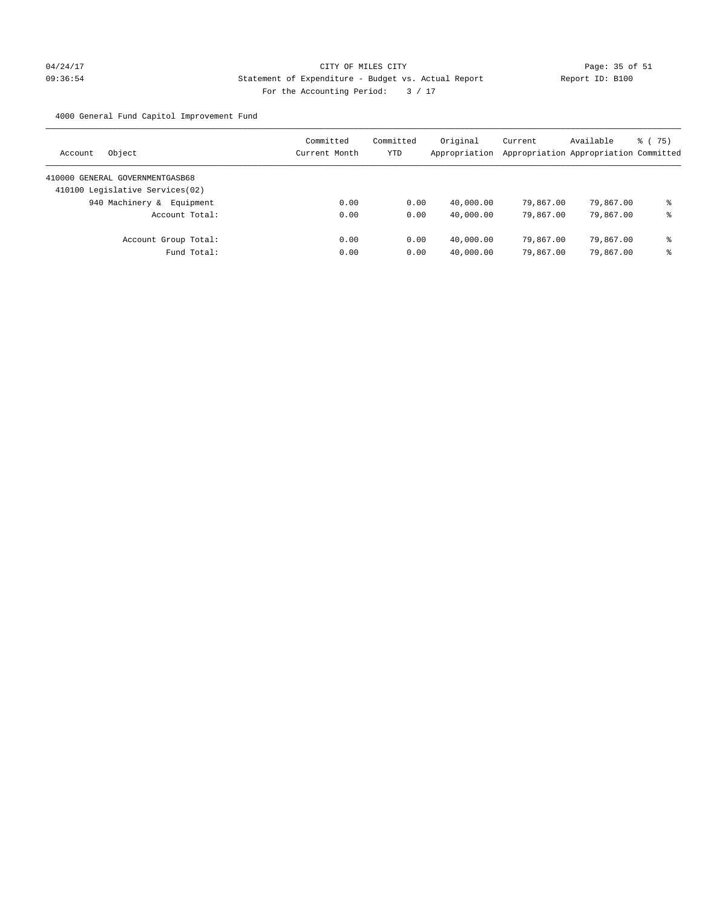4000 General Fund Capitol Improvement Fund

| Object<br>Account               | Committed<br>Current Month | Committed<br>YTD | Original<br>Appropriation | Current<br>Appropriation Appropriation Committed | Available | 8 (75) |
|---------------------------------|----------------------------|------------------|---------------------------|--------------------------------------------------|-----------|--------|
| 410000 GENERAL GOVERNMENTGASB68 |                            |                  |                           |                                                  |           |        |
| 410100 Legislative Services(02) |                            |                  |                           |                                                  |           |        |
| 940 Machinery &<br>Equipment    | 0.00                       | 0.00             | 40,000.00                 | 79,867,00                                        | 79,867.00 | နွ     |
| Account Total:                  | 0.00                       | 0.00             | 40,000.00                 | 79,867.00                                        | 79,867.00 | နွ     |
| Account Group Total:            | 0.00                       | 0.00             | 40,000.00                 | 79,867,00                                        | 79,867.00 | နွ     |
| Fund Total:                     | 0.00                       | 0.00             | 40,000.00                 | 79,867,00                                        | 79,867.00 | နွ     |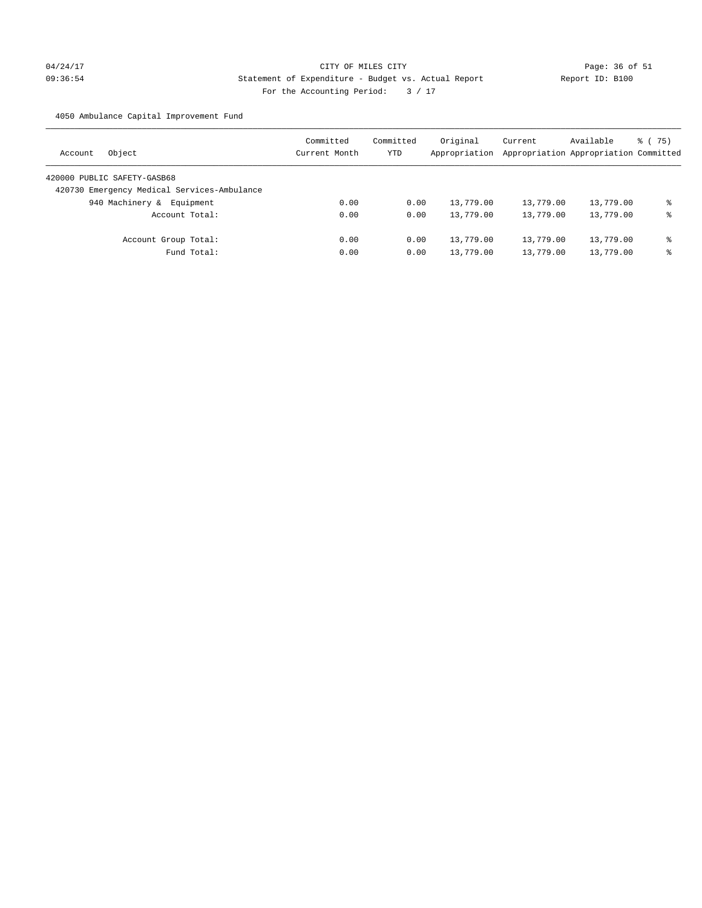# 04/24/17 Page: 36 of 51 09:36:54 Statement of Expenditure - Budget vs. Actual Report Changer Report ID: B100 For the Accounting Period: 3 / 17

4050 Ambulance Capital Improvement Fund

| Object<br>Account                           | Committed<br>Current Month | Committed<br>YTD | Original<br>Appropriation | Current<br>Appropriation Appropriation Committed | Available | 8 (75) |
|---------------------------------------------|----------------------------|------------------|---------------------------|--------------------------------------------------|-----------|--------|
| 420000 PUBLIC SAFETY-GASB68                 |                            |                  |                           |                                                  |           |        |
| 420730 Emergency Medical Services-Ambulance |                            |                  |                           |                                                  |           |        |
| 940 Machinery &<br>Equipment                | 0.00                       | 0.00             | 13,779.00                 | 13,779.00                                        | 13,779.00 | ి      |
| Account Total:                              | 0.00                       | 0.00             | 13,779.00                 | 13,779.00                                        | 13,779.00 | နွ     |
| Account Group Total:                        | 0.00                       | 0.00             | 13,779.00                 | 13,779.00                                        | 13,779.00 | နွ     |
| Fund Total:                                 | 0.00                       | 0.00             | 13,779.00                 | 13,779.00                                        | 13,779.00 | နွ     |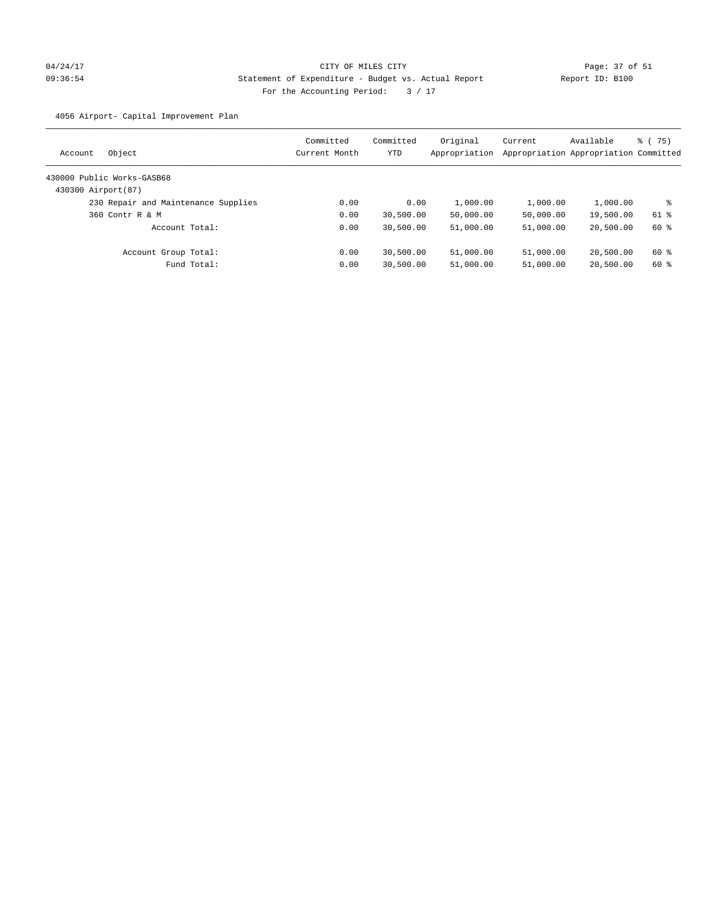# 04/24/17 Page: 37 of 51 09:36:54 Statement of Expenditure - Budget vs. Actual Report Changer (Report ID: B100 For the Accounting Period: 3 / 17

4056 Airport- Capital Improvement Plan

| Object<br>Account                   | Committed<br>Current Month | Committed<br>YTD | Original<br>Appropriation | Current<br>Appropriation Appropriation Committed | Available | 8 (75) |
|-------------------------------------|----------------------------|------------------|---------------------------|--------------------------------------------------|-----------|--------|
| 430000 Public Works-GASB68          |                            |                  |                           |                                                  |           |        |
| 430300 Airport (87)                 |                            |                  |                           |                                                  |           |        |
| 230 Repair and Maintenance Supplies | 0.00                       | 0.00             | 1,000.00                  | 1,000.00                                         | 1,000.00  | ႜ      |
| 360 Contr R & M                     | 0.00                       | 30,500.00        | 50,000.00                 | 50,000.00                                        | 19,500.00 | 61 %   |
| Account Total:                      | 0.00                       | 30,500.00        | 51,000.00                 | 51,000.00                                        | 20,500.00 | 60 %   |
| Account Group Total:                | 0.00                       | 30,500.00        | 51,000.00                 | 51,000.00                                        | 20,500.00 | 60 %   |
| Fund Total:                         | 0.00                       | 30,500.00        | 51,000.00                 | 51,000.00                                        | 20,500.00 | 60 %   |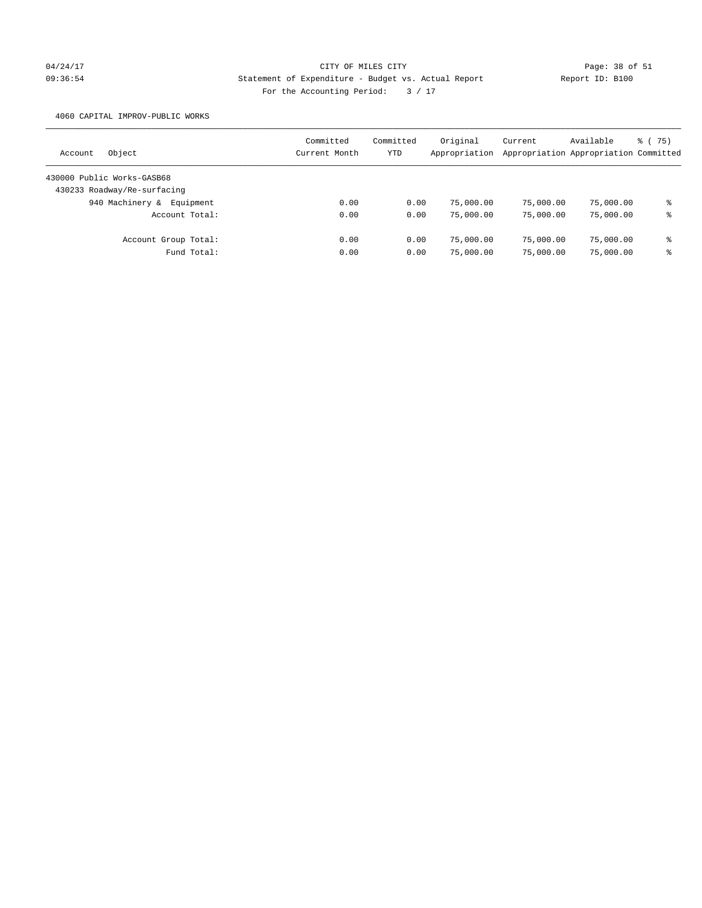# 04/24/17 Page: 38 of 51 09:36:54 Statement of Expenditure - Budget vs. Actual Report Report ID: B100 For the Accounting Period:  $3 / 17$

4060 CAPITAL IMPROV-PUBLIC WORKS

| Object<br>Account            | Committed<br>Current Month | Committed<br>YTD | Original<br>Appropriation | Current   | Available<br>Appropriation Appropriation Committed | 8 (75) |
|------------------------------|----------------------------|------------------|---------------------------|-----------|----------------------------------------------------|--------|
| 430000 Public Works-GASB68   |                            |                  |                           |           |                                                    |        |
| 430233 Roadway/Re-surfacing  |                            |                  |                           |           |                                                    |        |
| 940 Machinery &<br>Equipment | 0.00                       | 0.00             | 75,000.00                 | 75,000.00 | 75,000.00                                          | နွ     |
| Account Total:               | 0.00                       | 0.00             | 75,000.00                 | 75,000.00 | 75,000.00                                          | နွ     |
| Account Group Total:         | 0.00                       | 0.00             | 75,000.00                 | 75,000.00 | 75,000.00                                          | နွ     |
| Fund Total:                  | 0.00                       | 0.00             | 75,000.00                 | 75,000.00 | 75,000.00                                          | နွ     |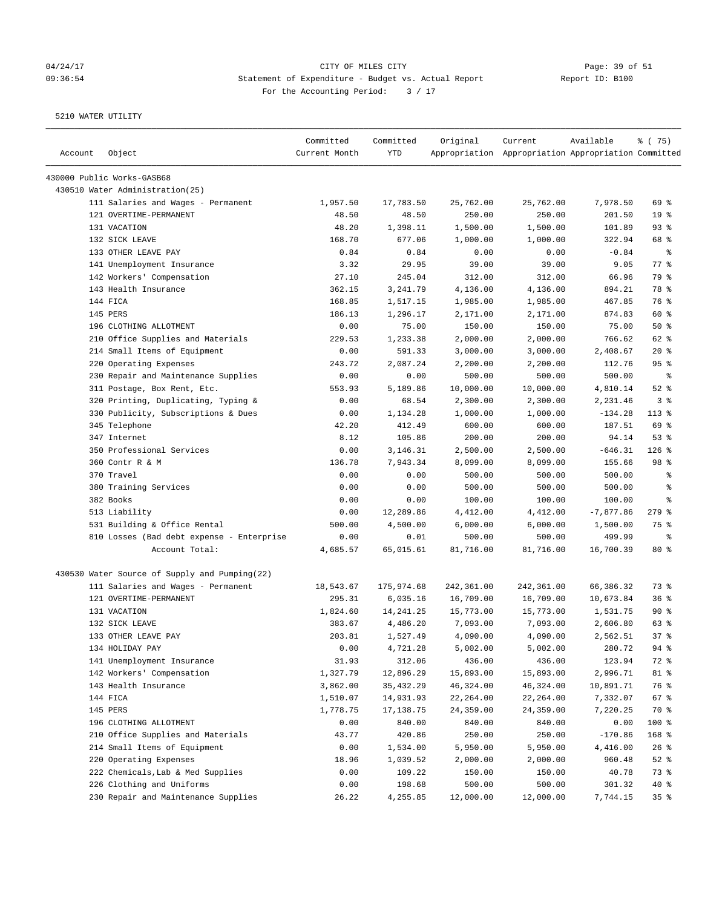## 04/24/17 Page: 39 of 51 09:36:54 Statement of Expenditure - Budget vs. Actual Report Changer Report ID: B100 For the Accounting Period: 3 / 17

| Account | Object                                        | Committed<br>Current Month | Committed<br>YTD | Original   | Current<br>Appropriation Appropriation Appropriation Committed | Available   | 8 (75)          |
|---------|-----------------------------------------------|----------------------------|------------------|------------|----------------------------------------------------------------|-------------|-----------------|
|         | 430000 Public Works-GASB68                    |                            |                  |            |                                                                |             |                 |
|         | 430510 Water Administration(25)               |                            |                  |            |                                                                |             |                 |
|         | 111 Salaries and Wages - Permanent            | 1,957.50                   | 17,783.50        | 25,762.00  | 25,762.00                                                      | 7,978.50    | 69 %            |
|         | 121 OVERTIME-PERMANENT                        | 48.50                      | 48.50            | 250.00     | 250.00                                                         | 201.50      | 19 <sup>°</sup> |
|         | 131 VACATION                                  | 48.20                      | 1,398.11         | 1,500.00   | 1,500.00                                                       | 101.89      | 93%             |
|         | 132 SICK LEAVE                                | 168.70                     | 677.06           | 1,000.00   | 1,000.00                                                       | 322.94      | 68 %            |
|         | 133 OTHER LEAVE PAY                           | 0.84                       | 0.84             | 0.00       | 0.00                                                           | $-0.84$     | ႜ               |
|         | 141 Unemployment Insurance                    | 3.32                       | 29.95            | 39.00      | 39.00                                                          | 9.05        | $77$ $%$        |
|         | 142 Workers' Compensation                     | 27.10                      | 245.04           | 312.00     | 312.00                                                         | 66.96       | 79 %            |
|         | 143 Health Insurance                          | 362.15                     | 3, 241.79        | 4,136.00   | 4,136.00                                                       | 894.21      | 78 %            |
|         | 144 FICA                                      | 168.85                     | 1,517.15         | 1,985.00   | 1,985.00                                                       | 467.85      | 76 %            |
|         | 145 PERS                                      | 186.13                     | 1,296.17         | 2,171.00   | 2,171.00                                                       | 874.83      | 60 %            |
|         | 196 CLOTHING ALLOTMENT                        | 0.00                       | 75.00            | 150.00     | 150.00                                                         | 75.00       | 50%             |
|         | 210 Office Supplies and Materials             | 229.53                     | 1,233.38         | 2,000.00   | 2,000.00                                                       | 766.62      | 62 %            |
|         | 214 Small Items of Equipment                  | 0.00                       | 591.33           | 3,000.00   | 3,000.00                                                       | 2,408.67    | $20*$           |
|         | 220 Operating Expenses                        | 243.72                     | 2,087.24         | 2,200.00   | 2,200.00                                                       | 112.76      | 95%             |
|         | 230 Repair and Maintenance Supplies           | 0.00                       | 0.00             | 500.00     | 500.00                                                         | 500.00      | ႜ               |
|         | 311 Postage, Box Rent, Etc.                   | 553.93                     | 5,189.86         | 10,000.00  | 10,000.00                                                      | 4,810.14    | $52$ $%$        |
|         | 320 Printing, Duplicating, Typing &           | 0.00                       | 68.54            | 2,300.00   | 2,300.00                                                       | 2,231.46    | 3%              |
|         | 330 Publicity, Subscriptions & Dues           | 0.00                       | 1,134.28         | 1,000.00   | 1,000.00                                                       | $-134.28$   | $113$ %         |
|         | 345 Telephone                                 | 42.20                      | 412.49           | 600.00     | 600.00                                                         | 187.51      | 69 %            |
|         | 347 Internet                                  | 8.12                       | 105.86           | 200.00     | 200.00                                                         | 94.14       | 53%             |
|         | 350 Professional Services                     | 0.00                       | 3,146.31         | 2,500.00   | 2,500.00                                                       | $-646.31$   | $126$ %         |
|         | 360 Contr R & M                               | 136.78                     | 7,943.34         | 8,099.00   | 8,099.00                                                       | 155.66      | 98 %            |
|         | 370 Travel                                    | 0.00                       | 0.00             | 500.00     | 500.00                                                         | 500.00      | ್ಠಿ             |
|         | 380 Training Services                         | 0.00                       | 0.00             | 500.00     | 500.00                                                         | 500.00      | နွ              |
|         | 382 Books                                     | 0.00                       | 0.00             | 100.00     | 100.00                                                         | 100.00      | နွ              |
|         | 513 Liability                                 | 0.00                       | 12,289.86        | 4,412.00   | 4,412.00                                                       | $-7,877.86$ | $279$ $%$       |
|         | 531 Building & Office Rental                  | 500.00                     | 4,500.00         | 6,000.00   | 6,000.00                                                       | 1,500.00    | 75 %            |
|         | 810 Losses (Bad debt expense - Enterprise     | 0.00                       | 0.01             | 500.00     | 500.00                                                         | 499.99      | ್ಠಿ             |
|         | Account Total:                                | 4,685.57                   | 65,015.61        | 81,716.00  | 81,716.00                                                      | 16,700.39   | $80*$           |
|         | 430530 Water Source of Supply and Pumping(22) |                            |                  |            |                                                                |             |                 |
|         | 111 Salaries and Wages - Permanent            | 18,543.67                  | 175,974.68       | 242,361.00 | 242,361.00                                                     | 66,386.32   | 73 %            |
|         | 121 OVERTIME-PERMANENT                        | 295.31                     | 6,035.16         | 16,709.00  | 16,709.00                                                      | 10,673.84   | 36%             |
|         | 131 VACATION                                  | 1,824.60                   | 14, 241. 25      | 15,773.00  | 15,773.00                                                      | 1,531.75    | 90%             |
|         | 132 SICK LEAVE                                | 383.67                     | 4,486.20         | 7,093.00   | 7,093.00                                                       | 2,606.80    | 63 %            |
|         | 133 OTHER LEAVE PAY                           | 203.81                     | 1,527.49         | 4,090.00   | 4,090.00                                                       | 2,562.51    | 378             |
|         | 134 HOLIDAY PAY                               | 0.00                       | 4,721.28         | 5,002.00   | 5,002.00                                                       | 280.72      | 94 %            |
|         | 141 Unemployment Insurance                    | 31.93                      | 312.06           | 436.00     | 436.00                                                         | 123.94      | 72 %            |
|         | 142 Workers' Compensation                     | 1,327.79                   | 12,896.29        | 15,893.00  | 15,893.00                                                      | 2,996.71    | 81 %            |
|         | 143 Health Insurance                          | 3,862.00                   | 35, 432.29       | 46,324.00  | 46,324.00                                                      | 10,891.71   | 76 %            |
|         | 144 FICA                                      | 1,510.07                   | 14,931.93        | 22,264.00  | 22,264.00                                                      | 7,332.07    | 67 %            |
|         | 145 PERS                                      | 1,778.75                   | 17, 138.75       | 24,359.00  | 24,359.00                                                      | 7,220.25    | 70 %            |
|         | 196 CLOTHING ALLOTMENT                        | 0.00                       | 840.00           | 840.00     | 840.00                                                         | 0.00        | 100 %           |
|         | 210 Office Supplies and Materials             | 43.77                      | 420.86           | 250.00     | 250.00                                                         | $-170.86$   | 168 %           |
|         | 214 Small Items of Equipment                  | 0.00                       | 1,534.00         | 5,950.00   | 5,950.00                                                       | 4,416.00    | 26%             |
|         | 220 Operating Expenses                        | 18.96                      | 1,039.52         | 2,000.00   | 2,000.00                                                       | 960.48      | $52$ $%$        |
|         | 222 Chemicals, Lab & Med Supplies             | 0.00                       | 109.22           | 150.00     | 150.00                                                         | 40.78       | 73 %            |
|         | 226 Clothing and Uniforms                     | 0.00                       | 198.68           | 500.00     | 500.00                                                         | 301.32      | 40 %            |
|         | 230 Repair and Maintenance Supplies           | 26.22                      | 4,255.85         | 12,000.00  | 12,000.00                                                      | 7,744.15    | 35%             |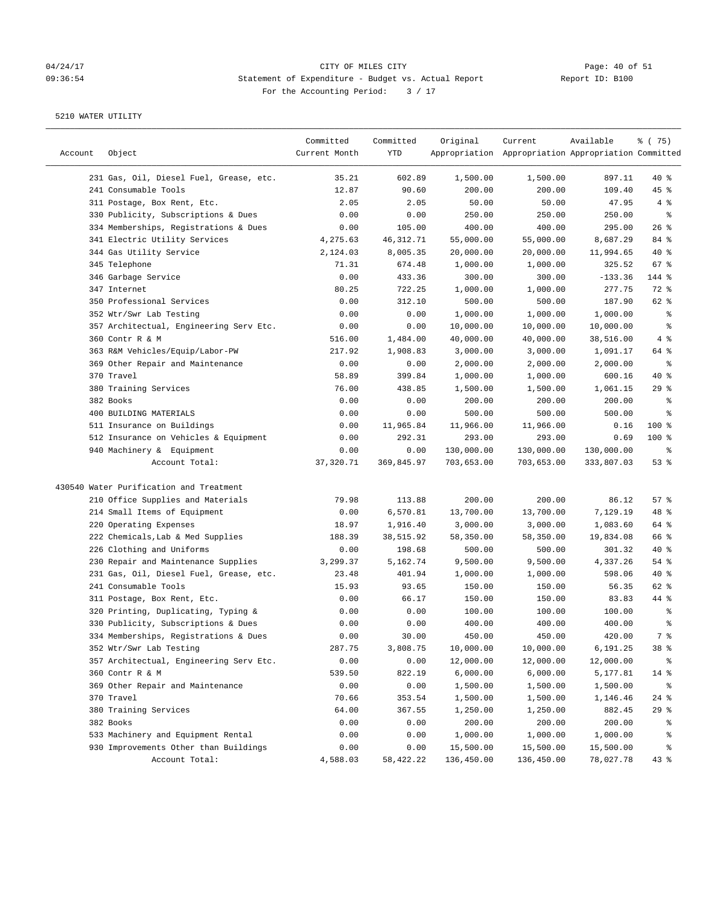## 04/24/17 CITY OF MILES CITY<br>
09:36:54 Statement of Expenditure - Budget vs. Actual Report Report ID: B100 09:36:54 Statement of Expenditure - Budget vs. Actual Report For the Accounting Period: 3 / 17

| Account | Object                                  | Committed<br>Current Month | Committed<br>YTD | Original   | Current<br>Appropriation Appropriation Appropriation Committed | Available  | 8 (75)     |
|---------|-----------------------------------------|----------------------------|------------------|------------|----------------------------------------------------------------|------------|------------|
|         | 231 Gas, Oil, Diesel Fuel, Grease, etc. | 35.21                      | 602.89           | 1,500.00   | 1,500.00                                                       | 897.11     | $40*$      |
|         | 241 Consumable Tools                    | 12.87                      | 90.60            | 200.00     | 200.00                                                         | 109.40     | 45 %       |
|         | 311 Postage, Box Rent, Etc.             | 2.05                       | 2.05             | 50.00      | 50.00                                                          | 47.95      | 4%         |
|         | 330 Publicity, Subscriptions & Dues     | 0.00                       | 0.00             | 250.00     | 250.00                                                         | 250.00     | $\epsilon$ |
|         | 334 Memberships, Registrations & Dues   | 0.00                       | 105.00           | 400.00     | 400.00                                                         | 295.00     | $26$ %     |
|         | 341 Electric Utility Services           | 4,275.63                   | 46, 312.71       | 55,000.00  | 55,000.00                                                      | 8,687.29   | 84 %       |
|         | 344 Gas Utility Service                 | 2,124.03                   | 8,005.35         | 20,000.00  | 20,000.00                                                      | 11,994.65  | $40*$      |
|         | 345 Telephone                           | 71.31                      | 674.48           | 1,000.00   | 1,000.00                                                       | 325.52     | 67%        |
|         | 346 Garbage Service                     | 0.00                       | 433.36           | 300.00     | 300.00                                                         | $-133.36$  | 144 %      |
|         | 347 Internet                            | 80.25                      | 722.25           | 1,000.00   | 1,000.00                                                       | 277.75     | 72 %       |
|         | 350 Professional Services               | 0.00                       | 312.10           | 500.00     | 500.00                                                         | 187.90     | 62 %       |
|         | 352 Wtr/Swr Lab Testing                 | 0.00                       | 0.00             | 1,000.00   | 1,000.00                                                       | 1,000.00   | နွ         |
|         | 357 Architectual, Engineering Serv Etc. | 0.00                       | 0.00             | 10,000.00  | 10,000.00                                                      | 10,000.00  | နွ         |
|         | 360 Contr R & M                         | 516.00                     | 1,484.00         | 40,000.00  | 40,000.00                                                      | 38,516.00  | 4%         |
|         | 363 R&M Vehicles/Equip/Labor-PW         | 217.92                     | 1,908.83         | 3,000.00   | 3,000.00                                                       | 1,091.17   | 64 %       |
|         | 369 Other Repair and Maintenance        | 0.00                       | 0.00             | 2,000.00   | 2,000.00                                                       | 2,000.00   | ್ಠಿ        |
|         | 370 Travel                              | 58.89                      | 399.84           | 1,000.00   | 1,000.00                                                       | 600.16     | $40*$      |
|         | 380 Training Services                   | 76.00                      | 438.85           | 1,500.00   | 1,500.00                                                       | 1,061.15   | 29%        |
|         | 382 Books                               | 0.00                       | 0.00             | 200.00     | 200.00                                                         | 200.00     | ್ಠಿ        |
|         | 400 BUILDING MATERIALS                  | 0.00                       | 0.00             | 500.00     | 500.00                                                         | 500.00     | ್ಠಿ        |
|         | 511 Insurance on Buildings              | 0.00                       | 11,965.84        | 11,966.00  | 11,966.00                                                      | 0.16       | $100$ %    |
|         | 512 Insurance on Vehicles & Equipment   | 0.00                       | 292.31           | 293.00     | 293.00                                                         | 0.69       | $100$ %    |
|         | 940 Machinery & Equipment               | 0.00                       | 0.00             | 130,000.00 | 130,000.00                                                     | 130,000.00 | နွ         |
|         | Account Total:                          | 37, 320.71                 | 369,845.97       | 703,653.00 | 703,653.00                                                     | 333,807.03 | 53%        |
|         | 430540 Water Purification and Treatment |                            |                  |            |                                                                |            |            |
|         | 210 Office Supplies and Materials       | 79.98                      | 113.88           | 200.00     | 200.00                                                         | 86.12      | 57%        |
|         | 214 Small Items of Equipment            | 0.00                       | 6,570.81         | 13,700.00  | 13,700.00                                                      | 7,129.19   | 48 %       |
|         | 220 Operating Expenses                  | 18.97                      | 1,916.40         | 3,000.00   | 3,000.00                                                       | 1,083.60   | 64 %       |
|         | 222 Chemicals, Lab & Med Supplies       | 188.39                     | 38,515.92        | 58,350.00  | 58,350.00                                                      | 19,834.08  | 66 %       |
|         | 226 Clothing and Uniforms               | 0.00                       | 198.68           | 500.00     | 500.00                                                         | 301.32     | $40*$      |
|         | 230 Repair and Maintenance Supplies     | 3,299.37                   | 5,162.74         | 9,500.00   | 9,500.00                                                       | 4,337.26   | $54$ %     |
|         | 231 Gas, Oil, Diesel Fuel, Grease, etc. | 23.48                      | 401.94           | 1,000.00   | 1,000.00                                                       | 598.06     | $40*$      |
|         | 241 Consumable Tools                    | 15.93                      | 93.65            | 150.00     | 150.00                                                         | 56.35      | 62 %       |
|         | 311 Postage, Box Rent, Etc.             | 0.00                       | 66.17            | 150.00     | 150.00                                                         | 83.83      | 44 %       |
|         | 320 Printing, Duplicating, Typing &     | 0.00                       | 0.00             | 100.00     | 100.00                                                         | 100.00     | ್ಠಿ        |
|         | 330 Publicity, Subscriptions & Dues     | 0.00                       | 0.00             | 400.00     | 400.00                                                         | 400.00     | ್ಠಿ        |
|         | 334 Memberships, Registrations & Dues   | 0.00                       | 30.00            | 450.00     | 450.00                                                         | 420.00     | 7 %        |
|         | 352 Wtr/Swr Lab Testing                 | 287.75                     | 3,808.75         | 10,000.00  | 10,000.00                                                      | 6,191.25   | 38 %       |
|         | 357 Architectual, Engineering Serv Etc. | 0.00                       | 0.00             | 12,000.00  | 12,000.00                                                      | 12,000.00  | ್ಠಿ        |
|         | 360 Contr R & M                         | 539.50                     | 822.19           | 6,000.00   | 6,000.00                                                       | 5,177.81   | $14$ %     |
|         | 369 Other Repair and Maintenance        | 0.00                       | 0.00             | 1,500.00   | 1,500.00                                                       | 1,500.00   | ႜ          |
|         | 370 Travel                              | 70.66                      | 353.54           | 1,500.00   | 1,500.00                                                       | 1,146.46   | $24$ %     |
|         | 380 Training Services                   | 64.00                      | 367.55           | 1,250.00   | 1,250.00                                                       | 882.45     | 29%        |
|         | 382 Books                               | 0.00                       | 0.00             | 200.00     | 200.00                                                         | 200.00     | ိစ         |
|         | 533 Machinery and Equipment Rental      | 0.00                       | 0.00             | 1,000.00   | 1,000.00                                                       | 1,000.00   | ိစ         |
|         | 930 Improvements Other than Buildings   | 0.00                       | 0.00             | 15,500.00  | 15,500.00                                                      | 15,500.00  | နွ         |
|         | Account Total:                          | 4,588.03                   | 58,422.22        | 136,450.00 | 136,450.00                                                     | 78,027.78  | $43$ %     |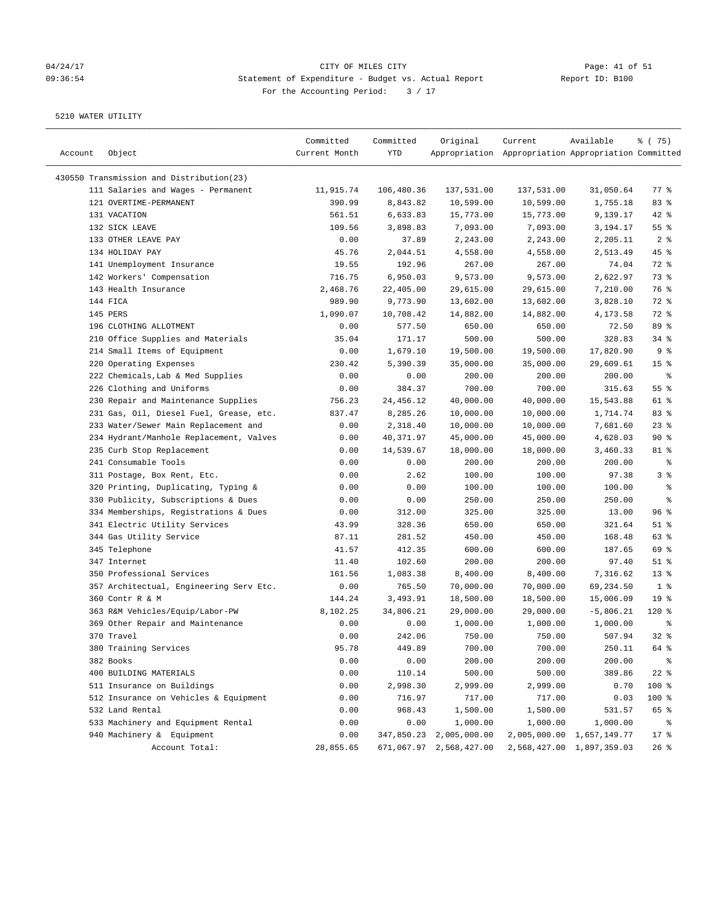# 04/24/17 Page: 41 of 51 09:36:54 Statement of Expenditure - Budget vs. Actual Report Report ID: B100 For the Accounting Period: 3 / 17

| Account | Object                                   | Committed<br>Current Month | Committed<br>YTD | Original                | Current<br>Appropriation Appropriation Appropriation Committed | Available                 | 8 (75)          |
|---------|------------------------------------------|----------------------------|------------------|-------------------------|----------------------------------------------------------------|---------------------------|-----------------|
|         | 430550 Transmission and Distribution(23) |                            |                  |                         |                                                                |                           |                 |
|         | 111 Salaries and Wages - Permanent       | 11,915.74                  | 106,480.36       | 137,531.00              | 137,531.00                                                     | 31,050.64                 | $77$ $%$        |
|         | 121 OVERTIME-PERMANENT                   | 390.99                     | 8,843.82         | 10,599.00               | 10,599.00                                                      | 1,755.18                  | 83%             |
|         | 131 VACATION                             | 561.51                     | 6,633.83         | 15,773.00               | 15,773.00                                                      | 9,139.17                  | 42 %            |
|         | 132 SICK LEAVE                           | 109.56                     | 3,898.83         | 7,093.00                | 7,093.00                                                       | 3,194.17                  | 55%             |
|         | 133 OTHER LEAVE PAY                      | 0.00                       | 37.89            | 2,243.00                | 2,243.00                                                       | 2,205.11                  | 2 <sup>8</sup>  |
|         | 134 HOLIDAY PAY                          | 45.76                      | 2,044.51         | 4,558.00                | 4,558.00                                                       | 2,513.49                  | 45 %            |
|         | 141 Unemployment Insurance               | 19.55                      | 192.96           | 267.00                  | 267.00                                                         | 74.04                     | 72 %            |
|         | 142 Workers' Compensation                | 716.75                     | 6,950.03         | 9,573.00                | 9,573.00                                                       | 2,622.97                  | 73 %            |
|         | 143 Health Insurance                     | 2,468.76                   | 22,405.00        | 29,615.00               | 29,615.00                                                      | 7,210.00                  | 76 %            |
|         | 144 FICA                                 | 989.90                     | 9,773.90         | 13,602.00               | 13,602.00                                                      | 3,828.10                  | 72 %            |
|         | 145 PERS                                 | 1,090.07                   | 10,708.42        | 14,882.00               | 14,882.00                                                      | 4,173.58                  | 72 %            |
|         | 196 CLOTHING ALLOTMENT                   | 0.00                       | 577.50           | 650.00                  | 650.00                                                         | 72.50                     | 89 %            |
|         | 210 Office Supplies and Materials        | 35.04                      | 171.17           | 500.00                  | 500.00                                                         | 328.83                    | 34%             |
|         | 214 Small Items of Equipment             | 0.00                       | 1,679.10         | 19,500.00               | 19,500.00                                                      | 17,820.90                 | 9%              |
|         | 220 Operating Expenses                   | 230.42                     | 5,390.39         | 35,000.00               | 35,000.00                                                      | 29,609.61                 | 15 <sup>°</sup> |
|         | 222 Chemicals, Lab & Med Supplies        | 0.00                       | 0.00             | 200.00                  | 200.00                                                         | 200.00                    | နွ              |
|         |                                          |                            | 384.37           |                         |                                                                |                           | 55 %            |
|         | 226 Clothing and Uniforms                | 0.00                       | 24, 456.12       | 700.00                  | 700.00                                                         | 315.63                    |                 |
|         | 230 Repair and Maintenance Supplies      | 756.23                     |                  | 40,000.00               | 40,000.00                                                      | 15,543.88                 | 61 %            |
|         | 231 Gas, Oil, Diesel Fuel, Grease, etc.  | 837.47                     | 8,285.26         | 10,000.00               | 10,000.00<br>10,000.00                                         | 1,714.74                  | 83%<br>$23$ $%$ |
|         | 233 Water/Sewer Main Replacement and     | 0.00                       | 2,318.40         | 10,000.00               |                                                                | 7,681.60                  |                 |
|         | 234 Hydrant/Manhole Replacement, Valves  | 0.00                       | 40,371.97        | 45,000.00               | 45,000.00                                                      | 4,628.03                  | 90%             |
|         | 235 Curb Stop Replacement                | 0.00                       | 14,539.67        | 18,000.00               | 18,000.00                                                      | 3,460.33                  | 81 %            |
|         | 241 Consumable Tools                     | 0.00                       | 0.00             | 200.00                  | 200.00                                                         | 200.00                    | နွ              |
|         | 311 Postage, Box Rent, Etc.              | 0.00                       | 2.62             | 100.00                  | 100.00                                                         | 97.38                     | 3%              |
|         | 320 Printing, Duplicating, Typing &      | 0.00                       | 0.00             | 100.00                  | 100.00                                                         | 100.00                    | ್ಠಿ             |
|         | 330 Publicity, Subscriptions & Dues      | 0.00                       | 0.00             | 250.00                  | 250.00                                                         | 250.00                    | る               |
|         | 334 Memberships, Registrations & Dues    | 0.00                       | 312.00           | 325.00                  | 325.00                                                         | 13.00                     | 96%             |
|         | 341 Electric Utility Services            | 43.99                      | 328.36           | 650.00                  | 650.00                                                         | 321.64                    | $51$ %          |
|         | 344 Gas Utility Service                  | 87.11                      | 281.52           | 450.00                  | 450.00                                                         | 168.48                    | 63%             |
|         | 345 Telephone                            | 41.57                      | 412.35           | 600.00                  | 600.00                                                         | 187.65                    | 69 %            |
|         | 347 Internet                             | 11.40                      | 102.60           | 200.00                  | 200.00                                                         | 97.40                     | $51$ %          |
|         | 350 Professional Services                | 161.56                     | 1,083.38         | 8,400.00                | 8,400.00                                                       | 7,316.62                  | $13*$           |
|         | 357 Architectual, Engineering Serv Etc.  | 0.00                       | 765.50           | 70,000.00               | 70,000.00                                                      | 69,234.50                 | 1 <sup>8</sup>  |
|         | 360 Contr R & M                          | 144.24                     | 3,493.91         | 18,500.00               | 18,500.00                                                      | 15,006.09                 | 19 <sup>°</sup> |
|         | 363 R&M Vehicles/Equip/Labor-PW          | 8,102.25                   | 34,806.21        | 29,000.00               | 29,000.00                                                      | $-5,806.21$               | $120*$          |
|         | 369 Other Repair and Maintenance         | 0.00                       | 0.00             | 1,000.00                | 1,000.00                                                       | 1,000.00                  | ႜ               |
|         | 370 Travel                               | 0.00                       | 242.06           | 750.00                  | 750.00                                                         | 507.94                    | 32%             |
|         | 380 Training Services                    | 95.78                      | 449.89           | 700.00                  | 700.00                                                         | 250.11                    | 64 %            |
|         | 382 Books                                | 0.00                       | 0.00             | 200.00                  | 200.00                                                         | 200.00                    | ್ಠಿ             |
|         | 400 BUILDING MATERIALS                   | 0.00                       | 110.14           | 500.00                  | 500.00                                                         | 389.86                    | $22$ %          |
|         | 511 Insurance on Buildings               | 0.00                       | 2,998.30         | 2,999.00                | 2,999.00                                                       | 0.70                      | 100 %           |
|         | 512 Insurance on Vehicles & Equipment    | 0.00                       | 716.97           | 717.00                  | 717.00                                                         | 0.03                      | 100 %           |
|         | 532 Land Rental                          | 0.00                       | 968.43           | 1,500.00                | 1,500.00                                                       | 531.57                    | 65 %            |
|         | 533 Machinery and Equipment Rental       | 0.00                       | 0.00             | 1,000.00                | 1,000.00                                                       | 1,000.00                  | ್ಠಿ             |
|         | 940 Machinery & Equipment                | 0.00                       | 347,850.23       | 2,005,000.00            |                                                                | 2,005,000.00 1,657,149.77 | $17$ %          |
|         | Account Total:                           | 28,855.65                  |                  | 671,067.97 2,568,427.00 |                                                                | 2,568,427.00 1,897,359.03 | $26$ %          |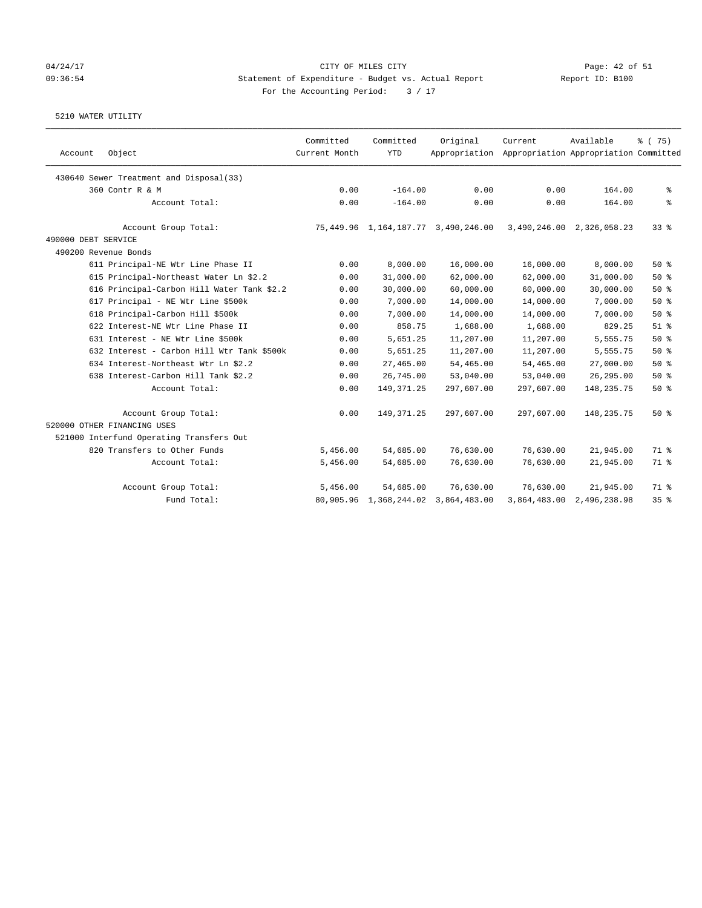### 04/24/17 CITY OF MILES CITY Page: 42 of 51 09:36:54 Statement of Expenditure - Budget vs. Actual Report Report ID: B100 For the Accounting Period:  $3 / 17$

|           | Original     | Committed<br>Current<br><b>YTD</b><br>Appropriation                   | Available<br>% (75)<br>Appropriation Appropriation Committed |
|-----------|--------------|-----------------------------------------------------------------------|--------------------------------------------------------------|
|           |              |                                                                       |                                                              |
| 0.00      | 0.00         | $-164.00$                                                             | 164.00<br>နွ                                                 |
| 0.00      | 0.00         | $-164.00$                                                             | 164.00<br>ి                                                  |
|           |              | 75, 449.96 1, 164, 187.77 3, 490, 246.00<br>3,490,246.00 2,326,058.23 | 338                                                          |
|           |              |                                                                       |                                                              |
|           |              |                                                                       |                                                              |
| 16,000.00 | 16,000.00    | 8,000.00                                                              | 8,000.00<br>50%                                              |
| 62,000.00 | 62,000.00    | 31,000.00                                                             | 31,000.00<br>50%                                             |
| 60,000.00 | 60,000.00    | 30,000.00                                                             | 30,000.00<br>50%                                             |
| 14,000.00 | 14,000.00    | 7,000.00                                                              | 50%<br>7,000.00                                              |
| 14,000.00 | 14,000.00    | 7,000.00                                                              | 7,000.00<br>50%                                              |
| 1,688.00  | 1,688.00     | 858.75                                                                | 829.25<br>$51$ $%$                                           |
| 11,207.00 | 11,207.00    | 5,651.25                                                              | 50%<br>5,555.75                                              |
| 11,207.00 | 11,207.00    | 5,651.25                                                              | 5,555.75<br>50%                                              |
| 54,465.00 | 54,465.00    | 27,465.00                                                             | 50%<br>27,000.00                                             |
| 53,040.00 | 53,040.00    | 26,745.00                                                             | 26, 295.00<br>50%                                            |
|           | 297,607.00   | 149, 371.25<br>297,607.00                                             | 50%<br>148, 235. 75                                          |
|           | 297,607.00   | 149, 371.25<br>297,607.00                                             | 148, 235. 75<br>50%                                          |
|           |              |                                                                       |                                                              |
|           |              |                                                                       |                                                              |
| 76,630.00 | 76,630.00    | 54,685.00                                                             | 21,945.00<br>71 %                                            |
| 76,630.00 | 76,630.00    | 54,685.00                                                             | 21,945.00<br>71 %                                            |
| 76,630.00 | 76,630.00    | 54,685.00                                                             | 21,945.00<br>71 %                                            |
|           | 3,864,483.00 | 80,905.96 1,368,244.02<br>3,864,483.00                                | 35%<br>2,496,238.98                                          |
|           |              |                                                                       |                                                              |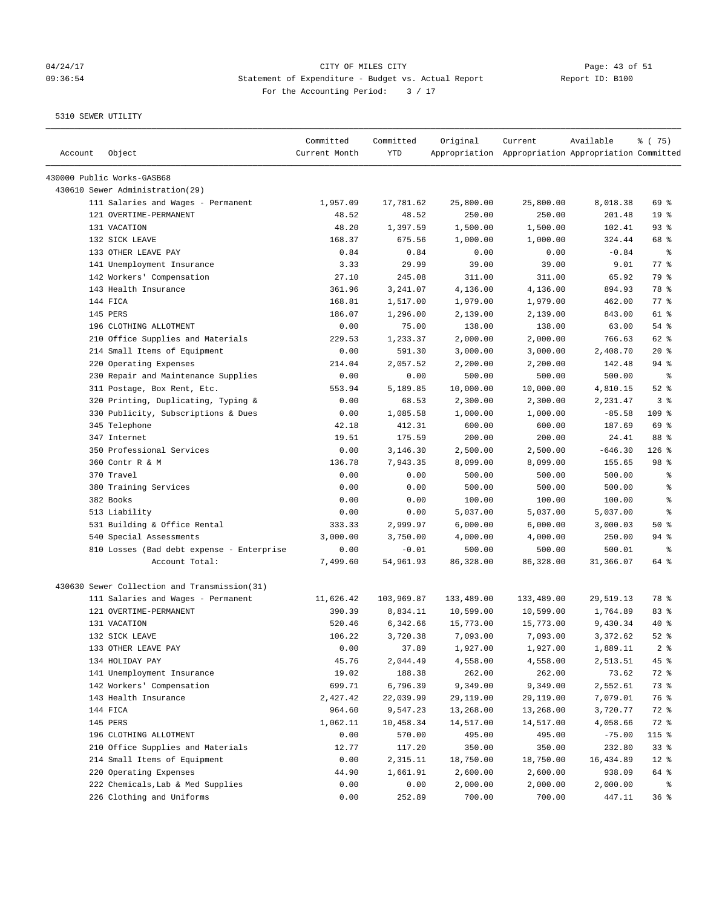## 04/24/17 Page: 43 of 51 09:36:54 Statement of Expenditure - Budget vs. Actual Report Changer Report ID: B100 For the Accounting Period: 3 / 17

| Account | Object                                       | Committed<br>Current Month | Committed<br>YTD | Original   | Current<br>Appropriation Appropriation Appropriation Committed | Available | 8 (75)          |
|---------|----------------------------------------------|----------------------------|------------------|------------|----------------------------------------------------------------|-----------|-----------------|
|         | 430000 Public Works-GASB68                   |                            |                  |            |                                                                |           |                 |
|         | 430610 Sewer Administration(29)              |                            |                  |            |                                                                |           |                 |
|         | 111 Salaries and Wages - Permanent           | 1,957.09                   | 17,781.62        | 25,800.00  | 25,800.00                                                      | 8,018.38  | 69 %            |
|         | 121 OVERTIME-PERMANENT                       | 48.52                      | 48.52            | 250.00     | 250.00                                                         | 201.48    | 19 <sup>°</sup> |
|         | 131 VACATION                                 | 48.20                      | 1,397.59         | 1,500.00   | 1,500.00                                                       | 102.41    | 93%             |
|         | 132 SICK LEAVE                               | 168.37                     | 675.56           | 1,000.00   | 1,000.00                                                       | 324.44    | 68 %            |
|         | 133 OTHER LEAVE PAY                          | 0.84                       | 0.84             | 0.00       | 0.00                                                           | $-0.84$   | ႜ               |
|         | 141 Unemployment Insurance                   | 3.33                       | 29.99            | 39.00      | 39.00                                                          | 9.01      | $77$ $%$        |
|         | 142 Workers' Compensation                    | 27.10                      | 245.08           | 311.00     | 311.00                                                         | 65.92     | 79 %            |
|         | 143 Health Insurance                         | 361.96                     | 3,241.07         | 4,136.00   | 4,136.00                                                       | 894.93    | 78 %            |
|         | 144 FICA                                     | 168.81                     | 1,517.00         | 1,979.00   | 1,979.00                                                       | 462.00    | $77$ $%$        |
|         | 145 PERS                                     | 186.07                     | 1,296.00         | 2,139.00   | 2,139.00                                                       | 843.00    | 61 %            |
|         | 196 CLOTHING ALLOTMENT                       | 0.00                       | 75.00            | 138.00     | 138.00                                                         | 63.00     | $54$ %          |
|         | 210 Office Supplies and Materials            | 229.53                     | 1,233.37         | 2,000.00   | 2,000.00                                                       | 766.63    | 62 %            |
|         | 214 Small Items of Equipment                 | 0.00                       | 591.30           | 3,000.00   | 3,000.00                                                       | 2,408.70  | $20*$           |
|         | 220 Operating Expenses                       | 214.04                     | 2,057.52         | 2,200.00   | 2,200.00                                                       | 142.48    | $94$ %          |
|         | 230 Repair and Maintenance Supplies          | 0.00                       | 0.00             | 500.00     | 500.00                                                         | 500.00    | ႜ               |
|         | 311 Postage, Box Rent, Etc.                  | 553.94                     | 5,189.85         | 10,000.00  | 10,000.00                                                      | 4,810.15  | $52$ $%$        |
|         | 320 Printing, Duplicating, Typing &          | 0.00                       | 68.53            | 2,300.00   | 2,300.00                                                       | 2,231.47  | 3%              |
|         | 330 Publicity, Subscriptions & Dues          | 0.00                       | 1,085.58         | 1,000.00   | 1,000.00                                                       | $-85.58$  | 109 %           |
|         | 345 Telephone                                | 42.18                      | 412.31           | 600.00     | 600.00                                                         | 187.69    | 69 %            |
|         | 347 Internet                                 | 19.51                      | 175.59           | 200.00     | 200.00                                                         | 24.41     | 88 %            |
|         | 350 Professional Services                    | 0.00                       | 3,146.30         | 2,500.00   | 2,500.00                                                       | $-646.30$ | $126$ %         |
|         | 360 Contr R & M                              | 136.78                     | 7,943.35         | 8,099.00   | 8,099.00                                                       | 155.65    | 98 %            |
|         | 370 Travel                                   | 0.00                       | 0.00             | 500.00     | 500.00                                                         | 500.00    | ್ಠಿ             |
|         | 380 Training Services                        | 0.00                       | 0.00             | 500.00     | 500.00                                                         | 500.00    | ႜ               |
|         | 382 Books                                    | 0.00                       | 0.00             | 100.00     | 100.00                                                         | 100.00    | နွ              |
|         | 513 Liability                                | 0.00                       | 0.00             | 5,037.00   | 5,037.00                                                       | 5,037.00  | နွ              |
|         | 531 Building & Office Rental                 | 333.33                     | 2,999.97         | 6,000.00   | 6,000.00                                                       | 3,000.03  | 50%             |
|         | 540 Special Assessments                      | 3,000.00                   | 3,750.00         | 4,000.00   | 4,000.00                                                       | 250.00    | $94$ %          |
|         | 810 Losses (Bad debt expense - Enterprise    | 0.00                       | $-0.01$          | 500.00     | 500.00                                                         | 500.01    | ႜ               |
|         | Account Total:                               | 7,499.60                   | 54,961.93        | 86,328.00  | 86,328.00                                                      | 31,366.07 | 64 %            |
|         | 430630 Sewer Collection and Transmission(31) |                            |                  |            |                                                                |           |                 |
|         | 111 Salaries and Wages - Permanent           | 11,626.42                  | 103,969.87       | 133,489.00 | 133,489.00                                                     | 29,519.13 | 78 %            |
|         | 121 OVERTIME-PERMANENT                       | 390.39                     | 8,834.11         | 10,599.00  | 10,599.00                                                      | 1,764.89  | 83%             |
|         | 131 VACATION                                 | 520.46                     | 6,342.66         | 15,773.00  | 15,773.00                                                      | 9,430.34  | $40*$           |
|         | 132 SICK LEAVE                               | 106.22                     | 3,720.38         | 7,093.00   | 7,093.00                                                       | 3,372.62  | $52$ $%$        |
|         | 133 OTHER LEAVE PAY                          | 0.00                       | 37.89            | 1,927.00   | 1,927.00                                                       | 1,889.11  | 2 <sup>8</sup>  |
|         | 134 HOLIDAY PAY                              | 45.76                      | 2,044.49         | 4,558.00   | 4,558.00                                                       | 2,513.51  | 45 %            |
|         | 141 Unemployment Insurance                   | 19.02                      | 188.38           | 262.00     | 262.00                                                         | 73.62     | 72 %            |
|         | 142 Workers' Compensation                    | 699.71                     | 6,796.39         | 9,349.00   | 9,349.00                                                       | 2,552.61  | 73 %            |
|         | 143 Health Insurance                         | 2,427.42                   | 22,039.99        | 29,119.00  | 29,119.00                                                      | 7,079.01  | 76 %            |
|         | 144 FICA                                     | 964.60                     | 9,547.23         | 13,268.00  | 13,268.00                                                      | 3,720.77  | 72 %            |
|         | 145 PERS                                     | 1,062.11                   | 10,458.34        | 14,517.00  | 14,517.00                                                      | 4,058.66  | 72 %            |
|         | 196 CLOTHING ALLOTMENT                       | 0.00                       | 570.00           | 495.00     | 495.00                                                         | $-75.00$  | 115 %           |
|         | 210 Office Supplies and Materials            | 12.77                      | 117.20           | 350.00     | 350.00                                                         | 232.80    | 33%             |
|         | 214 Small Items of Equipment                 | 0.00                       | 2,315.11         | 18,750.00  | 18,750.00                                                      | 16,434.89 | $12$ %          |
|         | 220 Operating Expenses                       | 44.90                      | 1,661.91         | 2,600.00   | 2,600.00                                                       | 938.09    | 64 %            |
|         | 222 Chemicals, Lab & Med Supplies            | 0.00                       | 0.00             | 2,000.00   | 2,000.00                                                       | 2,000.00  | နွ              |
|         | 226 Clothing and Uniforms                    | 0.00                       | 252.89           | 700.00     | 700.00                                                         | 447.11    | 36%             |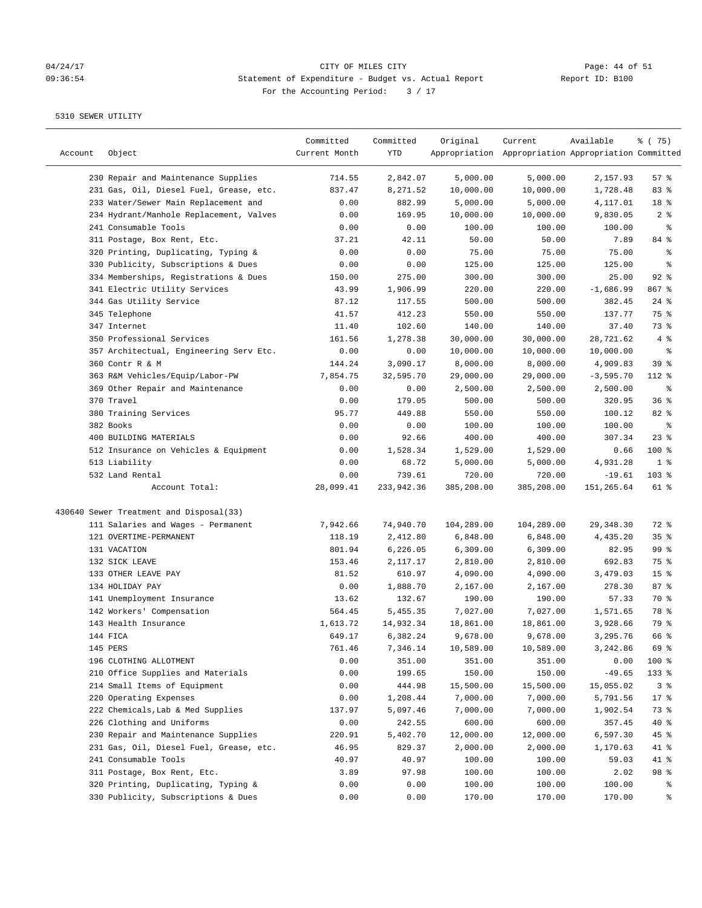# 04/24/17 CITY OF MILES CITY<br>
09:36:54 Statement of Expenditure - Budget vs. Actual Report Report ID: B100 09:36:54 Statement of Expenditure - Budget vs. Actual Report For the Accounting Period: 3 / 17

| Account | Object                                  | Committed<br>Current Month | Committed<br>YTD | Original   | Current<br>Appropriation Appropriation Appropriation Committed | Available   | % (75)          |
|---------|-----------------------------------------|----------------------------|------------------|------------|----------------------------------------------------------------|-------------|-----------------|
|         | 230 Repair and Maintenance Supplies     | 714.55                     | 2,842.07         | 5,000.00   | 5,000.00                                                       | 2,157.93    | 57%             |
|         | 231 Gas, Oil, Diesel Fuel, Grease, etc. | 837.47                     | 8,271.52         | 10,000.00  | 10,000.00                                                      | 1,728.48    | 83%             |
|         | 233 Water/Sewer Main Replacement and    | 0.00                       | 882.99           | 5,000.00   | 5,000.00                                                       | 4,117.01    | 18 %            |
|         | 234 Hydrant/Manhole Replacement, Valves | 0.00                       | 169.95           | 10,000.00  | 10,000.00                                                      | 9,830.05    | 2 <sup>8</sup>  |
|         | 241 Consumable Tools                    | 0.00                       | 0.00             | 100.00     | 100.00                                                         | 100.00      | ್ಠಿ             |
|         | 311 Postage, Box Rent, Etc.             | 37.21                      | 42.11            | 50.00      | 50.00                                                          | 7.89        | 84 %            |
|         | 320 Printing, Duplicating, Typing &     | 0.00                       | 0.00             | 75.00      | 75.00                                                          | 75.00       | る               |
|         | 330 Publicity, Subscriptions & Dues     | 0.00                       | 0.00             | 125.00     | 125.00                                                         | 125.00      | နွ              |
|         | 334 Memberships, Registrations & Dues   | 150.00                     | 275.00           | 300.00     | 300.00                                                         | 25.00       | 92%             |
|         | 341 Electric Utility Services           | 43.99                      | 1,906.99         | 220.00     | 220.00                                                         | $-1,686.99$ | 867 %           |
|         | 344 Gas Utility Service                 | 87.12                      | 117.55           | 500.00     | 500.00                                                         | 382.45      | $24$ %          |
|         | 345 Telephone                           | 41.57                      | 412.23           | 550.00     | 550.00                                                         | 137.77      | 75 %            |
|         | 347 Internet                            | 11.40                      | 102.60           | 140.00     | 140.00                                                         | 37.40       | 73 %            |
|         | 350 Professional Services               | 161.56                     | 1,278.38         | 30,000.00  | 30,000.00                                                      | 28,721.62   | 4%              |
|         | 357 Architectual, Engineering Serv Etc. | 0.00                       | 0.00             | 10,000.00  | 10,000.00                                                      | 10,000.00   | ್ಠಿ             |
|         | 360 Contr R & M                         | 144.24                     | 3,090.17         | 8,000.00   | 8,000.00                                                       | 4,909.83    | 39 %            |
|         | 363 R&M Vehicles/Equip/Labor-PW         | 7,854.75                   | 32,595.70        | 29,000.00  | 29,000.00                                                      | $-3,595.70$ | $112*$          |
|         | 369 Other Repair and Maintenance        | 0.00                       | 0.00             | 2,500.00   | 2,500.00                                                       | 2,500.00    | နွ              |
|         | 370 Travel                              | 0.00                       | 179.05           | 500.00     | 500.00                                                         | 320.95      | 36%             |
|         | 380 Training Services                   | 95.77                      | 449.88           | 550.00     | 550.00                                                         | 100.12      | 82%             |
|         | 382 Books                               | 0.00                       | 0.00             | 100.00     | 100.00                                                         | 100.00      | နွ              |
|         | 400 BUILDING MATERIALS                  | 0.00                       | 92.66            | 400.00     | 400.00                                                         | 307.34      | $23$ $%$        |
|         | 512 Insurance on Vehicles & Equipment   | 0.00                       | 1,528.34         | 1,529.00   | 1,529.00                                                       | 0.66        | $100$ %         |
|         | 513 Liability                           | 0.00                       | 68.72            | 5,000.00   | 5,000.00                                                       | 4,931.28    | 1 <sup>8</sup>  |
|         | 532 Land Rental                         | 0.00                       | 739.61           | 720.00     | 720.00                                                         | $-19.61$    | $103$ %         |
|         | Account Total:                          | 28,099.41                  | 233,942.36       | 385,208.00 | 385,208.00                                                     | 151,265.64  | 61 %            |
|         | 430640 Sewer Treatment and Disposal(33) |                            |                  |            |                                                                |             |                 |
|         | 111 Salaries and Wages - Permanent      | 7,942.66                   | 74,940.70        | 104,289.00 | 104,289.00                                                     | 29, 348.30  | 72 %            |
|         | 121 OVERTIME-PERMANENT                  | 118.19                     | 2,412.80         | 6,848.00   | 6,848.00                                                       | 4,435.20    | 35%             |
|         | 131 VACATION                            | 801.94                     | 6,226.05         | 6,309.00   | 6,309.00                                                       | 82.95       | 99 %            |
|         | 132 SICK LEAVE                          | 153.46                     | 2,117.17         | 2,810.00   | 2,810.00                                                       | 692.83      | 75 %            |
|         | 133 OTHER LEAVE PAY                     | 81.52                      | 610.97           | 4,090.00   | 4,090.00                                                       | 3,479.03    | 15 <sup>°</sup> |
|         | 134 HOLIDAY PAY                         | 0.00                       | 1,888.70         | 2,167.00   | 2,167.00                                                       | 278.30      | 87%             |
|         | 141 Unemployment Insurance              | 13.62                      | 132.67           | 190.00     | 190.00                                                         | 57.33       | 70 %            |
|         | 142 Workers' Compensation               | 564.45                     | 5,455.35         | 7,027.00   | 7,027.00                                                       | 1,571.65    | 78 %            |
|         | 143 Health Insurance                    | 1,613.72                   | 14,932.34        | 18,861.00  | 18,861.00                                                      | 3,928.66    | 79 %            |
|         | 144 FICA                                | 649.17                     | 6,382.24         | 9,678.00   | 9,678.00                                                       | 3,295.76    | 66 %            |
|         | 145 PERS                                | 761.46                     | 7,346.14         | 10,589.00  | 10,589.00                                                      | 3,242.86    | 69 %            |
|         | 196 CLOTHING ALLOTMENT                  | 0.00                       | 351.00           | 351.00     | 351.00                                                         | 0.00        | 100 %           |
|         | 210 Office Supplies and Materials       | 0.00                       | 199.65           | 150.00     | 150.00                                                         | $-49.65$    | 133 %           |
|         | 214 Small Items of Equipment            | 0.00                       | 444.98           | 15,500.00  | 15,500.00                                                      | 15,055.02   | 3%              |
|         | 220 Operating Expenses                  | 0.00                       | 1,208.44         | 7,000.00   | 7,000.00                                                       | 5,791.56    | $17$ %          |
|         | 222 Chemicals, Lab & Med Supplies       | 137.97                     | 5,097.46         | 7,000.00   | 7,000.00                                                       | 1,902.54    | 73 %            |
|         | 226 Clothing and Uniforms               | 0.00                       | 242.55           | 600.00     | 600.00                                                         | 357.45      | 40 %            |
|         | 230 Repair and Maintenance Supplies     | 220.91                     | 5,402.70         | 12,000.00  | 12,000.00                                                      | 6,597.30    | $45$ %          |
|         | 231 Gas, Oil, Diesel Fuel, Grease, etc. | 46.95                      | 829.37           | 2,000.00   | 2,000.00                                                       | 1,170.63    | 41 %            |
|         | 241 Consumable Tools                    | 40.97                      | 40.97            | 100.00     | 100.00                                                         | 59.03       | 41 %            |
|         | 311 Postage, Box Rent, Etc.             | 3.89                       | 97.98            | 100.00     | 100.00                                                         | 2.02        | 98 %            |
|         | 320 Printing, Duplicating, Typing &     | 0.00                       | 0.00             | 100.00     | 100.00                                                         | 100.00      | ိစ              |
|         | 330 Publicity, Subscriptions & Dues     | 0.00                       | 0.00             | 170.00     | 170.00                                                         | 170.00      | ွေ              |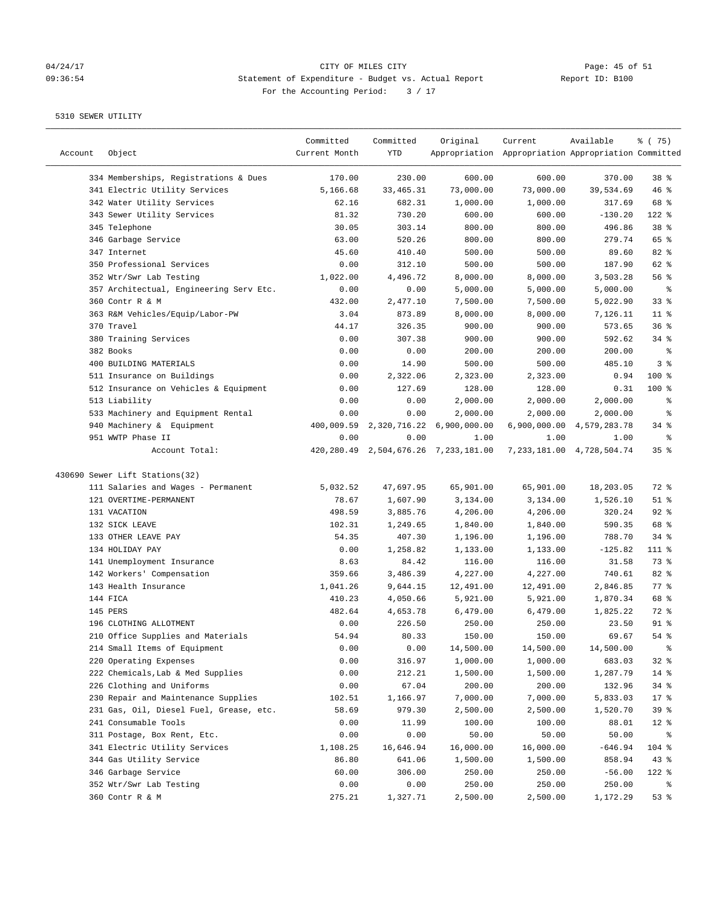## 04/24/17 CITY OF MILES CITY<br>09:36:54 Statement of Expenditure - Budget vs. Actual Report Report ID: B100 09:36:54 Statement of Expenditure - Budget vs. Actual Report For the Accounting Period: 3 / 17

| Account | Object                                  | Committed<br>Current Month | Committed<br>YTD | Original                                  | Current<br>Appropriation Appropriation Appropriation Committed | Available                     | 8 (75)          |
|---------|-----------------------------------------|----------------------------|------------------|-------------------------------------------|----------------------------------------------------------------|-------------------------------|-----------------|
|         | 334 Memberships, Registrations & Dues   | 170.00                     | 230.00           | 600.00                                    | 600.00                                                         | 370.00                        | 38 <sup>8</sup> |
|         | 341 Electric Utility Services           | 5,166.68                   | 33, 465. 31      | 73,000.00                                 | 73,000.00                                                      | 39,534.69                     | 46%             |
|         | 342 Water Utility Services              | 62.16                      | 682.31           | 1,000.00                                  | 1,000.00                                                       | 317.69                        | 68 %            |
|         | 343 Sewer Utility Services              | 81.32                      | 730.20           | 600.00                                    | 600.00                                                         | $-130.20$                     | 122 %           |
|         | 345 Telephone                           | 30.05                      | 303.14           | 800.00                                    | 800.00                                                         | 496.86                        | 38 %            |
|         | 346 Garbage Service                     | 63.00                      | 520.26           | 800.00                                    | 800.00                                                         | 279.74                        | 65 %            |
|         | 347 Internet                            | 45.60                      | 410.40           | 500.00                                    | 500.00                                                         | 89.60                         | 82 %            |
|         | 350 Professional Services               | 0.00                       | 312.10           | 500.00                                    | 500.00                                                         | 187.90                        | 62 %            |
|         | 352 Wtr/Swr Lab Testing                 | 1,022.00                   | 4,496.72         | 8,000.00                                  | 8,000.00                                                       | 3,503.28                      | 56%             |
|         | 357 Architectual, Engineering Serv Etc. | 0.00                       | 0.00             | 5,000.00                                  | 5,000.00                                                       | 5,000.00                      | ್ಠಿ             |
|         | 360 Contr R & M                         | 432.00                     | 2,477.10         | 7,500.00                                  | 7,500.00                                                       | 5,022.90                      | 33%             |
|         | 363 R&M Vehicles/Equip/Labor-PW         | 3.04                       | 873.89           | 8,000.00                                  | 8,000.00                                                       | 7,126.11                      | $11$ %          |
|         | 370 Travel                              | 44.17                      | 326.35           | 900.00                                    | 900.00                                                         | 573.65                        | 36%             |
|         | 380 Training Services                   | 0.00                       | 307.38           | 900.00                                    | 900.00                                                         | 592.62                        | 34%             |
|         | 382 Books                               | 0.00                       | 0.00             | 200.00                                    | 200.00                                                         | 200.00                        | ್ಠಿ             |
|         | 400 BUILDING MATERIALS                  | 0.00                       | 14.90            | 500.00                                    | 500.00                                                         | 485.10                        | 3%              |
|         | 511 Insurance on Buildings              | 0.00                       | 2,322.06         | 2,323.00                                  | 2,323.00                                                       | 0.94                          | $100$ %         |
|         | 512 Insurance on Vehicles & Equipment   | 0.00                       | 127.69           | 128.00                                    | 128.00                                                         | 0.31                          | $100$ %         |
|         | 513 Liability                           | 0.00                       | 0.00             | 2,000.00                                  | 2,000.00                                                       | 2,000.00                      | ್ಠಿ             |
|         | 533 Machinery and Equipment Rental      | 0.00                       | 0.00             | 2,000.00                                  | 2,000.00                                                       | 2,000.00                      | ್ಠಿ             |
|         | 940 Machinery & Equipment               | 400,009.59                 | 2,320,716.22     | 6,900,000.00                              |                                                                | 6,900,000.00 4,579,283.78     | $34$ $%$        |
|         | 951 WWTP Phase II                       | 0.00                       | 0.00             | 1.00                                      | 1.00                                                           | 1.00                          | နွ              |
|         | Account Total:                          |                            |                  | 420, 280.49 2, 504, 676.26 7, 233, 181.00 |                                                                | 7, 233, 181.00 4, 728, 504.74 | 35 <sup>8</sup> |
|         | 430690 Sewer Lift Stations(32)          |                            |                  |                                           |                                                                |                               |                 |
|         | 111 Salaries and Wages - Permanent      | 5,032.52                   | 47,697.95        | 65,901.00                                 | 65,901.00                                                      | 18,203.05                     | 72 %            |
|         | 121 OVERTIME-PERMANENT                  | 78.67                      | 1,607.90         | 3,134.00                                  | 3,134.00                                                       | 1,526.10                      | $51$ %          |
|         | 131 VACATION                            | 498.59                     | 3,885.76         | 4,206.00                                  | 4,206.00                                                       | 320.24                        | $92$ $%$        |
|         | 132 SICK LEAVE                          | 102.31                     | 1,249.65         | 1,840.00                                  | 1,840.00                                                       | 590.35                        | 68 %            |
|         | 133 OTHER LEAVE PAY                     | 54.35                      | 407.30           | 1,196.00                                  | 1,196.00                                                       | 788.70                        | $34$ $%$        |
|         | 134 HOLIDAY PAY                         | 0.00                       | 1,258.82         | 1,133.00                                  | 1,133.00                                                       | $-125.82$                     | $111$ %         |
|         | 141 Unemployment Insurance              | 8.63                       | 84.42            | 116.00                                    | 116.00                                                         | 31.58                         | 73 %            |
|         | 142 Workers' Compensation               | 359.66                     | 3,486.39         | 4,227.00                                  | 4,227.00                                                       | 740.61                        | 82 %            |
|         | 143 Health Insurance                    | 1,041.26                   | 9,644.15         | 12,491.00                                 | 12,491.00                                                      | 2,846.85                      | $77$ $%$        |
|         | 144 FICA                                | 410.23                     | 4,050.66         | 5,921.00                                  | 5,921.00                                                       | 1,870.34                      | 68 %            |
|         | 145 PERS                                | 482.64                     | 4,653.78         | 6,479.00                                  | 6,479.00                                                       | 1,825.22                      | 72 %            |
|         | 196 CLOTHING ALLOTMENT                  | 0.00                       | 226.50           | 250.00                                    | 250.00                                                         | 23.50                         | $91$ %          |
|         | 210 Office Supplies and Materials       | 54.94                      | 80.33            | 150.00                                    | 150.00                                                         | 69.67                         | 54%             |
|         | 214 Small Items of Equipment            | 0.00                       | 0.00             | 14,500.00                                 | 14,500.00                                                      | 14,500.00                     | ್ಠಿ             |
|         | 220 Operating Expenses                  | 0.00                       | 316.97           | 1,000.00                                  | 1,000.00                                                       | 683.03                        | 32%             |
|         | 222 Chemicals, Lab & Med Supplies       | 0.00                       | 212.21           | 1,500.00                                  | 1,500.00                                                       | 1,287.79                      | $14$ %          |
|         | 226 Clothing and Uniforms               |                            | 67.04            | 200.00                                    | 200.00                                                         | 132.96                        | 34%             |
|         |                                         | 0.00                       |                  |                                           |                                                                |                               |                 |
|         | 230 Repair and Maintenance Supplies     | 102.51                     | 1,166.97         | 7,000.00                                  | 7,000.00                                                       | 5,833.03                      | $17$ %          |
|         | 231 Gas, Oil, Diesel Fuel, Grease, etc. | 58.69                      | 979.30           | 2,500.00                                  | 2,500.00                                                       | 1,520.70                      | 39%             |
|         | 241 Consumable Tools                    | 0.00                       | 11.99            | 100.00                                    | 100.00                                                         | 88.01                         | $12$ %          |
|         | 311 Postage, Box Rent, Etc.             | 0.00                       | 0.00             | 50.00                                     | 50.00                                                          | 50.00                         | ိ               |
|         | 341 Electric Utility Services           | 1,108.25                   | 16,646.94        | 16,000.00                                 | 16,000.00                                                      | $-646.94$                     | 104 %           |
|         | 344 Gas Utility Service                 | 86.80                      | 641.06           | 1,500.00                                  | 1,500.00                                                       | 858.94                        | 43%             |
|         | 346 Garbage Service                     | 60.00                      | 306.00           | 250.00                                    | 250.00                                                         | $-56.00$                      | 122 %           |
|         | 352 Wtr/Swr Lab Testing                 | 0.00                       | 0.00             | 250.00                                    | 250.00                                                         | 250.00                        | ွေ              |
|         | 360 Contr R & M                         | 275.21                     | 1,327.71         | 2,500.00                                  | 2,500.00                                                       | 1,172.29                      | 53%             |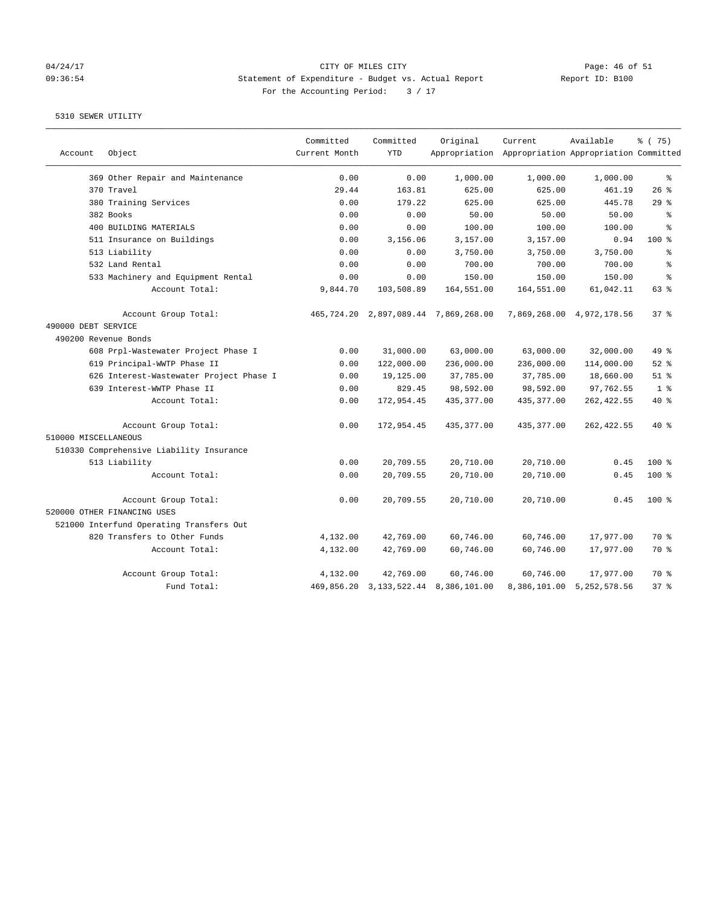## 04/24/17 Page: 46 of 51 09:36:54 Statement of Expenditure - Budget vs. Actual Report Report ID: B100 For the Accounting Period:  $3 / 17$

| Account              | Object                                   | Committed<br>Current Month | Committed<br><b>YTD</b> | Original                                  | Current<br>Appropriation Appropriation Appropriation Committed | Available                 | % (75)          |
|----------------------|------------------------------------------|----------------------------|-------------------------|-------------------------------------------|----------------------------------------------------------------|---------------------------|-----------------|
|                      | 369 Other Repair and Maintenance         | 0.00                       | 0.00                    | 1,000.00                                  | 1,000.00                                                       | 1,000.00                  | $\epsilon$      |
|                      | 370 Travel                               | 29.44                      | 163.81                  | 625.00                                    | 625.00                                                         | 461.19                    | 26%             |
|                      | 380 Training Services                    | 0.00                       | 179.22                  | 625.00                                    | 625.00                                                         | 445.78                    | 29%             |
|                      | 382 Books                                | 0.00                       | 0.00                    | 50.00                                     | 50.00                                                          | 50.00                     | ÷,              |
|                      | 400 BUILDING MATERIALS                   | 0.00                       | 0.00                    | 100.00                                    | 100.00                                                         | 100.00                    | $\approx$       |
|                      | 511 Insurance on Buildings               | 0.00                       | 3,156.06                | 3,157.00                                  | 3,157.00                                                       | 0.94                      | 100%            |
|                      | 513 Liability                            | 0.00                       | 0.00                    | 3,750.00                                  | 3,750.00                                                       | 3,750.00                  | $\approx$       |
|                      | 532 Land Rental                          | 0.00                       | 0.00                    | 700.00                                    | 700.00                                                         | 700.00                    | ៖               |
|                      | 533 Machinery and Equipment Rental       | 0.00                       | 0.00                    | 150.00                                    | 150.00                                                         | 150.00                    | န့              |
|                      | Account Total:                           | 9,844.70                   | 103,508.89              | 164,551.00                                | 164,551.00                                                     | 61,042.11                 | 63 %            |
|                      | Account Group Total:                     |                            |                         | 465, 724.20 2, 897, 089.44 7, 869, 268.00 |                                                                | 7,869,268.00 4,972,178.56 | 37 <sup>8</sup> |
| 490000 DEBT SERVICE  |                                          |                            |                         |                                           |                                                                |                           |                 |
| 490200 Revenue Bonds |                                          |                            |                         |                                           |                                                                |                           |                 |
|                      | 608 Prpl-Wastewater Project Phase I      | 0.00                       | 31,000.00               | 63,000.00                                 | 63,000.00                                                      | 32,000.00                 | 49 %            |
|                      | 619 Principal-WWTP Phase II              | 0.00                       | 122,000.00              | 236,000.00                                | 236,000.00                                                     | 114,000.00                | $52$ %          |
|                      | 626 Interest-Wastewater Project Phase I  | 0.00                       | 19,125.00               | 37,785.00                                 | 37,785.00                                                      | 18,660.00                 | $51$ %          |
|                      | 639 Interest-WWTP Phase II               | 0.00                       | 829.45                  | 98,592.00                                 | 98,592.00                                                      | 97,762.55                 | 1 <sup>8</sup>  |
|                      | Account Total:                           | 0.00                       | 172,954.45              | 435, 377.00                               | 435, 377.00                                                    | 262, 422.55               | 40 %            |
|                      | Account Group Total:                     | 0.00                       | 172,954.45              | 435, 377.00                               | 435, 377.00                                                    | 262, 422.55               | $40*$           |
| 510000 MISCELLANEOUS |                                          |                            |                         |                                           |                                                                |                           |                 |
|                      | 510330 Comprehensive Liability Insurance |                            |                         |                                           |                                                                |                           |                 |
|                      | 513 Liability                            | 0.00                       | 20,709.55               | 20,710.00                                 | 20,710.00                                                      | 0.45                      | 100%            |
|                      | Account Total:                           | 0.00                       | 20,709.55               | 20,710.00                                 | 20,710.00                                                      | 0.45                      | 100%            |
|                      | Account Group Total:                     | 0.00                       | 20,709.55               | 20,710.00                                 | 20,710.00                                                      | 0.45                      | $100$ %         |
|                      | 520000 OTHER FINANCING USES              |                            |                         |                                           |                                                                |                           |                 |
|                      | 521000 Interfund Operating Transfers Out |                            |                         |                                           |                                                                |                           |                 |
|                      | 820 Transfers to Other Funds             | 4,132.00                   | 42,769.00               | 60,746.00                                 | 60,746.00                                                      | 17,977.00                 | 70 %            |
|                      | Account Total:                           | 4,132.00                   | 42,769.00               | 60,746.00                                 | 60,746.00                                                      | 17,977.00                 | 70 %            |
|                      | Account Group Total:                     | 4,132.00                   | 42,769.00               | 60,746.00                                 | 60,746.00                                                      | 17,977.00                 | 70 %            |
|                      | Fund Total:                              |                            |                         | 469,856.20 3,133,522.44 8,386,101.00      |                                                                | 8,386,101.00 5,252,578.56 | 378             |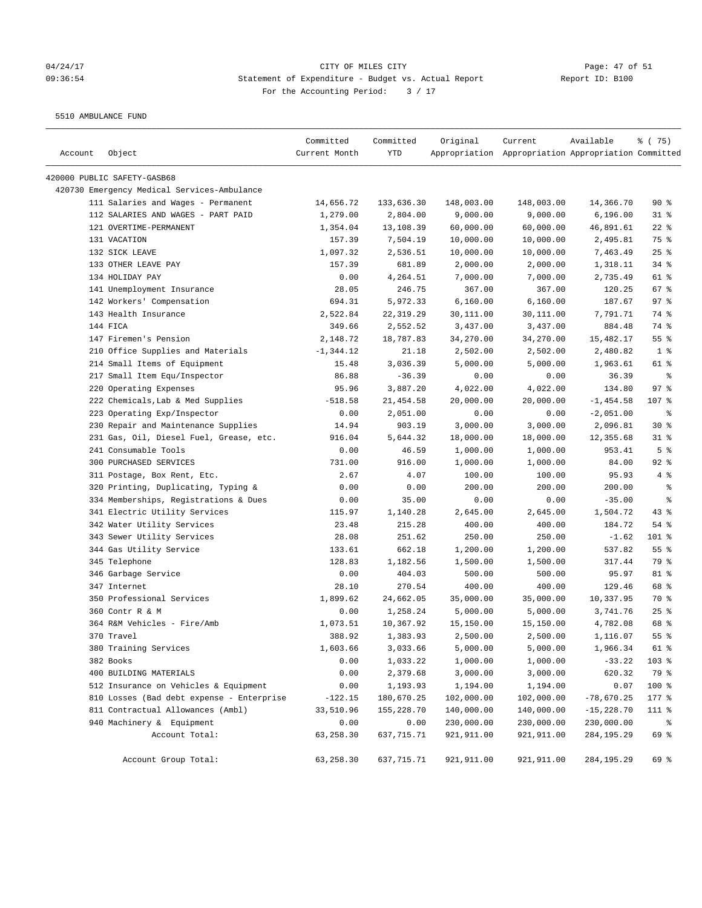## 04/24/17 Page: 47 of 51 09:36:54 Statement of Expenditure - Budget vs. Actual Report Changer Report ID: B100 For the Accounting Period: 3 / 17

5510 AMBULANCE FUND

| Account | Object                                      | Committed<br>Current Month | Committed<br>YTD | Original    | Current<br>Appropriation Appropriation Appropriation Committed | Available    | 8 (75)          |
|---------|---------------------------------------------|----------------------------|------------------|-------------|----------------------------------------------------------------|--------------|-----------------|
|         | 420000 PUBLIC SAFETY-GASB68                 |                            |                  |             |                                                                |              |                 |
|         | 420730 Emergency Medical Services-Ambulance |                            |                  |             |                                                                |              |                 |
|         | 111 Salaries and Wages - Permanent          | 14,656.72                  | 133,636.30       | 148,003.00  | 148,003.00                                                     | 14,366.70    | $90*$           |
|         | 112 SALARIES AND WAGES - PART PAID          | 1,279.00                   | 2,804.00         | 9,000.00    | 9,000.00                                                       | 6, 196.00    | $31$ %          |
|         | 121 OVERTIME-PERMANENT                      | 1,354.04                   | 13,108.39        | 60,000.00   | 60,000.00                                                      | 46,891.61    | $22$ %          |
|         | 131 VACATION                                | 157.39                     | 7,504.19         | 10,000.00   | 10,000.00                                                      | 2,495.81     | 75 %            |
|         | 132 SICK LEAVE                              | 1,097.32                   | 2,536.51         | 10,000.00   | 10,000.00                                                      | 7,463.49     | $25$ %          |
|         | 133 OTHER LEAVE PAY                         | 157.39                     | 681.89           | 2,000.00    | 2,000.00                                                       | 1,318.11     | 34%             |
|         | 134 HOLIDAY PAY                             | 0.00                       | 4,264.51         | 7,000.00    | 7,000.00                                                       | 2,735.49     | 61 %            |
|         | 141 Unemployment Insurance                  | 28.05                      | 246.75           | 367.00      | 367.00                                                         | 120.25       | 67%             |
|         | 142 Workers' Compensation                   | 694.31                     | 5,972.33         | 6,160.00    | 6,160.00                                                       | 187.67       | 97%             |
|         | 143 Health Insurance                        | 2,522.84                   | 22, 319.29       | 30,111.00   | 30,111.00                                                      | 7,791.71     | 74 %            |
|         | 144 FICA                                    | 349.66                     | 2,552.52         | 3,437.00    | 3,437.00                                                       | 884.48       | 74 %            |
|         | 147 Firemen's Pension                       | 2,148.72                   | 18,787.83        | 34,270.00   | 34,270.00                                                      | 15,482.17    | 55 %            |
|         | 210 Office Supplies and Materials           | $-1, 344.12$               | 21.18            | 2,502.00    | 2,502.00                                                       | 2,480.82     | 1 <sup>8</sup>  |
|         | 214 Small Items of Equipment                | 15.48                      | 3,036.39         | 5,000.00    | 5,000.00                                                       | 1,963.61     | 61 %            |
|         | 217 Small Item Equ/Inspector                | 86.88                      | $-36.39$         | 0.00        | 0.00                                                           | 36.39        | ႜ               |
|         | 220 Operating Expenses                      | 95.96                      | 3,887.20         | 4,022.00    | 4,022.00                                                       | 134.80       | 97%             |
|         | 222 Chemicals, Lab & Med Supplies           | $-518.58$                  | 21, 454.58       | 20,000.00   | 20,000.00                                                      | $-1, 454.58$ | 107 %           |
|         | 223 Operating Exp/Inspector                 | 0.00                       | 2,051.00         | 0.00        | 0.00                                                           | $-2,051.00$  | ್ಠಿ             |
|         | 230 Repair and Maintenance Supplies         | 14.94                      | 903.19           | 3,000.00    | 3,000.00                                                       | 2,096.81     | $30*$           |
|         | 231 Gas, Oil, Diesel Fuel, Grease, etc.     | 916.04                     | 5,644.32         | 18,000.00   | 18,000.00                                                      | 12,355.68    | $31$ %          |
|         | 241 Consumable Tools                        | 0.00                       | 46.59            | 1,000.00    | 1,000.00                                                       | 953.41       | 5 <sup>8</sup>  |
|         | 300 PURCHASED SERVICES                      | 731.00                     | 916.00           | 1,000.00    | 1,000.00                                                       | 84.00        | $92$ $%$        |
|         | 311 Postage, Box Rent, Etc.                 | 2.67                       | 4.07             | 100.00      | 100.00                                                         | 95.93        | 4%              |
|         | 320 Printing, Duplicating, Typing &         | 0.00                       | 0.00             | 200.00      | 200.00                                                         | 200.00       | နွ              |
|         | 334 Memberships, Registrations & Dues       | 0.00                       | 35.00            | 0.00        | 0.00                                                           | $-35.00$     | နွ              |
|         | 341 Electric Utility Services               | 115.97                     | 1,140.28         | 2,645.00    | 2,645.00                                                       | 1,504.72     | $43$ %          |
|         | 342 Water Utility Services                  | 23.48                      | 215.28           | 400.00      | 400.00                                                         | 184.72       | 54%             |
|         | 343 Sewer Utility Services                  | 28.08                      | 251.62           | 250.00      | 250.00                                                         | $-1.62$      | 101 %           |
|         | 344 Gas Utility Service                     | 133.61                     | 662.18           | 1,200.00    | 1,200.00                                                       | 537.82       | 55%             |
|         | 345 Telephone                               | 128.83                     | 1,182.56         | 1,500.00    | 1,500.00                                                       | 317.44       | 79 %            |
|         | 346 Garbage Service                         | 0.00                       | 404.03           | 500.00      | 500.00                                                         | 95.97        | 81 %            |
|         | 347 Internet                                | 28.10                      | 270.54           | 400.00      | 400.00                                                         | 129.46       | 68 %            |
|         | 350 Professional Services                   | 1,899.62                   | 24,662.05        | 35,000.00   | 35,000.00                                                      | 10,337.95    | 70 %            |
|         | 360 Contr R & M                             | 0.00                       | 1,258.24         | 5,000.00    | 5,000.00                                                       | 3,741.76     | 25%             |
|         | 364 R&M Vehicles - Fire/Amb                 | 1,073.51                   | 10,367.92        | 15,150.00   | 15,150.00                                                      | 4,782.08     | 68 %            |
|         | 370 Travel                                  | 388.92                     | 1,383.93         | 2,500.00    | 2,500.00                                                       | 1,116.07     | 55 <sup>8</sup> |
|         | 380 Training Services                       | 1,603.66                   | 3,033.66         | 5,000.00    | 5,000.00                                                       | 1,966.34     | 61 %            |
|         | 382 Books                                   | 0.00                       | 1,033.22         | 1,000.00    | 1,000.00                                                       | $-33.22$     | 103 %           |
|         | 400 BUILDING MATERIALS                      | 0.00                       | 2,379.68         | 3,000.00    | 3,000.00                                                       | 620.32       | 79 %            |
|         | 512 Insurance on Vehicles & Equipment       | 0.00                       | 1,193.93         | 1,194.00    | 1,194.00                                                       | 0.07         | 100 %           |
|         | 810 Losses (Bad debt expense - Enterprise   | $-122.15$                  | 180,670.25       | 102,000.00  | 102,000.00                                                     | $-78,670.25$ | $177$ %         |
|         | 811 Contractual Allowances (Ambl)           | 33,510.96                  | 155,228.70       | 140,000.00  | 140,000.00                                                     | $-15,228.70$ | 111 %           |
|         | 940 Machinery & Equipment                   | 0.00                       | 0.00             | 230,000.00  | 230,000.00                                                     | 230,000.00   | ಿ               |
|         | Account Total:                              | 63,258.30                  | 637,715.71       | 921,911.00  | 921,911.00                                                     | 284, 195.29  | 69 %            |
|         | Account Group Total:                        | 63,258.30                  | 637,715.71       | 921, 911.00 | 921,911.00                                                     | 284, 195.29  | 69 %            |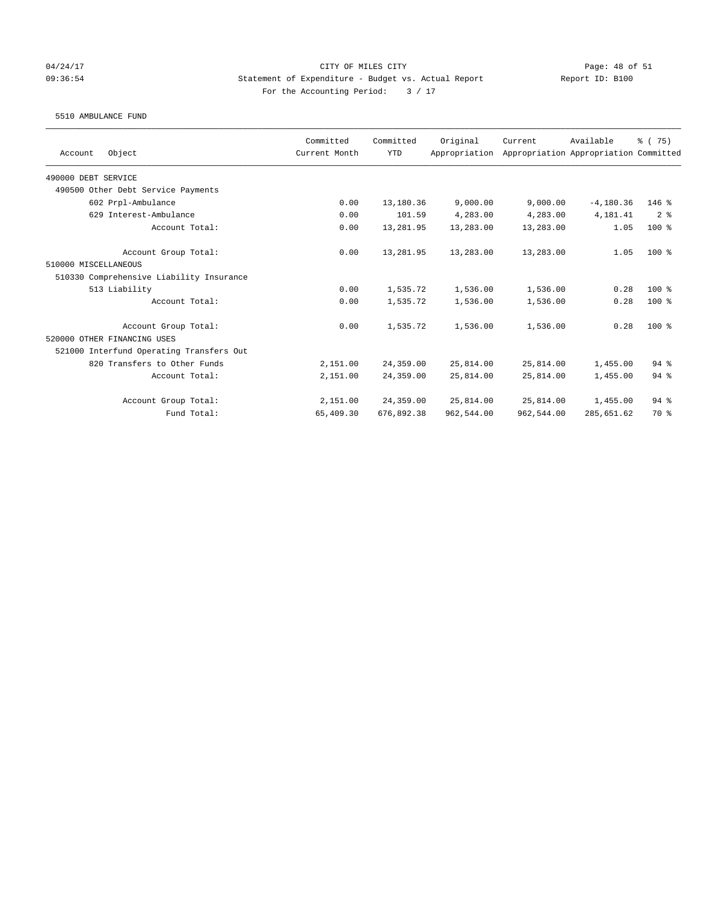### 04/24/17 CITY OF MILES CITY Page: 48 of 51 09:36:54 Statement of Expenditure - Budget vs. Actual Report Report ID: B100 For the Accounting Period:  $3 / 17$

### 5510 AMBULANCE FUND

| Object<br>Account                        | Committed<br>Current Month | Committed<br><b>YTD</b> | Original<br>Appropriation | Current    | Available<br>Appropriation Appropriation Committed | % (75)         |
|------------------------------------------|----------------------------|-------------------------|---------------------------|------------|----------------------------------------------------|----------------|
|                                          |                            |                         |                           |            |                                                    |                |
| 490000 DEBT SERVICE                      |                            |                         |                           |            |                                                    |                |
| 490500 Other Debt Service Payments       |                            |                         |                           |            |                                                    |                |
| 602 Prpl-Ambulance                       | 0.00                       | 13,180.36               | 9,000.00                  | 9,000.00   | $-4,180.36$                                        | $146$ %        |
| 629 Interest-Ambulance                   | 0.00                       | 101.59                  | 4,283.00                  | 4,283.00   | 4,181.41                                           | 2 <sup>8</sup> |
| Account Total:                           | 0.00                       | 13,281.95               | 13,283.00                 | 13,283.00  | 1.05                                               | $100*$         |
| Account Group Total:                     | 0.00                       | 13,281.95               | 13,283.00                 | 13,283.00  | 1.05                                               | $100*$         |
| 510000 MISCELLANEOUS                     |                            |                         |                           |            |                                                    |                |
| 510330 Comprehensive Liability Insurance |                            |                         |                           |            |                                                    |                |
| 513 Liability                            | 0.00                       | 1,535.72                | 1,536.00                  | 1,536.00   | 0.28                                               | $100*$         |
| Account Total:                           | 0.00                       | 1,535.72                | 1,536.00                  | 1,536.00   | 0.28                                               | $100*$         |
| Account Group Total:                     | 0.00                       | 1,535.72                | 1,536.00                  | 1,536.00   | 0.28                                               | $100*$         |
| 520000 OTHER FINANCING USES              |                            |                         |                           |            |                                                    |                |
| 521000 Interfund Operating Transfers Out |                            |                         |                           |            |                                                    |                |
| 820 Transfers to Other Funds             | 2,151.00                   | 24,359.00               | 25,814.00                 | 25,814.00  | 1,455.00                                           | 94%            |
| Account Total:                           | 2,151.00                   | 24,359.00               | 25,814.00                 | 25,814.00  | 1,455.00                                           | $94$ $%$       |
| Account Group Total:                     | 2,151.00                   | 24,359.00               | 25,814.00                 | 25,814.00  | 1,455.00                                           | 94%            |
| Fund Total:                              | 65,409.30                  | 676,892.38              | 962,544.00                | 962,544.00 | 285,651.62                                         | 70 %           |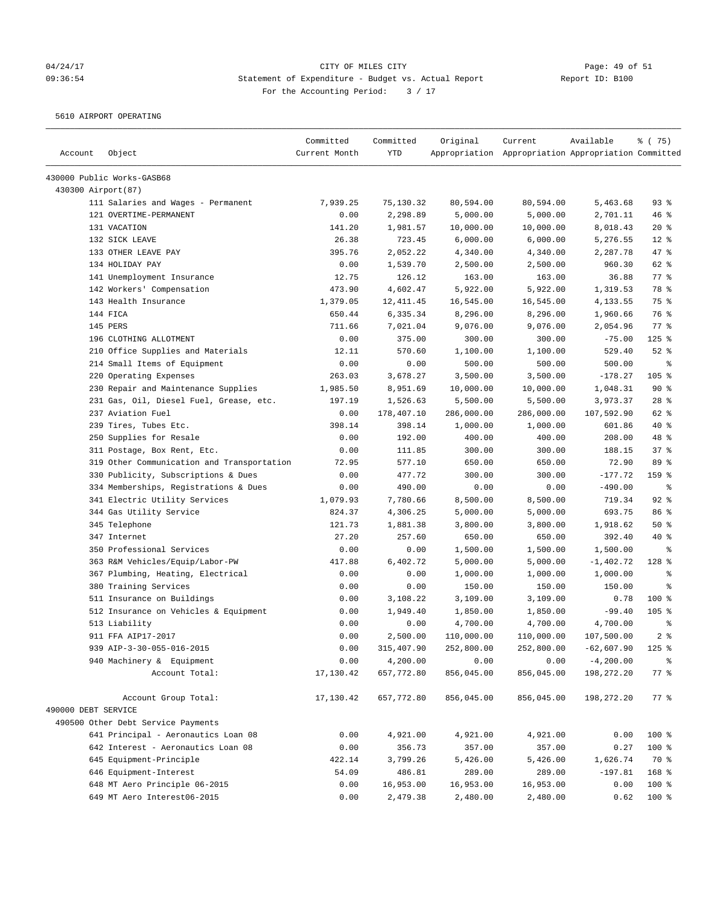# 04/24/17 Page: 49 of 51 09:36:54 Statement of Expenditure - Budget vs. Actual Report Changer Report ID: B100 For the Accounting Period: 3 / 17

5610 AIRPORT OPERATING

| Account             | Object                                     | Committed<br>Current Month | Committed<br><b>YTD</b> | Original   | Current<br>Appropriation Appropriation Appropriation Committed | Available    | % (75)         |
|---------------------|--------------------------------------------|----------------------------|-------------------------|------------|----------------------------------------------------------------|--------------|----------------|
|                     | 430000 Public Works-GASB68                 |                            |                         |            |                                                                |              |                |
| 430300 Airport (87) |                                            |                            |                         |            |                                                                |              |                |
|                     | 111 Salaries and Wages - Permanent         | 7,939.25                   | 75,130.32               | 80,594.00  | 80,594.00                                                      | 5,463.68     | 93%            |
|                     | 121 OVERTIME-PERMANENT                     | 0.00                       | 2,298.89                | 5,000.00   | 5,000.00                                                       | 2,701.11     | 46%            |
|                     | 131 VACATION                               | 141.20                     | 1,981.57                | 10,000.00  | 10,000.00                                                      | 8,018.43     | $20*$          |
|                     | 132 SICK LEAVE                             | 26.38                      | 723.45                  | 6,000.00   | 6,000.00                                                       | 5,276.55     | $12*$          |
|                     | 133 OTHER LEAVE PAY                        | 395.76                     | 2,052.22                | 4,340.00   | 4,340.00                                                       | 2,287.78     | 47 %           |
|                     | 134 HOLIDAY PAY                            | 0.00                       | 1,539.70                | 2,500.00   | 2,500.00                                                       | 960.30       | 62 %           |
|                     | 141 Unemployment Insurance                 | 12.75                      | 126.12                  | 163.00     | 163.00                                                         | 36.88        | 77 %           |
|                     | 142 Workers' Compensation                  | 473.90                     | 4,602.47                | 5,922.00   | 5,922.00                                                       | 1,319.53     | 78 %           |
|                     | 143 Health Insurance                       | 1,379.05                   | 12, 411.45              | 16,545.00  | 16,545.00                                                      | 4,133.55     | 75 %           |
|                     | 144 FICA                                   | 650.44                     | 6,335.34                | 8,296.00   | 8,296.00                                                       | 1,960.66     | 76 %           |
|                     | 145 PERS                                   | 711.66                     | 7,021.04                | 9,076.00   | 9,076.00                                                       | 2,054.96     | 77 %           |
|                     | 196 CLOTHING ALLOTMENT                     | 0.00                       | 375.00                  | 300.00     | 300.00                                                         | $-75.00$     | $125$ %        |
|                     | 210 Office Supplies and Materials          | 12.11                      | 570.60                  | 1,100.00   | 1,100.00                                                       | 529.40       | $52$ %         |
|                     | 214 Small Items of Equipment               | 0.00                       | 0.00                    | 500.00     | 500.00                                                         | 500.00       | $\epsilon$     |
|                     | 220 Operating Expenses                     | 263.03                     | 3,678.27                | 3,500.00   | 3,500.00                                                       | $-178.27$    | 105 %          |
|                     | 230 Repair and Maintenance Supplies        | 1,985.50                   | 8,951.69                | 10,000.00  | 10,000.00                                                      | 1,048.31     | 90%            |
|                     | 231 Gas, Oil, Diesel Fuel, Grease, etc.    | 197.19                     | 1,526.63                | 5,500.00   | 5,500.00                                                       | 3,973.37     | $28$ %         |
|                     | 237 Aviation Fuel                          | 0.00                       | 178,407.10              | 286,000.00 | 286,000.00                                                     | 107,592.90   | 62 %           |
|                     | 239 Tires, Tubes Etc.                      | 398.14                     | 398.14                  | 1,000.00   | 1,000.00                                                       | 601.86       | 40 %           |
|                     | 250 Supplies for Resale                    | 0.00                       | 192.00                  | 400.00     | 400.00                                                         | 208.00       | 48 %           |
|                     | 311 Postage, Box Rent, Etc.                | 0.00                       | 111.85                  | 300.00     | 300.00                                                         | 188.15       | 37%            |
|                     | 319 Other Communication and Transportation | 72.95                      | 577.10                  | 650.00     | 650.00                                                         | 72.90        | 89 %           |
|                     | 330 Publicity, Subscriptions & Dues        | 0.00                       | 477.72                  | 300.00     | 300.00                                                         | $-177.72$    | 159 %          |
|                     | 334 Memberships, Registrations & Dues      | 0.00                       | 490.00                  | 0.00       | 0.00                                                           | $-490.00$    | $\epsilon$     |
|                     | 341 Electric Utility Services              | 1,079.93                   | 7,780.66                | 8,500.00   | 8,500.00                                                       | 719.34       | 92%            |
|                     | 344 Gas Utility Service                    | 824.37                     | 4,306.25                | 5,000.00   | 5,000.00                                                       | 693.75       | 86 %           |
|                     | 345 Telephone                              | 121.73                     | 1,881.38                | 3,800.00   | 3,800.00                                                       | 1,918.62     | 50%            |
|                     | 347 Internet                               | 27.20                      | 257.60                  | 650.00     | 650.00                                                         | 392.40       | $40*$          |
|                     | 350 Professional Services                  | 0.00                       | 0.00                    | 1,500.00   | 1,500.00                                                       | 1,500.00     | နွ             |
|                     | 363 R&M Vehicles/Equip/Labor-PW            | 417.88                     | 6,402.72                | 5,000.00   | 5,000.00                                                       | $-1,402.72$  | $128$ %        |
|                     | 367 Plumbing, Heating, Electrical          | 0.00                       | 0.00                    | 1,000.00   | 1,000.00                                                       | 1,000.00     | နွ             |
|                     | 380 Training Services                      | 0.00                       | 0.00                    | 150.00     | 150.00                                                         | 150.00       | နွ             |
|                     | 511 Insurance on Buildings                 | 0.00                       | 3,108.22                | 3,109.00   | 3,109.00                                                       | 0.78         | $100*$         |
|                     | 512 Insurance on Vehicles & Equipment      | 0.00                       | 1,949.40                | 1,850.00   | 1,850.00                                                       | $-99.40$     | $105$ %        |
|                     | 513 Liability                              | 0.00                       | 0.00                    | 4,700.00   | 4,700.00                                                       | 4,700.00     | နွ             |
|                     | 911 FFA AIP17-2017                         | 0.00                       | 2,500.00                | 110,000.00 | 110,000.00                                                     | 107,500.00   | 2 <sup>8</sup> |
|                     | 939 AIP-3-30-055-016-2015                  | 0.00                       | 315,407.90              | 252,800.00 | 252,800.00                                                     | $-62,607.90$ | $125$ %        |
|                     | 940 Machinery & Equipment                  | 0.00                       | 4,200.00                | 0.00       | 0.00                                                           | $-4, 200.00$ |                |
|                     | Account Total:                             | 17,130.42                  | 657,772.80              | 856,045.00 | 856,045.00                                                     | 198,272.20   | $77$ %         |
|                     | Account Group Total:                       | 17,130.42                  | 657,772.80              | 856,045.00 | 856,045.00                                                     | 198,272.20   | 77 %           |
| 490000 DEBT SERVICE |                                            |                            |                         |            |                                                                |              |                |
|                     | 490500 Other Debt Service Payments         |                            |                         |            |                                                                |              |                |
|                     | 641 Principal - Aeronautics Loan 08        | 0.00                       | 4,921.00                | 4,921.00   | 4,921.00                                                       | 0.00         | 100 %          |
|                     | 642 Interest - Aeronautics Loan 08         | 0.00                       | 356.73                  | 357.00     | 357.00                                                         | 0.27         | 100 %          |
|                     | 645 Equipment-Principle                    | 422.14                     | 3,799.26                | 5,426.00   | 5,426.00                                                       | 1,626.74     | 70 %           |
|                     | 646 Equipment-Interest                     | 54.09                      | 486.81                  | 289.00     | 289.00                                                         | $-197.81$    | 168 %          |
|                     | 648 MT Aero Principle 06-2015              | 0.00                       | 16,953.00               | 16,953.00  | 16,953.00                                                      | 0.00         | 100 %          |
|                     | 649 MT Aero Interest06-2015                | 0.00                       | 2,479.38                | 2,480.00   | 2,480.00                                                       | 0.62         | 100 %          |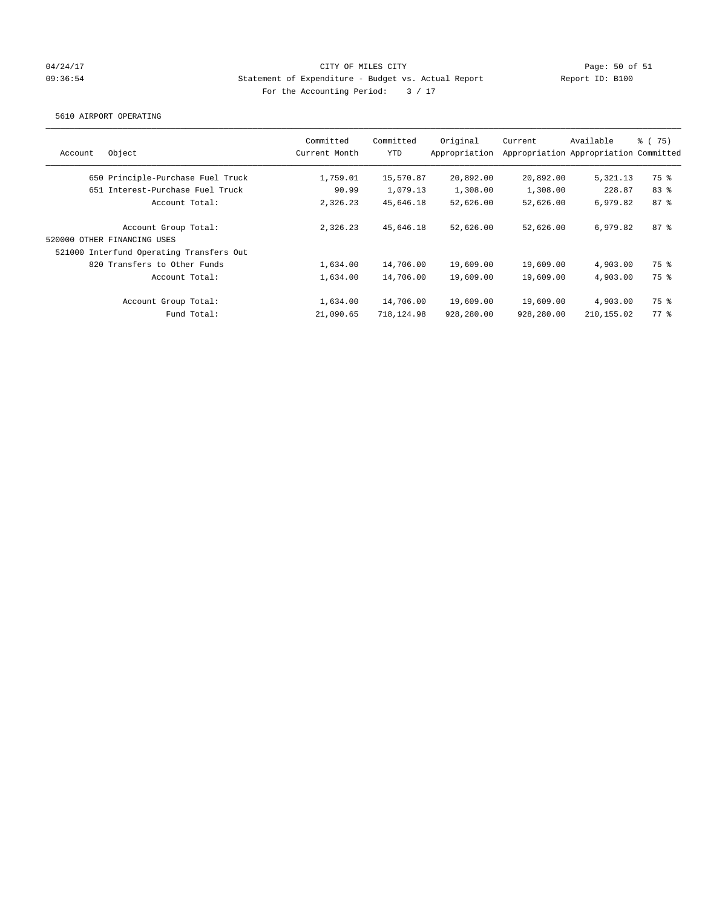## 04/24/17 Page: 50 of 51 09:36:54 Statement of Expenditure - Budget vs. Actual Report Report ID: B100 For the Accounting Period:  $3 / 17$

#### 5610 AIRPORT OPERATING

| Account | Object                                   | Committed<br>Current Month | Committed<br>YTD | Original<br>Appropriation | Current    | Available<br>Appropriation Appropriation Committed | % (75) |
|---------|------------------------------------------|----------------------------|------------------|---------------------------|------------|----------------------------------------------------|--------|
|         | 650 Principle-Purchase Fuel Truck        | 1,759.01                   | 15,570.87        | 20,892.00                 | 20,892.00  | 5,321.13                                           | 75 %   |
|         | 651 Interest-Purchase Fuel Truck         | 90.99                      | 1,079.13         | 1,308.00                  | 1,308.00   | 228.87                                             | 83%    |
|         | Account Total:                           | 2,326.23                   | 45,646.18        | 52,626.00                 | 52,626.00  | 6,979.82                                           | 87%    |
|         | Account Group Total:                     | 2,326.23                   | 45,646.18        | 52,626.00                 | 52,626.00  | 6,979.82                                           | 87%    |
|         | 520000 OTHER FINANCING USES              |                            |                  |                           |            |                                                    |        |
|         | 521000 Interfund Operating Transfers Out |                            |                  |                           |            |                                                    |        |
|         | 820 Transfers to Other Funds             | 1,634.00                   | 14,706.00        | 19,609.00                 | 19,609.00  | 4,903.00                                           | 75 %   |
|         | Account Total:                           | 1,634.00                   | 14,706.00        | 19,609.00                 | 19,609.00  | 4,903,00                                           | 75 %   |
|         | Account Group Total:                     | 1,634.00                   | 14,706.00        | 19,609.00                 | 19,609.00  | 4,903.00                                           | 75 %   |
|         | Fund Total:                              | 21,090.65                  | 718,124.98       | 928,280.00                | 928,280.00 | 210, 155.02                                        | 77.8   |